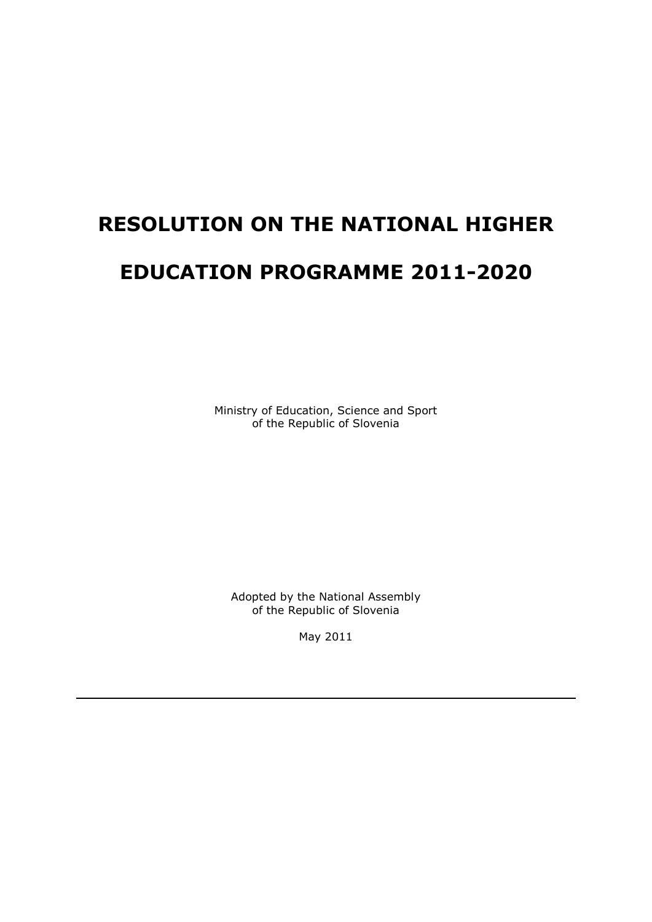# **RESOLUTION ON THE NATIONAL HIGHER EDUCATION PROGRAMME 2011-2020**

Ministry of Education, Science and Sport of the Republic of Slovenia

Adopted by the National Assembly of the Republic of Slovenia

May 2011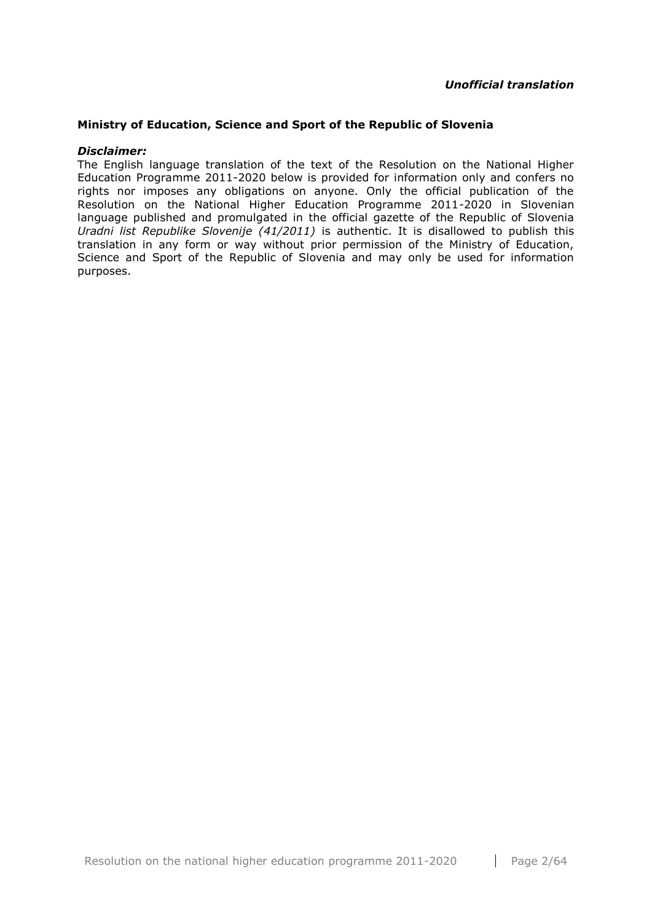#### **Ministry of Education, Science and Sport of the Republic of Slovenia**

#### *Disclaimer:*

The English language translation of the text of the Resolution on the National Higher Education Programme 2011-2020 below is provided for information only and confers no rights nor imposes any obligations on anyone. Only the official publication of the Resolution on the National Higher Education Programme 2011-2020 in Slovenian language published and promulgated in the official gazette of the Republic of Slovenia *Uradni list Republike Slovenije (41/2011)* is authentic. It is disallowed to publish this translation in any form or way without prior permission of the Ministry of Education, Science and Sport of the Republic of Slovenia and may only be used for information purposes.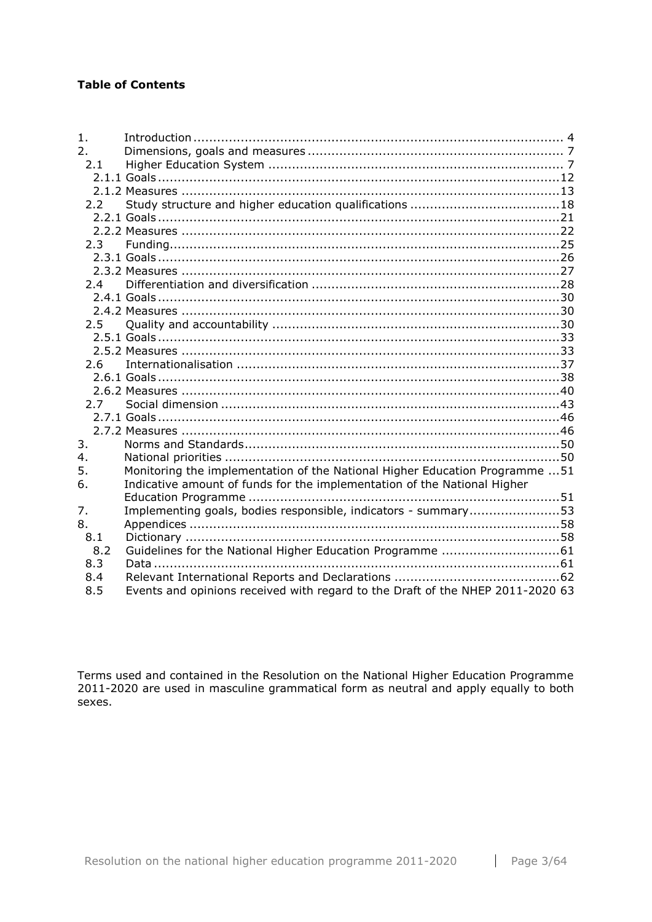## **Table of Contents**

| 1.            |                                                                                |  |
|---------------|--------------------------------------------------------------------------------|--|
| 2.            |                                                                                |  |
| 2.1           |                                                                                |  |
|               |                                                                                |  |
|               |                                                                                |  |
| 2.2           |                                                                                |  |
|               |                                                                                |  |
|               |                                                                                |  |
| 2.3           |                                                                                |  |
|               |                                                                                |  |
|               |                                                                                |  |
| 2.4           |                                                                                |  |
|               |                                                                                |  |
|               |                                                                                |  |
| $2.5^{\circ}$ |                                                                                |  |
|               |                                                                                |  |
|               |                                                                                |  |
| 2.6           |                                                                                |  |
|               |                                                                                |  |
|               |                                                                                |  |
| 2.7           |                                                                                |  |
|               |                                                                                |  |
|               |                                                                                |  |
| 3.            |                                                                                |  |
| 4.            |                                                                                |  |
| 5.            | Monitoring the implementation of the National Higher Education Programme  51   |  |
| 6.            | Indicative amount of funds for the implementation of the National Higher       |  |
|               |                                                                                |  |
| 7.            | Implementing goals, bodies responsible, indicators - summary53                 |  |
| 8.            |                                                                                |  |
| 8.1           |                                                                                |  |
| 8.2           |                                                                                |  |
| 8.3           |                                                                                |  |
| 8.4           |                                                                                |  |
| 8.5           | Events and opinions received with regard to the Draft of the NHEP 2011-2020 63 |  |

Terms used and contained in the Resolution on the National Higher Education Programme 2011-2020 are used in masculine grammatical form as neutral and apply equally to both sexes.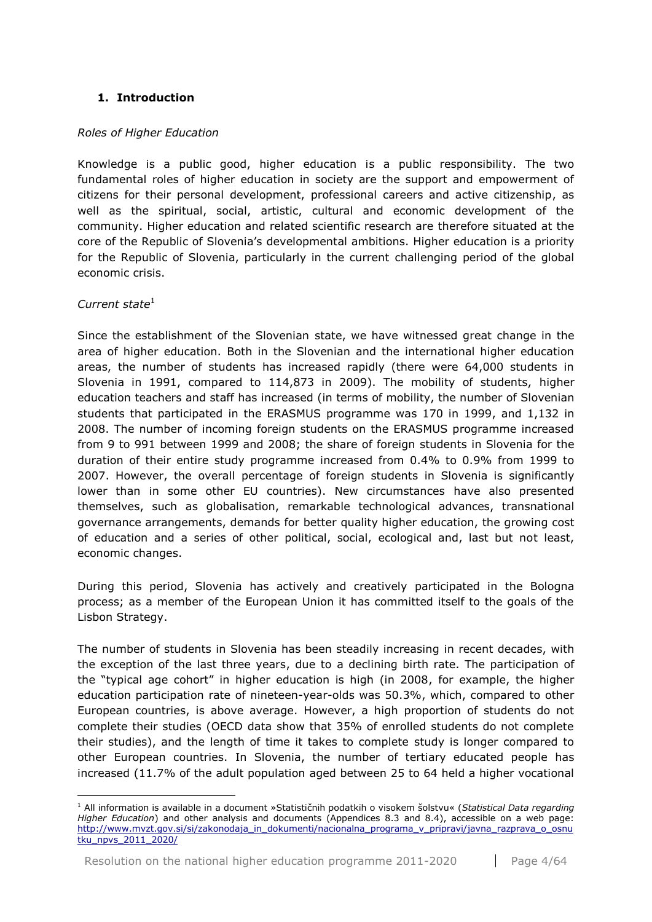## <span id="page-3-0"></span>**1. Introduction**

#### *Roles of Higher Education*

Knowledge is a public good, higher education is a public responsibility. The two fundamental roles of higher education in society are the support and empowerment of citizens for their personal development, professional careers and active citizenship, as well as the spiritual, social, artistic, cultural and economic development of the community. Higher education and related scientific research are therefore situated at the core of the Republic of Slovenia's developmental ambitions. Higher education is a priority for the Republic of Slovenia, particularly in the current challenging period of the global economic crisis.

#### *Current state*<sup>1</sup>

<u>.</u>

Since the establishment of the Slovenian state, we have witnessed great change in the area of higher education. Both in the Slovenian and the international higher education areas, the number of students has increased rapidly (there were 64,000 students in Slovenia in 1991, compared to 114,873 in 2009). The mobility of students, higher education teachers and staff has increased (in terms of mobility, the number of Slovenian students that participated in the ERASMUS programme was 170 in 1999, and 1,132 in 2008. The number of incoming foreign students on the ERASMUS programme increased from 9 to 991 between 1999 and 2008; the share of foreign students in Slovenia for the duration of their entire study programme increased from 0.4% to 0.9% from 1999 to 2007. However, the overall percentage of foreign students in Slovenia is significantly lower than in some other EU countries). New circumstances have also presented themselves, such as globalisation, remarkable technological advances, transnational governance arrangements, demands for better quality higher education, the growing cost of education and a series of other political, social, ecological and, last but not least, economic changes.

During this period, Slovenia has actively and creatively participated in the Bologna process; as a member of the European Union it has committed itself to the goals of the Lisbon Strategy.

The number of students in Slovenia has been steadily increasing in recent decades, with the exception of the last three years, due to a declining birth rate. The participation of the "typical age cohort" in higher education is high (in 2008, for example, the higher education participation rate of nineteen-year-olds was 50.3%, which, compared to other European countries, is above average. However, a high proportion of students do not complete their studies (OECD data show that 35% of enrolled students do not complete their studies), and the length of time it takes to complete study is longer compared to other European countries. In Slovenia, the number of tertiary educated people has increased (11.7% of the adult population aged between 25 to 64 held a higher vocational

<sup>1</sup> All information is available in a document »Statističnih podatkih o visokem šolstvu« (*Statistical Data regarding Higher Education*) and other analysis and documents (Appendices 8.3 and 8.4), accessible on a web page: [http://www.mvzt.gov.si/si/zakonodaja\\_in\\_dokumenti/nacionalna\\_programa\\_v\\_pripravi/javna\\_razprava\\_o\\_osnu](http://www.mvzt.gov.si/si/zakonodaja_in_dokumenti/nacionalna_programa_v_pripravi/javna_razprava_o_osnutku_npvs_2011_2020/) tku npvs 2011 2020/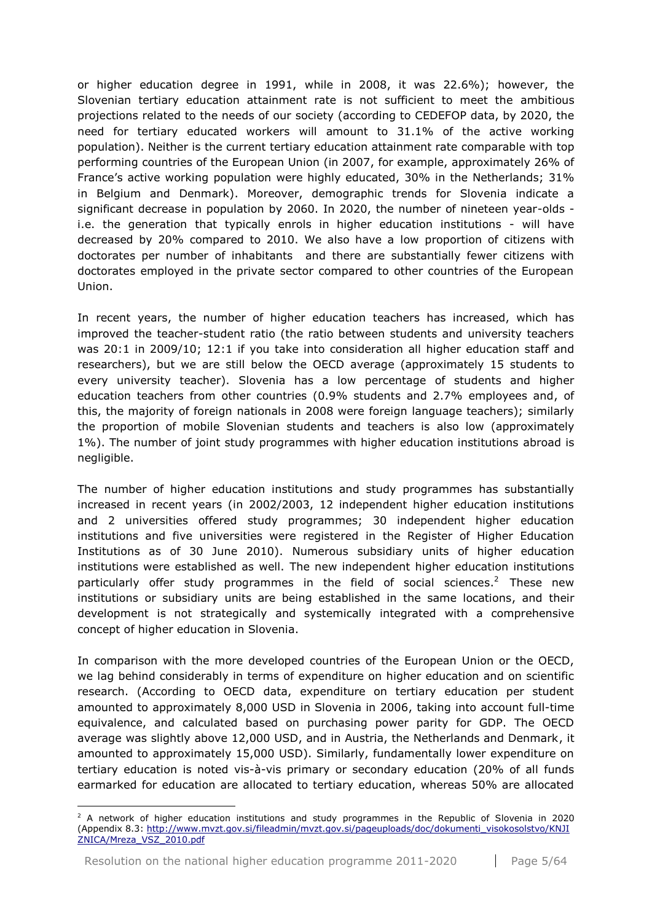or higher education degree in 1991, while in 2008, it was 22.6%); however, the Slovenian tertiary education attainment rate is not sufficient to meet the ambitious projections related to the needs of our society (according to CEDEFOP data, by 2020, the need for tertiary educated workers will amount to 31.1% of the active working population). Neither is the current tertiary education attainment rate comparable with top performing countries of the European Union (in 2007, for example, approximately 26% of France's active working population were highly educated, 30% in the Netherlands; 31% in Belgium and Denmark). Moreover, demographic trends for Slovenia indicate a significant decrease in population by 2060. In 2020, the number of nineteen year-olds i.e. the generation that typically enrols in higher education institutions - will have decreased by 20% compared to 2010. We also have a low proportion of citizens with doctorates per number of inhabitants and there are substantially fewer citizens with doctorates employed in the private sector compared to other countries of the European Union.

In recent years, the number of higher education teachers has increased, which has improved the teacher-student ratio (the ratio between students and university teachers was 20:1 in 2009/10; 12:1 if you take into consideration all higher education staff and researchers), but we are still below the OECD average (approximately 15 students to every university teacher). Slovenia has a low percentage of students and higher education teachers from other countries (0.9% students and 2.7% employees and, of this, the majority of foreign nationals in 2008 were foreign language teachers); similarly the proportion of mobile Slovenian students and teachers is also low (approximately 1%). The number of joint study programmes with higher education institutions abroad is negligible.

The number of higher education institutions and study programmes has substantially increased in recent years (in 2002/2003, 12 independent higher education institutions and 2 universities offered study programmes; 30 independent higher education institutions and five universities were registered in the Register of Higher Education Institutions as of 30 June 2010). Numerous subsidiary units of higher education institutions were established as well. The new independent higher education institutions particularly offer study programmes in the field of social sciences.<sup>2</sup> These new institutions or subsidiary units are being established in the same locations, and their development is not strategically and systemically integrated with a comprehensive concept of higher education in Slovenia.

In comparison with the more developed countries of the European Union or the OECD, we lag behind considerably in terms of expenditure on higher education and on scientific research. (According to OECD data, expenditure on tertiary education per student amounted to approximately 8,000 USD in Slovenia in 2006, taking into account full-time equivalence, and calculated based on purchasing power parity for GDP. The OECD average was slightly above 12,000 USD, and in Austria, the Netherlands and Denmark, it amounted to approximately 15,000 USD). Similarly, fundamentally lower expenditure on tertiary education is noted vis-à-vis primary or secondary education (20% of all funds earmarked for education are allocated to tertiary education, whereas 50% are allocated

<u>.</u>

 $2$  A network of higher education institutions and study programmes in the Republic of Slovenia in 2020 (Appendix 8.3: [http://www.mvzt.gov.si/fileadmin/mvzt.gov.si/pageuploads/doc/dokumenti\\_visokosolstvo/KNJI](http://www.mvzt.gov.si/fileadmin/mvzt.gov.si/pageuploads/doc/dokumenti_visokosolstvo/KNJIZNICA/Mreza_VSZ_2010.pdf) [ZNICA/Mreza\\_VSZ\\_2010.pdf](http://www.mvzt.gov.si/fileadmin/mvzt.gov.si/pageuploads/doc/dokumenti_visokosolstvo/KNJIZNICA/Mreza_VSZ_2010.pdf)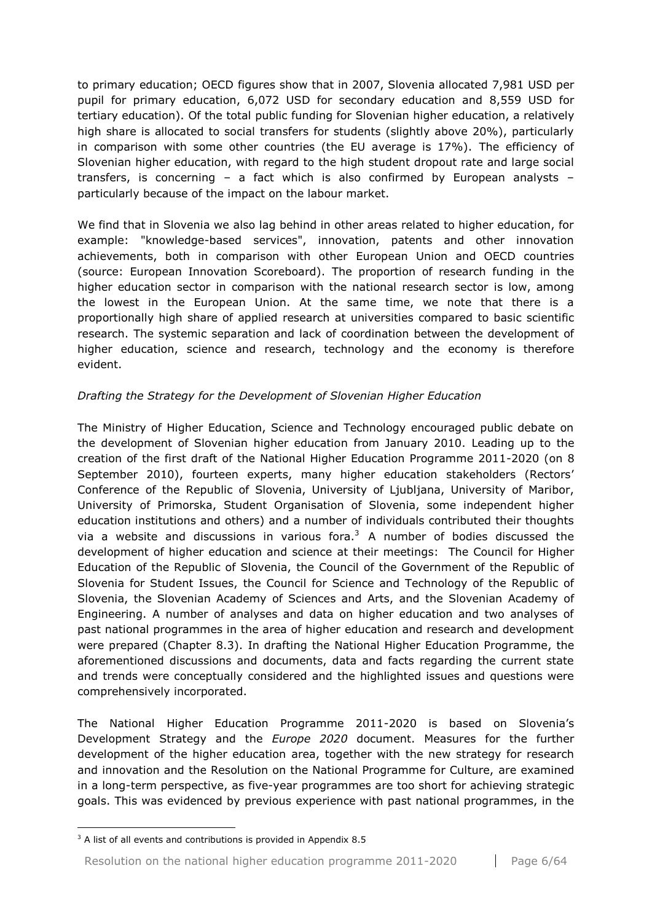to primary education; OECD figures show that in 2007, Slovenia allocated 7,981 USD per pupil for primary education, 6,072 USD for secondary education and 8,559 USD for tertiary education). Of the total public funding for Slovenian higher education, a relatively high share is allocated to social transfers for students (slightly above 20%), particularly in comparison with some other countries (the EU average is 17%). The efficiency of Slovenian higher education, with regard to the high student dropout rate and large social transfers, is concerning  $-$  a fact which is also confirmed by European analysts  $$ particularly because of the impact on the labour market.

We find that in Slovenia we also lag behind in other areas related to higher education, for example: "knowledge-based services", innovation, patents and other innovation achievements, both in comparison with other European Union and OECD countries (source: European Innovation Scoreboard). The proportion of research funding in the higher education sector in comparison with the national research sector is low, among the lowest in the European Union. At the same time, we note that there is a proportionally high share of applied research at universities compared to basic scientific research. The systemic separation and lack of coordination between the development of higher education, science and research, technology and the economy is therefore evident.

## *Drafting the Strategy for the Development of Slovenian Higher Education*

The Ministry of Higher Education, Science and Technology encouraged public debate on the development of Slovenian higher education from January 2010. Leading up to the creation of the first draft of the National Higher Education Programme 2011-2020 (on 8 September 2010), fourteen experts, many higher education stakeholders (Rectors' Conference of the Republic of Slovenia, University of Ljubljana, University of Maribor, University of Primorska, Student Organisation of Slovenia, some independent higher education institutions and others) and a number of individuals contributed their thoughts via a website and discussions in various fora. $3$  A number of bodies discussed the development of higher education and science at their meetings: The Council for Higher Education of the Republic of Slovenia, the Council of the Government of the Republic of Slovenia for Student Issues, the Council for Science and Technology of the Republic of Slovenia, the Slovenian Academy of Sciences and Arts, and the Slovenian Academy of Engineering. A number of analyses and data on higher education and two analyses of past national programmes in the area of higher education and research and development were prepared (Chapter 8.3). In drafting the National Higher Education Programme, the aforementioned discussions and documents, data and facts regarding the current state and trends were conceptually considered and the highlighted issues and questions were comprehensively incorporated.

The National Higher Education Programme 2011-2020 is based on Slovenia's Development Strategy and the *Europe 2020* document. Measures for the further development of the higher education area, together with the new strategy for research and innovation and the Resolution on the National Programme for Culture, are examined in a long-term perspective, as five-year programmes are too short for achieving strategic goals. This was evidenced by previous experience with past national programmes, in the

1

<sup>&</sup>lt;sup>3</sup> A list of all events and contributions is provided in Appendix 8.5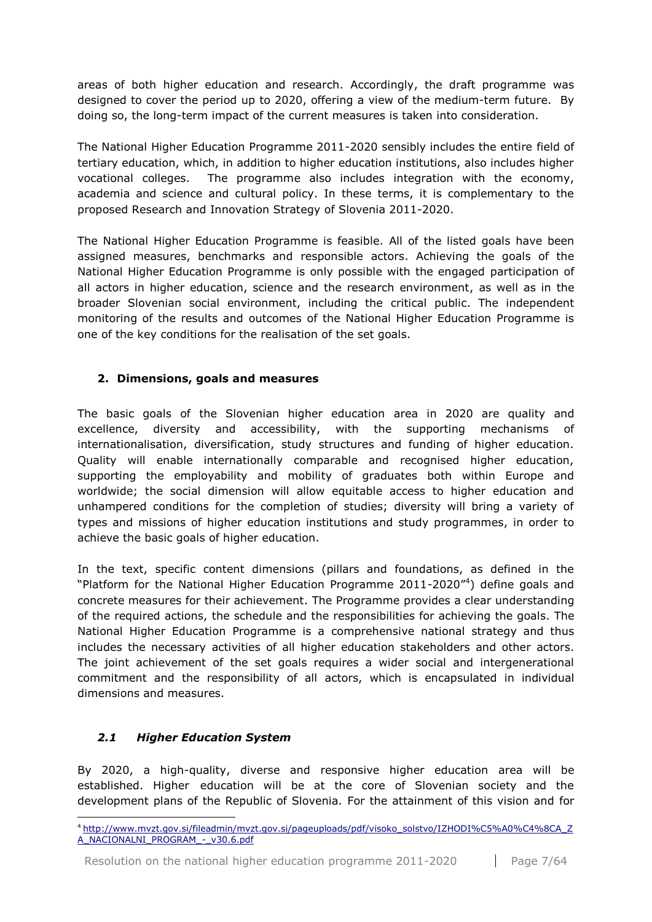areas of both higher education and research. Accordingly, the draft programme was designed to cover the period up to 2020, offering a view of the medium-term future. By doing so, the long-term impact of the current measures is taken into consideration.

The National Higher Education Programme 2011-2020 sensibly includes the entire field of tertiary education, which, in addition to higher education institutions, also includes higher vocational colleges. The programme also includes integration with the economy, academia and science and cultural policy. In these terms, it is complementary to the proposed Research and Innovation Strategy of Slovenia 2011-2020.

The National Higher Education Programme is feasible. All of the listed goals have been assigned measures, benchmarks and responsible actors. Achieving the goals of the National Higher Education Programme is only possible with the engaged participation of all actors in higher education, science and the research environment, as well as in the broader Slovenian social environment, including the critical public. The independent monitoring of the results and outcomes of the National Higher Education Programme is one of the key conditions for the realisation of the set goals.

## <span id="page-6-0"></span>**2. Dimensions, goals and measures**

The basic goals of the Slovenian higher education area in 2020 are quality and excellence, diversity and accessibility, with the supporting mechanisms of internationalisation, diversification, study structures and funding of higher education. Quality will enable internationally comparable and recognised higher education, supporting the employability and mobility of graduates both within Europe and worldwide; the social dimension will allow equitable access to higher education and unhampered conditions for the completion of studies; diversity will bring a variety of types and missions of higher education institutions and study programmes, in order to achieve the basic goals of higher education.

In the text, specific content dimensions (pillars and foundations, as defined in the "Platform for the National Higher Education Programme 2011-2020"<sup>4</sup>) define goals and concrete measures for their achievement. The Programme provides a clear understanding of the required actions, the schedule and the responsibilities for achieving the goals. The National Higher Education Programme is a comprehensive national strategy and thus includes the necessary activities of all higher education stakeholders and other actors. The joint achievement of the set goals requires a wider social and intergenerational commitment and the responsibility of all actors, which is encapsulated in individual dimensions and measures.

## <span id="page-6-1"></span>*2.1 Higher Education System*

1

By 2020, a high-quality, diverse and responsive higher education area will be established. Higher education will be at the core of Slovenian society and the development plans of the Republic of Slovenia. For the attainment of this vision and for

<sup>4</sup> [http://www.mvzt.gov.si/fileadmin/mvzt.gov.si/pageuploads/pdf/visoko\\_solstvo/IZHODI%C5%A0%C4%8CA\\_Z](http://www.mvzt.gov.si/fileadmin/mvzt.gov.si/pageuploads/pdf/visoko_solstvo/IZHODI%C5%A0%C4%8CA_ZA_NACIONALNI_PROGRAM_-_v30.6.pdf.http:/www.mvzt.gov.si/fileadmin/mvzt.gov.si/pageuploads/pdf/visoko_solstvo/IZHODI%C5%A0%C4%8CA_ZA_NACIONALNI_PROGRAM_-_v30.6.pdf) [A\\_NACIONALNI\\_PROGRAM\\_-\\_v30.6.pdf](http://www.mvzt.gov.si/fileadmin/mvzt.gov.si/pageuploads/pdf/visoko_solstvo/IZHODI%C5%A0%C4%8CA_ZA_NACIONALNI_PROGRAM_-_v30.6.pdf.http:/www.mvzt.gov.si/fileadmin/mvzt.gov.si/pageuploads/pdf/visoko_solstvo/IZHODI%C5%A0%C4%8CA_ZA_NACIONALNI_PROGRAM_-_v30.6.pdf)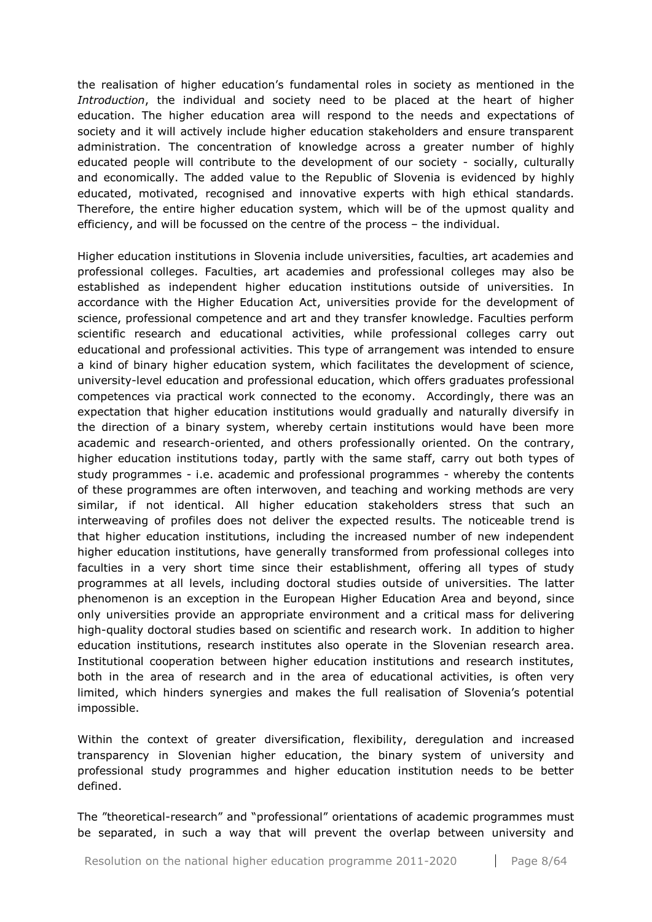the realisation of higher education's fundamental roles in society as mentioned in the *Introduction*, the individual and society need to be placed at the heart of higher education. The higher education area will respond to the needs and expectations of society and it will actively include higher education stakeholders and ensure transparent administration. The concentration of knowledge across a greater number of highly educated people will contribute to the development of our society - socially, culturally and economically. The added value to the Republic of Slovenia is evidenced by highly educated, motivated, recognised and innovative experts with high ethical standards. Therefore, the entire higher education system, which will be of the upmost quality and efficiency, and will be focussed on the centre of the process – the individual.

Higher education institutions in Slovenia include universities, faculties, art academies and professional colleges. Faculties, art academies and professional colleges may also be established as independent higher education institutions outside of universities. In accordance with the Higher Education Act, universities provide for the development of science, professional competence and art and they transfer knowledge. Faculties perform scientific research and educational activities, while professional colleges carry out educational and professional activities. This type of arrangement was intended to ensure a kind of binary higher education system, which facilitates the development of science, university-level education and professional education, which offers graduates professional competences via practical work connected to the economy. Accordingly, there was an expectation that higher education institutions would gradually and naturally diversify in the direction of a binary system, whereby certain institutions would have been more academic and research-oriented, and others professionally oriented. On the contrary, higher education institutions today, partly with the same staff, carry out both types of study programmes - i.e. academic and professional programmes - whereby the contents of these programmes are often interwoven, and teaching and working methods are very similar, if not identical. All higher education stakeholders stress that such an interweaving of profiles does not deliver the expected results. The noticeable trend is that higher education institutions, including the increased number of new independent higher education institutions, have generally transformed from professional colleges into faculties in a very short time since their establishment, offering all types of study programmes at all levels, including doctoral studies outside of universities. The latter phenomenon is an exception in the European Higher Education Area and beyond, since only universities provide an appropriate environment and a critical mass for delivering high-quality doctoral studies based on scientific and research work. In addition to higher education institutions, research institutes also operate in the Slovenian research area. Institutional cooperation between higher education institutions and research institutes, both in the area of research and in the area of educational activities, is often very limited, which hinders synergies and makes the full realisation of Slovenia's potential impossible.

Within the context of greater diversification, flexibility, deregulation and increased transparency in Slovenian higher education, the binary system of university and professional study programmes and higher education institution needs to be better defined.

The "theoretical-research" and "professional" orientations of academic programmes must be separated, in such a way that will prevent the overlap between university and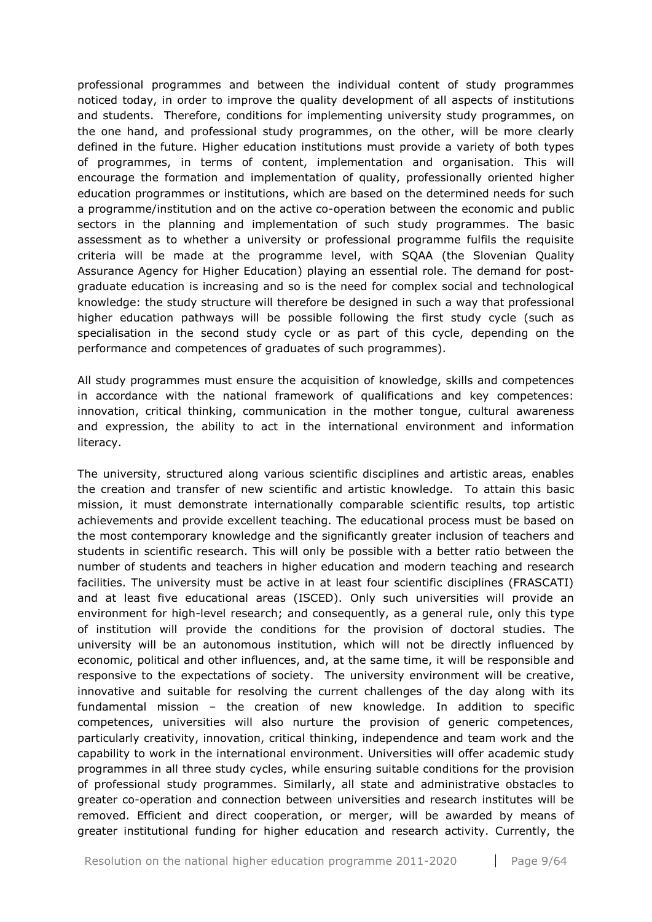professional programmes and between the individual content of study programmes noticed today, in order to improve the quality development of all aspects of institutions and students. Therefore, conditions for implementing university study programmes, on the one hand, and professional study programmes, on the other, will be more clearly defined in the future. Higher education institutions must provide a variety of both types of programmes, in terms of content, implementation and organisation. This will encourage the formation and implementation of quality, professionally oriented higher education programmes or institutions, which are based on the determined needs for such a programme/institution and on the active co-operation between the economic and public sectors in the planning and implementation of such study programmes. The basic assessment as to whether a university or professional programme fulfils the requisite criteria will be made at the programme level, with SQAA (the Slovenian Quality Assurance Agency for Higher Education) playing an essential role. The demand for postgraduate education is increasing and so is the need for complex social and technological knowledge: the study structure will therefore be designed in such a way that professional higher education pathways will be possible following the first study cycle (such as specialisation in the second study cycle or as part of this cycle, depending on the performance and competences of graduates of such programmes).

All study programmes must ensure the acquisition of knowledge, skills and competences in accordance with the national framework of qualifications and key competences: innovation, critical thinking, communication in the mother tongue, cultural awareness and expression, the ability to act in the international environment and information literacy.

The university, structured along various scientific disciplines and artistic areas, enables the creation and transfer of new scientific and artistic knowledge. To attain this basic mission, it must demonstrate internationally comparable scientific results, top artistic achievements and provide excellent teaching. The educational process must be based on the most contemporary knowledge and the significantly greater inclusion of teachers and students in scientific research. This will only be possible with a better ratio between the number of students and teachers in higher education and modern teaching and research facilities. The university must be active in at least four scientific disciplines (FRASCATI) and at least five educational areas (ISCED). Only such universities will provide an environment for high-level research; and consequently, as a general rule, only this type of institution will provide the conditions for the provision of doctoral studies. The university will be an autonomous institution, which will not be directly influenced by economic, political and other influences, and, at the same time, it will be responsible and responsive to the expectations of society. The university environment will be creative, innovative and suitable for resolving the current challenges of the day along with its fundamental mission – the creation of new knowledge. In addition to specific competences, universities will also nurture the provision of generic competences, particularly creativity, innovation, critical thinking, independence and team work and the capability to work in the international environment. Universities will offer academic study programmes in all three study cycles, while ensuring suitable conditions for the provision of professional study programmes. Similarly, all state and administrative obstacles to greater co-operation and connection between universities and research institutes will be removed. Efficient and direct cooperation, or merger, will be awarded by means of greater institutional funding for higher education and research activity. Currently, the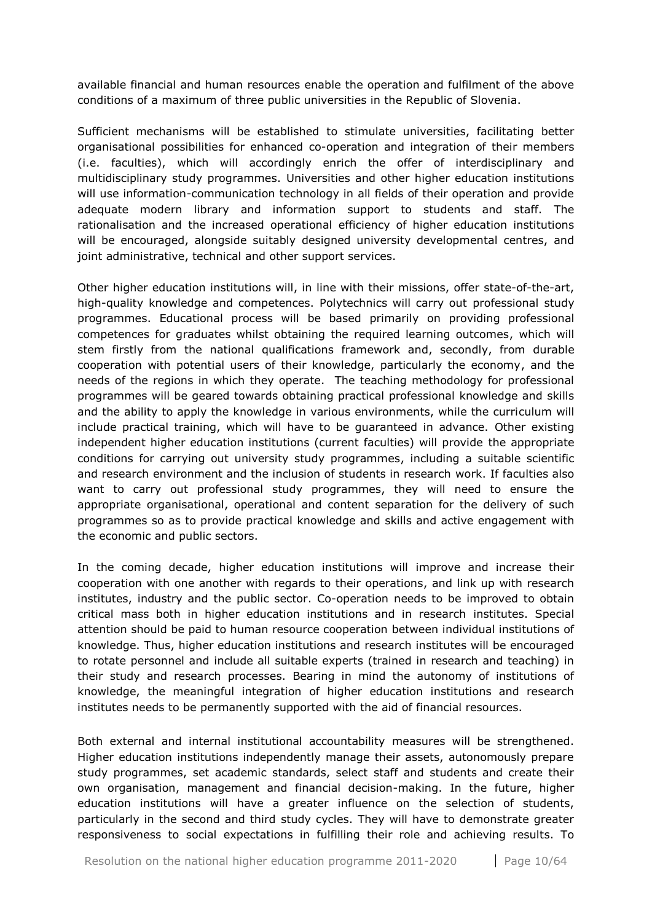available financial and human resources enable the operation and fulfilment of the above conditions of a maximum of three public universities in the Republic of Slovenia.

Sufficient mechanisms will be established to stimulate universities, facilitating better organisational possibilities for enhanced co-operation and integration of their members (i.e. faculties), which will accordingly enrich the offer of interdisciplinary and multidisciplinary study programmes. Universities and other higher education institutions will use information-communication technology in all fields of their operation and provide adequate modern library and information support to students and staff. The rationalisation and the increased operational efficiency of higher education institutions will be encouraged, alongside suitably designed university developmental centres, and joint administrative, technical and other support services.

Other higher education institutions will, in line with their missions, offer state-of-the-art, high-quality knowledge and competences. Polytechnics will carry out professional study programmes. Educational process will be based primarily on providing professional competences for graduates whilst obtaining the required learning outcomes, which will stem firstly from the national qualifications framework and, secondly, from durable cooperation with potential users of their knowledge, particularly the economy, and the needs of the regions in which they operate. The teaching methodology for professional programmes will be geared towards obtaining practical professional knowledge and skills and the ability to apply the knowledge in various environments, while the curriculum will include practical training, which will have to be guaranteed in advance. Other existing independent higher education institutions (current faculties) will provide the appropriate conditions for carrying out university study programmes, including a suitable scientific and research environment and the inclusion of students in research work. If faculties also want to carry out professional study programmes, they will need to ensure the appropriate organisational, operational and content separation for the delivery of such programmes so as to provide practical knowledge and skills and active engagement with the economic and public sectors.

In the coming decade, higher education institutions will improve and increase their cooperation with one another with regards to their operations, and link up with research institutes, industry and the public sector. Co-operation needs to be improved to obtain critical mass both in higher education institutions and in research institutes. Special attention should be paid to human resource cooperation between individual institutions of knowledge. Thus, higher education institutions and research institutes will be encouraged to rotate personnel and include all suitable experts (trained in research and teaching) in their study and research processes. Bearing in mind the autonomy of institutions of knowledge, the meaningful integration of higher education institutions and research institutes needs to be permanently supported with the aid of financial resources.

Both external and internal institutional accountability measures will be strengthened. Higher education institutions independently manage their assets, autonomously prepare study programmes, set academic standards, select staff and students and create their own organisation, management and financial decision-making. In the future, higher education institutions will have a greater influence on the selection of students, particularly in the second and third study cycles. They will have to demonstrate greater responsiveness to social expectations in fulfilling their role and achieving results. To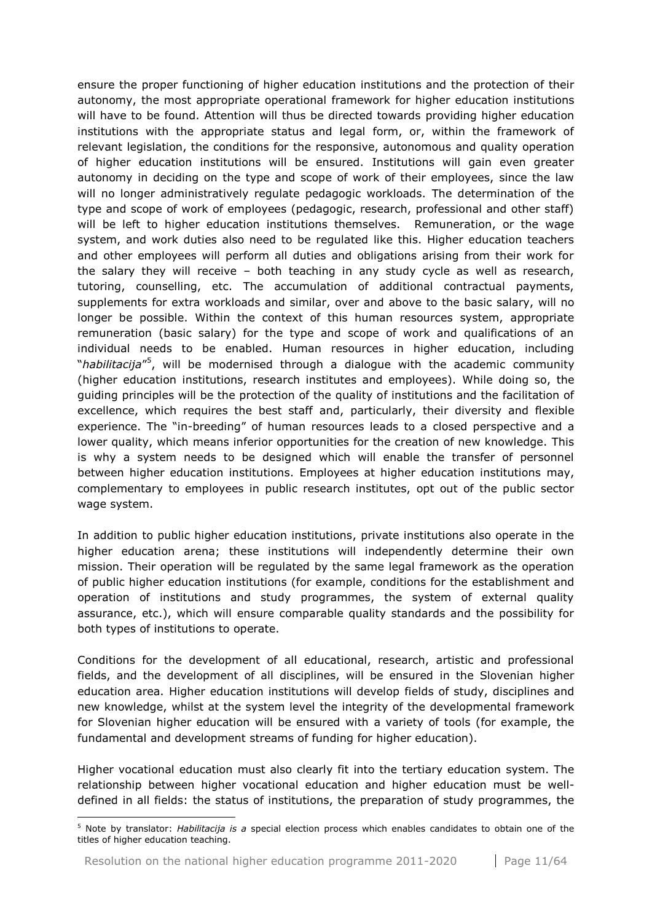ensure the proper functioning of higher education institutions and the protection of their autonomy, the most appropriate operational framework for higher education institutions will have to be found. Attention will thus be directed towards providing higher education institutions with the appropriate status and legal form, or, within the framework of relevant legislation, the conditions for the responsive, autonomous and quality operation of higher education institutions will be ensured. Institutions will gain even greater autonomy in deciding on the type and scope of work of their employees, since the law will no longer administratively regulate pedagogic workloads. The determination of the type and scope of work of employees (pedagogic, research, professional and other staff) will be left to higher education institutions themselves. Remuneration, or the wage system, and work duties also need to be regulated like this. Higher education teachers and other employees will perform all duties and obligations arising from their work for the salary they will receive – both teaching in any study cycle as well as research, tutoring, counselling, etc. The accumulation of additional contractual payments, supplements for extra workloads and similar, over and above to the basic salary, will no longer be possible. Within the context of this human resources system, appropriate remuneration (basic salary) for the type and scope of work and qualifications of an individual needs to be enabled. Human resources in higher education, including "*habilitacija"*<sup>5</sup>, will be modernised through a dialogue with the academic community (higher education institutions, research institutes and employees). While doing so, the guiding principles will be the protection of the quality of institutions and the facilitation of excellence, which requires the best staff and, particularly, their diversity and flexible experience. The "in-breeding" of human resources leads to a closed perspective and a lower quality, which means inferior opportunities for the creation of new knowledge. This is why a system needs to be designed which will enable the transfer of personnel between higher education institutions. Employees at higher education institutions may, complementary to employees in public research institutes, opt out of the public sector wage system.

In addition to public higher education institutions, private institutions also operate in the higher education arena; these institutions will independently determine their own mission. Their operation will be regulated by the same legal framework as the operation of public higher education institutions (for example, conditions for the establishment and operation of institutions and study programmes, the system of external quality assurance, etc.), which will ensure comparable quality standards and the possibility for both types of institutions to operate.

Conditions for the development of all educational, research, artistic and professional fields, and the development of all disciplines, will be ensured in the Slovenian higher education area. Higher education institutions will develop fields of study, disciplines and new knowledge, whilst at the system level the integrity of the developmental framework for Slovenian higher education will be ensured with a variety of tools (for example, the fundamental and development streams of funding for higher education).

Higher vocational education must also clearly fit into the tertiary education system. The relationship between higher vocational education and higher education must be welldefined in all fields: the status of institutions, the preparation of study programmes, the

1

<sup>5</sup> Note by translator: *Habilitacija is a* special election process which enables candidates to obtain one of the titles of higher education teaching.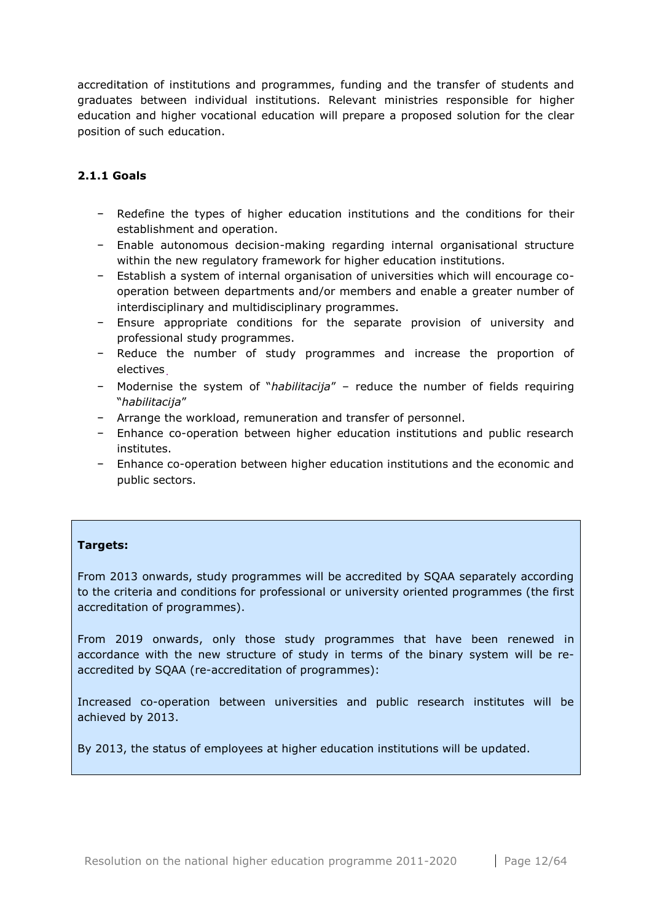accreditation of institutions and programmes, funding and the transfer of students and graduates between individual institutions. Relevant ministries responsible for higher education and higher vocational education will prepare a proposed solution for the clear position of such education.

## <span id="page-11-0"></span>**2.1.1 Goals**

- − Redefine the types of higher education institutions and the conditions for their establishment and operation.
- − Enable autonomous decision-making regarding internal organisational structure within the new regulatory framework for higher education institutions.
- − Establish a system of internal organisation of universities which will encourage cooperation between departments and/or members and enable a greater number of interdisciplinary and multidisciplinary programmes.
- − Ensure appropriate conditions for the separate provision of university and professional study programmes.
- − Reduce the number of study programmes and increase the proportion of electives.
- − Modernise the system of "*habilitacija*" reduce the number of fields requiring "*habilitacija*"
- − Arrange the workload, remuneration and transfer of personnel.
- − Enhance co-operation between higher education institutions and public research institutes.
- − Enhance co-operation between higher education institutions and the economic and public sectors.

## **Targets:**

From 2013 onwards, study programmes will be accredited by SQAA separately according to the criteria and conditions for professional or university oriented programmes (the first accreditation of programmes).

From 2019 onwards, only those study programmes that have been renewed in accordance with the new structure of study in terms of the binary system will be reaccredited by SQAA (re-accreditation of programmes):

Increased co-operation between universities and public research institutes will be achieved by 2013.

By 2013, the status of employees at higher education institutions will be updated.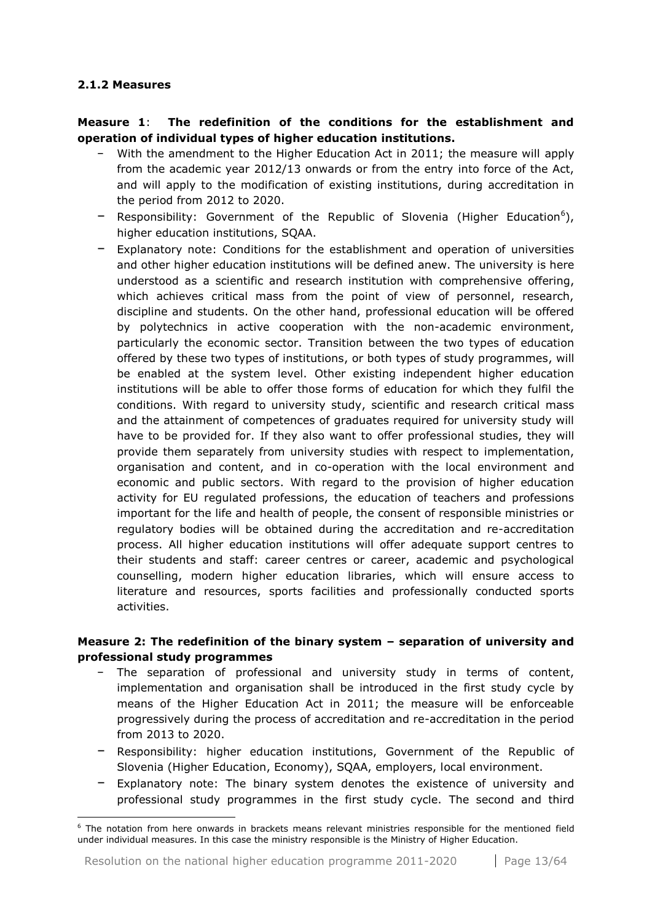#### <span id="page-12-0"></span>**2.1.2 Measures**

1

**Measure 1**: **The redefinition of the conditions for the establishment and operation of individual types of higher education institutions.**

- − With the amendment to the Higher Education Act in 2011; the measure will apply from the academic year 2012/13 onwards or from the entry into force of the Act, and will apply to the modification of existing institutions, during accreditation in the period from 2012 to 2020.
- − Responsibility: Government of the Republic of Slovenia (Higher Education<sup>6</sup>), higher education institutions, SQAA.
- − Explanatory note: Conditions for the establishment and operation of universities and other higher education institutions will be defined anew. The university is here understood as a scientific and research institution with comprehensive offering, which achieves critical mass from the point of view of personnel, research, discipline and students. On the other hand, professional education will be offered by polytechnics in active cooperation with the non-academic environment, particularly the economic sector. Transition between the two types of education offered by these two types of institutions, or both types of study programmes, will be enabled at the system level. Other existing independent higher education institutions will be able to offer those forms of education for which they fulfil the conditions. With regard to university study, scientific and research critical mass and the attainment of competences of graduates required for university study will have to be provided for. If they also want to offer professional studies, they will provide them separately from university studies with respect to implementation, organisation and content, and in co-operation with the local environment and economic and public sectors. With regard to the provision of higher education activity for EU regulated professions, the education of teachers and professions important for the life and health of people, the consent of responsible ministries or regulatory bodies will be obtained during the accreditation and re-accreditation process. All higher education institutions will offer adequate support centres to their students and staff: career centres or career, academic and psychological counselling, modern higher education libraries, which will ensure access to literature and resources, sports facilities and professionally conducted sports activities.

## **Measure 2: The redefinition of the binary system – separation of university and professional study programmes**

- The separation of professional and university study in terms of content, implementation and organisation shall be introduced in the first study cycle by means of the Higher Education Act in 2011; the measure will be enforceable progressively during the process of accreditation and re-accreditation in the period from 2013 to 2020.
- − Responsibility: higher education institutions, Government of the Republic of Slovenia (Higher Education, Economy), SQAA, employers, local environment.
- Explanatory note: The binary system denotes the existence of university and professional study programmes in the first study cycle. The second and third

<sup>&</sup>lt;sup>6</sup> The notation from here onwards in brackets means relevant ministries responsible for the mentioned field under individual measures. In this case the ministry responsible is the Ministry of Higher Education.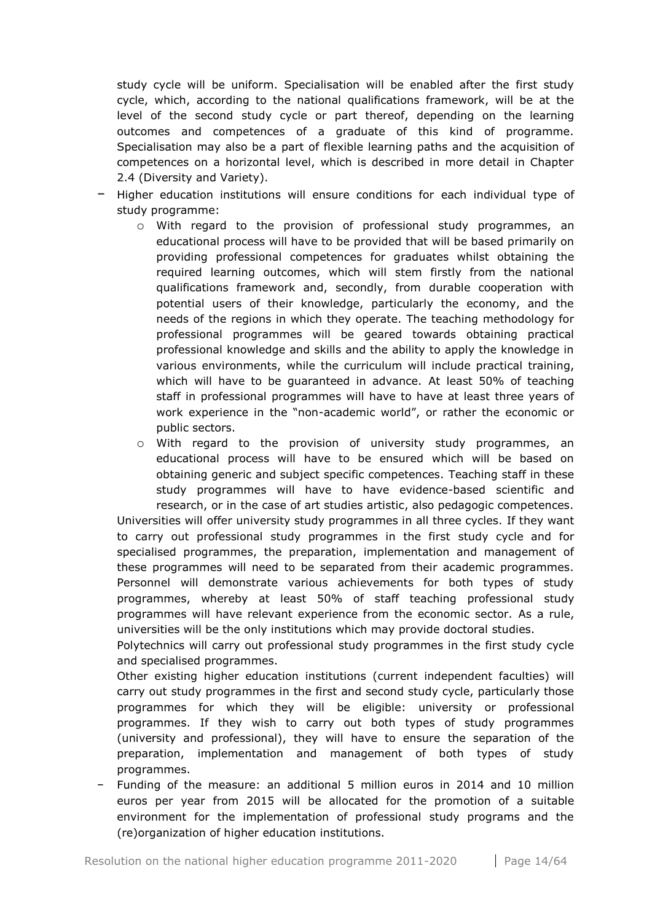study cycle will be uniform. Specialisation will be enabled after the first study cycle, which, according to the national qualifications framework, will be at the level of the second study cycle or part thereof, depending on the learning outcomes and competences of a graduate of this kind of programme. Specialisation may also be a part of flexible learning paths and the acquisition of competences on a horizontal level, which is described in more detail in Chapter 2.4 (Diversity and Variety).

- − Higher education institutions will ensure conditions for each individual type of study programme:
	- o With regard to the provision of professional study programmes, an educational process will have to be provided that will be based primarily on providing professional competences for graduates whilst obtaining the required learning outcomes, which will stem firstly from the national qualifications framework and, secondly, from durable cooperation with potential users of their knowledge, particularly the economy, and the needs of the regions in which they operate. The teaching methodology for professional programmes will be geared towards obtaining practical professional knowledge and skills and the ability to apply the knowledge in various environments, while the curriculum will include practical training, which will have to be guaranteed in advance. At least 50% of teaching staff in professional programmes will have to have at least three years of work experience in the "non-academic world", or rather the economic or public sectors.
	- o With regard to the provision of university study programmes, an educational process will have to be ensured which will be based on obtaining generic and subject specific competences. Teaching staff in these study programmes will have to have evidence-based scientific and research, or in the case of art studies artistic, also pedagogic competences.

Universities will offer university study programmes in all three cycles. If they want to carry out professional study programmes in the first study cycle and for specialised programmes, the preparation, implementation and management of these programmes will need to be separated from their academic programmes. Personnel will demonstrate various achievements for both types of study programmes, whereby at least 50% of staff teaching professional study programmes will have relevant experience from the economic sector. As a rule, universities will be the only institutions which may provide doctoral studies.

Polytechnics will carry out professional study programmes in the first study cycle and specialised programmes.

Other existing higher education institutions (current independent faculties) will carry out study programmes in the first and second study cycle, particularly those programmes for which they will be eligible: university or professional programmes. If they wish to carry out both types of study programmes (university and professional), they will have to ensure the separation of the preparation, implementation and management of both types of study programmes.

− Funding of the measure: an additional 5 million euros in 2014 and 10 million euros per year from 2015 will be allocated for the promotion of a suitable environment for the implementation of professional study programs and the (re)organization of higher education institutions.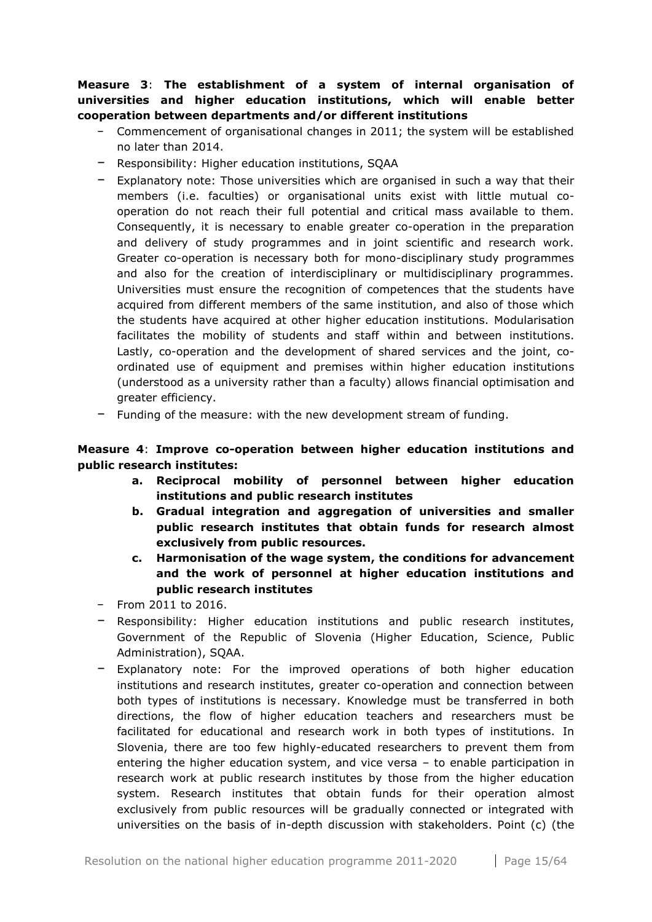**Measure 3**: **The establishment of a system of internal organisation of universities and higher education institutions, which will enable better cooperation between departments and/or different institutions**

- − Commencement of organisational changes in 2011; the system will be established no later than 2014.
- − Responsibility: Higher education institutions, SQAA
- − Explanatory note: Those universities which are organised in such a way that their members (i.e. faculties) or organisational units exist with little mutual cooperation do not reach their full potential and critical mass available to them. Consequently, it is necessary to enable greater co-operation in the preparation and delivery of study programmes and in joint scientific and research work. Greater co-operation is necessary both for mono-disciplinary study programmes and also for the creation of interdisciplinary or multidisciplinary programmes. Universities must ensure the recognition of competences that the students have acquired from different members of the same institution, and also of those which the students have acquired at other higher education institutions. Modularisation facilitates the mobility of students and staff within and between institutions. Lastly, co-operation and the development of shared services and the joint, coordinated use of equipment and premises within higher education institutions (understood as a university rather than a faculty) allows financial optimisation and greater efficiency.
- − Funding of the measure: with the new development stream of funding.

## **Measure 4**: **Improve co-operation between higher education institutions and public research institutes:**

- **a. Reciprocal mobility of personnel between higher education institutions and public research institutes**
- **b. Gradual integration and aggregation of universities and smaller public research institutes that obtain funds for research almost exclusively from public resources.**
- **c. Harmonisation of the wage system, the conditions for advancement and the work of personnel at higher education institutions and public research institutes**
- − From 2011 to 2016.
- − Responsibility: Higher education institutions and public research institutes, Government of the Republic of Slovenia (Higher Education, Science, Public Administration), SQAA.
- − Explanatory note: For the improved operations of both higher education institutions and research institutes, greater co-operation and connection between both types of institutions is necessary. Knowledge must be transferred in both directions, the flow of higher education teachers and researchers must be facilitated for educational and research work in both types of institutions. In Slovenia, there are too few highly-educated researchers to prevent them from entering the higher education system, and vice versa – to enable participation in research work at public research institutes by those from the higher education system. Research institutes that obtain funds for their operation almost exclusively from public resources will be gradually connected or integrated with universities on the basis of in-depth discussion with stakeholders. Point (c) (the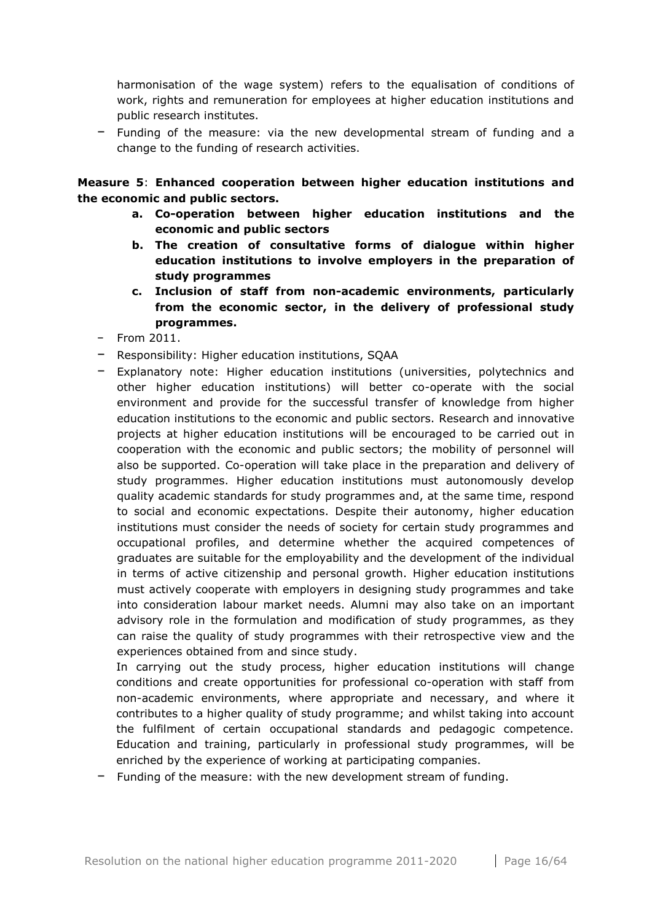harmonisation of the wage system) refers to the equalisation of conditions of work, rights and remuneration for employees at higher education institutions and public research institutes.

− Funding of the measure: via the new developmental stream of funding and a change to the funding of research activities.

**Measure 5**: **Enhanced cooperation between higher education institutions and the economic and public sectors.**

- **a. Co-operation between higher education institutions and the economic and public sectors**
- **b. The creation of consultative forms of dialogue within higher education institutions to involve employers in the preparation of study programmes**
- **c. Inclusion of staff from non-academic environments, particularly from the economic sector, in the delivery of professional study programmes.**
- − From 2011.
- − Responsibility: Higher education institutions, SQAA
- − Explanatory note: Higher education institutions (universities, polytechnics and other higher education institutions) will better co-operate with the social environment and provide for the successful transfer of knowledge from higher education institutions to the economic and public sectors. Research and innovative projects at higher education institutions will be encouraged to be carried out in cooperation with the economic and public sectors; the mobility of personnel will also be supported. Co-operation will take place in the preparation and delivery of study programmes. Higher education institutions must autonomously develop quality academic standards for study programmes and, at the same time, respond to social and economic expectations. Despite their autonomy, higher education institutions must consider the needs of society for certain study programmes and occupational profiles, and determine whether the acquired competences of graduates are suitable for the employability and the development of the individual in terms of active citizenship and personal growth. Higher education institutions must actively cooperate with employers in designing study programmes and take into consideration labour market needs. Alumni may also take on an important advisory role in the formulation and modification of study programmes, as they can raise the quality of study programmes with their retrospective view and the experiences obtained from and since study.

In carrying out the study process, higher education institutions will change conditions and create opportunities for professional co-operation with staff from non-academic environments, where appropriate and necessary, and where it contributes to a higher quality of study programme; and whilst taking into account the fulfilment of certain occupational standards and pedagogic competence. Education and training, particularly in professional study programmes, will be enriched by the experience of working at participating companies.

− Funding of the measure: with the new development stream of funding.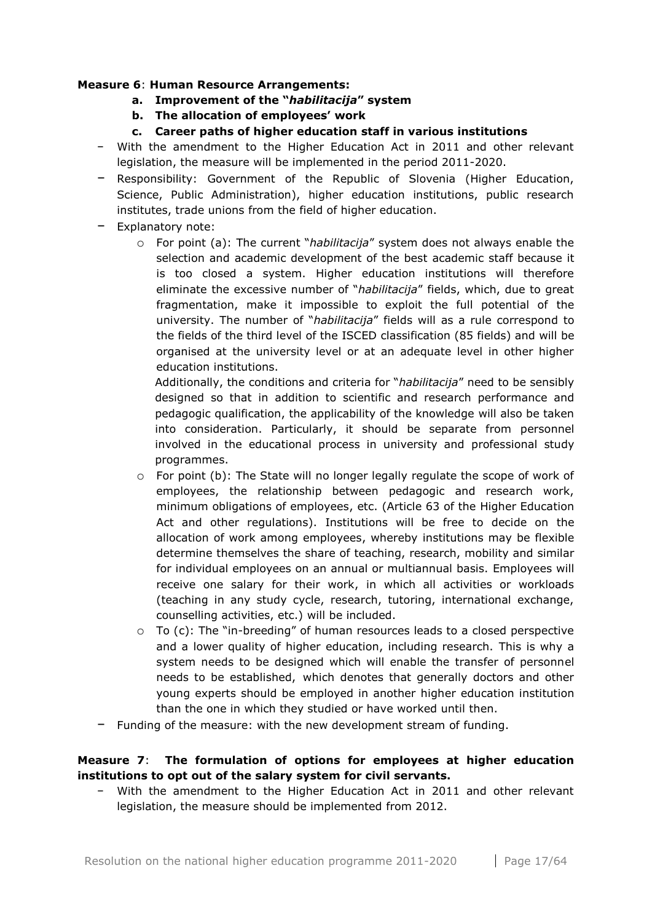## **Measure 6**: **Human Resource Arrangements:**

- **a. Improvement of the "***habilitacija***" system**
- **b. The allocation of employees' work**
- **c. Career paths of higher education staff in various institutions**
- − With the amendment to the Higher Education Act in 2011 and other relevant legislation, the measure will be implemented in the period 2011-2020.
- − Responsibility: Government of the Republic of Slovenia (Higher Education, Science, Public Administration), higher education institutions, public research institutes, trade unions from the field of higher education.
- − Explanatory note:
	- o For point (a): The current "*habilitacija*" system does not always enable the selection and academic development of the best academic staff because it is too closed a system. Higher education institutions will therefore eliminate the excessive number of "*habilitacija*" fields, which, due to great fragmentation, make it impossible to exploit the full potential of the university. The number of "*habilitacija*" fields will as a rule correspond to the fields of the third level of the ISCED classification (85 fields) and will be organised at the university level or at an adequate level in other higher education institutions.

Additionally, the conditions and criteria for "*habilitacija*" need to be sensibly designed so that in addition to scientific and research performance and pedagogic qualification, the applicability of the knowledge will also be taken into consideration. Particularly, it should be separate from personnel involved in the educational process in university and professional study programmes.

- $\circ$  For point (b): The State will no longer legally regulate the scope of work of employees, the relationship between pedagogic and research work, minimum obligations of employees, etc. (Article 63 of the Higher Education Act and other regulations). Institutions will be free to decide on the allocation of work among employees, whereby institutions may be flexible determine themselves the share of teaching, research, mobility and similar for individual employees on an annual or multiannual basis. Employees will receive one salary for their work, in which all activities or workloads (teaching in any study cycle, research, tutoring, international exchange, counselling activities, etc.) will be included.
- o To (c): The "in-breeding" of human resources leads to a closed perspective and a lower quality of higher education, including research. This is why a system needs to be designed which will enable the transfer of personnel needs to be established, which denotes that generally doctors and other young experts should be employed in another higher education institution than the one in which they studied or have worked until then.
- − Funding of the measure: with the new development stream of funding.

## **Measure 7**: **The formulation of options for employees at higher education institutions to opt out of the salary system for civil servants.**

− With the amendment to the Higher Education Act in 2011 and other relevant legislation, the measure should be implemented from 2012.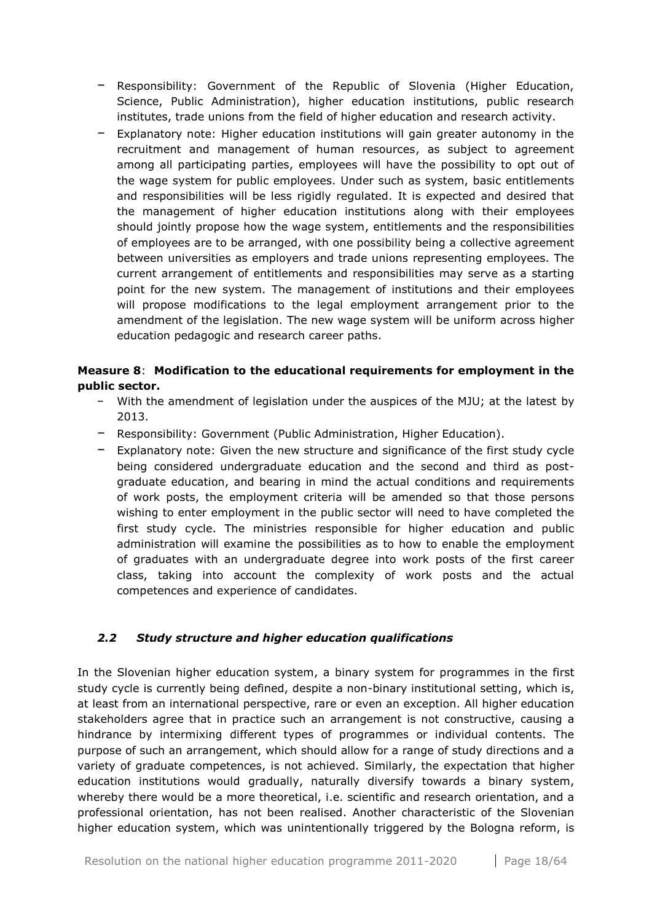- − Responsibility: Government of the Republic of Slovenia (Higher Education, Science, Public Administration), higher education institutions, public research institutes, trade unions from the field of higher education and research activity.
- − Explanatory note: Higher education institutions will gain greater autonomy in the recruitment and management of human resources, as subject to agreement among all participating parties, employees will have the possibility to opt out of the wage system for public employees. Under such as system, basic entitlements and responsibilities will be less rigidly regulated. It is expected and desired that the management of higher education institutions along with their employees should jointly propose how the wage system, entitlements and the responsibilities of employees are to be arranged, with one possibility being a collective agreement between universities as employers and trade unions representing employees. The current arrangement of entitlements and responsibilities may serve as a starting point for the new system. The management of institutions and their employees will propose modifications to the legal employment arrangement prior to the amendment of the legislation. The new wage system will be uniform across higher education pedagogic and research career paths.

## **Measure 8**: **Modification to the educational requirements for employment in the public sector.**

- − With the amendment of legislation under the auspices of the MJU; at the latest by 2013.
- − Responsibility: Government (Public Administration, Higher Education).
- − Explanatory note: Given the new structure and significance of the first study cycle being considered undergraduate education and the second and third as postgraduate education, and bearing in mind the actual conditions and requirements of work posts, the employment criteria will be amended so that those persons wishing to enter employment in the public sector will need to have completed the first study cycle. The ministries responsible for higher education and public administration will examine the possibilities as to how to enable the employment of graduates with an undergraduate degree into work posts of the first career class, taking into account the complexity of work posts and the actual competences and experience of candidates.

## <span id="page-17-0"></span>*2.2 Study structure and higher education qualifications*

In the Slovenian higher education system, a binary system for programmes in the first study cycle is currently being defined, despite a non-binary institutional setting, which is, at least from an international perspective, rare or even an exception. All higher education stakeholders agree that in practice such an arrangement is not constructive, causing a hindrance by intermixing different types of programmes or individual contents. The purpose of such an arrangement, which should allow for a range of study directions and a variety of graduate competences, is not achieved. Similarly, the expectation that higher education institutions would gradually, naturally diversify towards a binary system, whereby there would be a more theoretical, i.e. scientific and research orientation, and a professional orientation, has not been realised. Another characteristic of the Slovenian higher education system, which was unintentionally triggered by the Bologna reform, is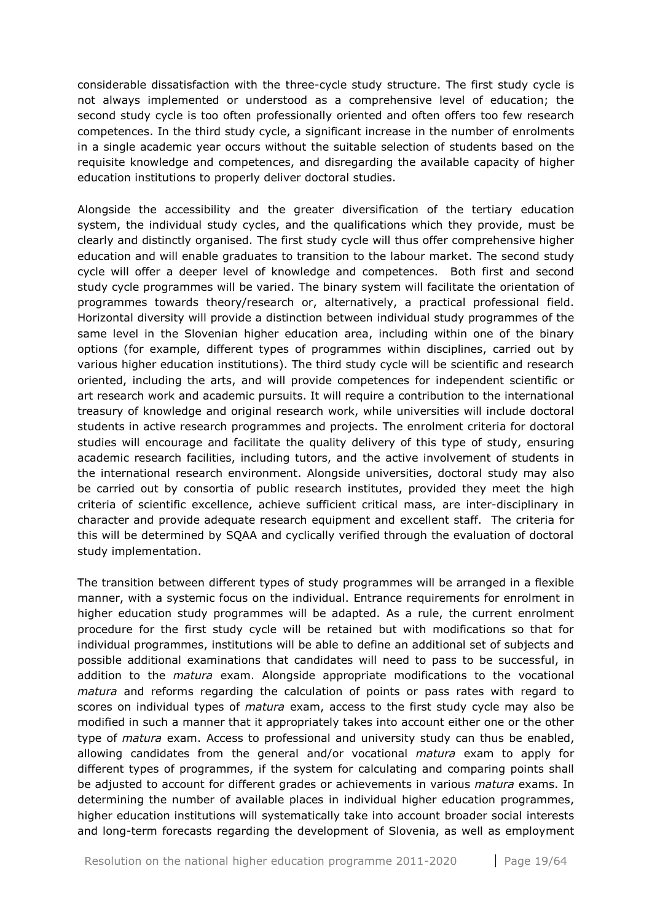considerable dissatisfaction with the three-cycle study structure. The first study cycle is not always implemented or understood as a comprehensive level of education; the second study cycle is too often professionally oriented and often offers too few research competences. In the third study cycle, a significant increase in the number of enrolments in a single academic year occurs without the suitable selection of students based on the requisite knowledge and competences, and disregarding the available capacity of higher education institutions to properly deliver doctoral studies.

Alongside the accessibility and the greater diversification of the tertiary education system, the individual study cycles, and the qualifications which they provide, must be clearly and distinctly organised. The first study cycle will thus offer comprehensive higher education and will enable graduates to transition to the labour market. The second study cycle will offer a deeper level of knowledge and competences. Both first and second study cycle programmes will be varied. The binary system will facilitate the orientation of programmes towards theory/research or, alternatively, a practical professional field. Horizontal diversity will provide a distinction between individual study programmes of the same level in the Slovenian higher education area, including within one of the binary options (for example, different types of programmes within disciplines, carried out by various higher education institutions). The third study cycle will be scientific and research oriented, including the arts, and will provide competences for independent scientific or art research work and academic pursuits. It will require a contribution to the international treasury of knowledge and original research work, while universities will include doctoral students in active research programmes and projects. The enrolment criteria for doctoral studies will encourage and facilitate the quality delivery of this type of study, ensuring academic research facilities, including tutors, and the active involvement of students in the international research environment. Alongside universities, doctoral study may also be carried out by consortia of public research institutes, provided they meet the high criteria of scientific excellence, achieve sufficient critical mass, are inter-disciplinary in character and provide adequate research equipment and excellent staff. The criteria for this will be determined by SQAA and cyclically verified through the evaluation of doctoral study implementation.

The transition between different types of study programmes will be arranged in a flexible manner, with a systemic focus on the individual. Entrance requirements for enrolment in higher education study programmes will be adapted. As a rule, the current enrolment procedure for the first study cycle will be retained but with modifications so that for individual programmes, institutions will be able to define an additional set of subjects and possible additional examinations that candidates will need to pass to be successful, in addition to the *matura* exam. Alongside appropriate modifications to the vocational *matura* and reforms regarding the calculation of points or pass rates with regard to scores on individual types of *matura* exam, access to the first study cycle may also be modified in such a manner that it appropriately takes into account either one or the other type of *matura* exam. Access to professional and university study can thus be enabled, allowing candidates from the general and/or vocational *matura* exam to apply for different types of programmes, if the system for calculating and comparing points shall be adjusted to account for different grades or achievements in various *matura* exams. In determining the number of available places in individual higher education programmes, higher education institutions will systematically take into account broader social interests and long-term forecasts regarding the development of Slovenia, as well as employment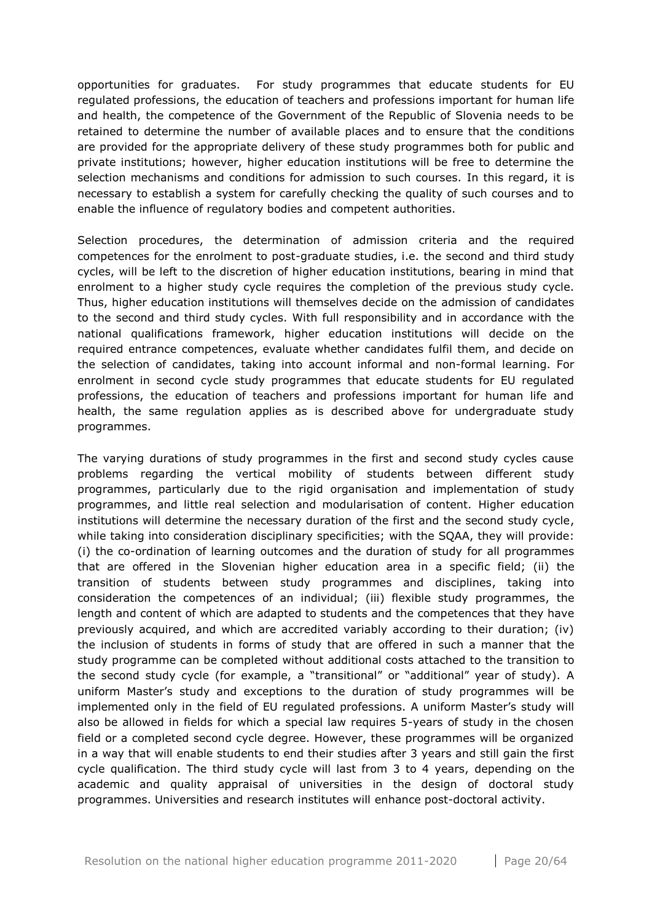opportunities for graduates. For study programmes that educate students for EU regulated professions, the education of teachers and professions important for human life and health, the competence of the Government of the Republic of Slovenia needs to be retained to determine the number of available places and to ensure that the conditions are provided for the appropriate delivery of these study programmes both for public and private institutions; however, higher education institutions will be free to determine the selection mechanisms and conditions for admission to such courses. In this regard, it is necessary to establish a system for carefully checking the quality of such courses and to enable the influence of regulatory bodies and competent authorities.

Selection procedures, the determination of admission criteria and the required competences for the enrolment to post-graduate studies, i.e. the second and third study cycles, will be left to the discretion of higher education institutions, bearing in mind that enrolment to a higher study cycle requires the completion of the previous study cycle. Thus, higher education institutions will themselves decide on the admission of candidates to the second and third study cycles. With full responsibility and in accordance with the national qualifications framework, higher education institutions will decide on the required entrance competences, evaluate whether candidates fulfil them, and decide on the selection of candidates, taking into account informal and non-formal learning. For enrolment in second cycle study programmes that educate students for EU regulated professions, the education of teachers and professions important for human life and health, the same regulation applies as is described above for undergraduate study programmes.

The varying durations of study programmes in the first and second study cycles cause problems regarding the vertical mobility of students between different study programmes, particularly due to the rigid organisation and implementation of study programmes, and little real selection and modularisation of content. Higher education institutions will determine the necessary duration of the first and the second study cycle, while taking into consideration disciplinary specificities; with the SQAA, they will provide: (i) the co-ordination of learning outcomes and the duration of study for all programmes that are offered in the Slovenian higher education area in a specific field; (ii) the transition of students between study programmes and disciplines, taking into consideration the competences of an individual; (iii) flexible study programmes, the length and content of which are adapted to students and the competences that they have previously acquired, and which are accredited variably according to their duration; (iv) the inclusion of students in forms of study that are offered in such a manner that the study programme can be completed without additional costs attached to the transition to the second study cycle (for example, a "transitional" or "additional" year of study). A uniform Master's study and exceptions to the duration of study programmes will be implemented only in the field of EU regulated professions. A uniform Master's study will also be allowed in fields for which a special law requires 5-years of study in the chosen field or a completed second cycle degree. However, these programmes will be organized in a way that will enable students to end their studies after 3 years and still gain the first cycle qualification. The third study cycle will last from 3 to 4 years, depending on the academic and quality appraisal of universities in the design of doctoral study programmes. Universities and research institutes will enhance post-doctoral activity.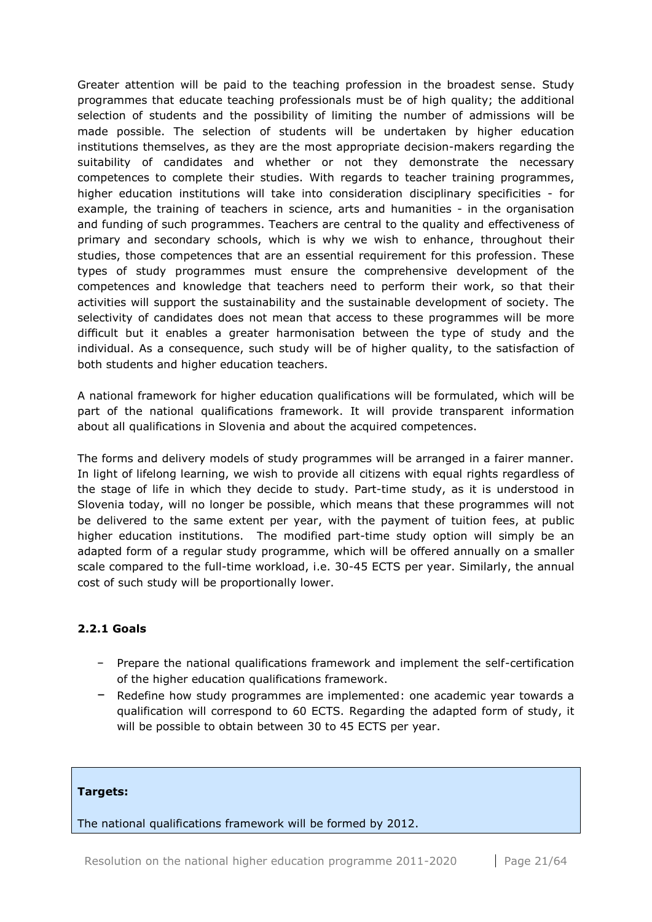Greater attention will be paid to the teaching profession in the broadest sense. Study programmes that educate teaching professionals must be of high quality; the additional selection of students and the possibility of limiting the number of admissions will be made possible. The selection of students will be undertaken by higher education institutions themselves, as they are the most appropriate decision-makers regarding the suitability of candidates and whether or not they demonstrate the necessary competences to complete their studies. With regards to teacher training programmes, higher education institutions will take into consideration disciplinary specificities - for example, the training of teachers in science, arts and humanities - in the organisation and funding of such programmes. Teachers are central to the quality and effectiveness of primary and secondary schools, which is why we wish to enhance, throughout their studies, those competences that are an essential requirement for this profession. These types of study programmes must ensure the comprehensive development of the competences and knowledge that teachers need to perform their work, so that their activities will support the sustainability and the sustainable development of society. The selectivity of candidates does not mean that access to these programmes will be more difficult but it enables a greater harmonisation between the type of study and the individual. As a consequence, such study will be of higher quality, to the satisfaction of both students and higher education teachers.

A national framework for higher education qualifications will be formulated, which will be part of the national qualifications framework. It will provide transparent information about all qualifications in Slovenia and about the acquired competences.

The forms and delivery models of study programmes will be arranged in a fairer manner. In light of lifelong learning, we wish to provide all citizens with equal rights regardless of the stage of life in which they decide to study. Part-time study, as it is understood in Slovenia today, will no longer be possible, which means that these programmes will not be delivered to the same extent per year, with the payment of tuition fees, at public higher education institutions. The modified part-time study option will simply be an adapted form of a regular study programme, which will be offered annually on a smaller scale compared to the full-time workload, i.e. 30-45 ECTS per year. Similarly, the annual cost of such study will be proportionally lower.

## <span id="page-20-0"></span>**2.2.1 Goals**

- − Prepare the national qualifications framework and implement the self-certification of the higher education qualifications framework.
- − Redefine how study programmes are implemented: one academic year towards a qualification will correspond to 60 ECTS. Regarding the adapted form of study, it will be possible to obtain between 30 to 45 ECTS per year.

#### **Targets:**

The national qualifications framework will be formed by 2012.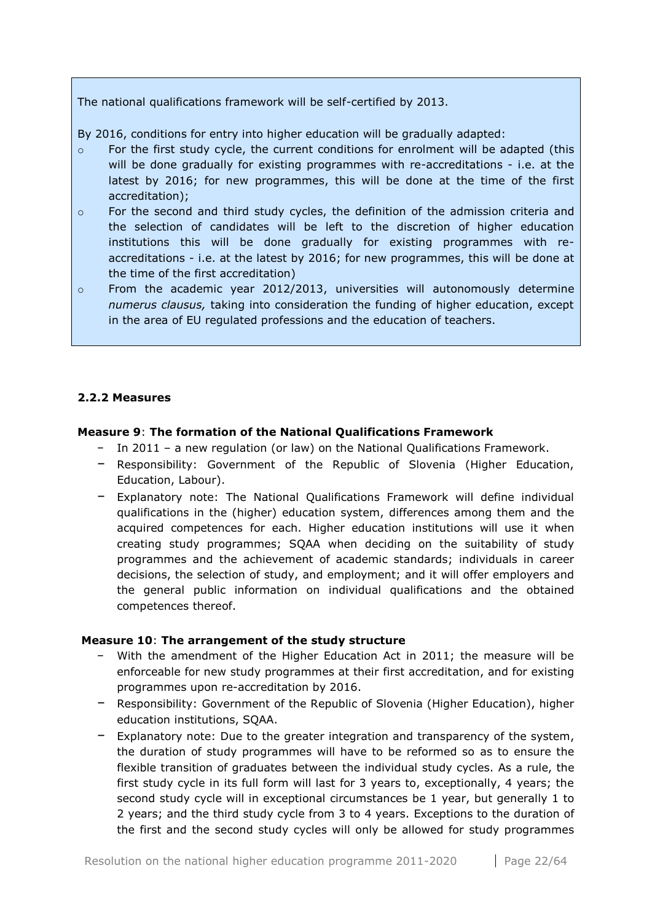The national qualifications framework will be self-certified by 2013.

By 2016, conditions for entry into higher education will be gradually adapted:

- o For the first study cycle, the current conditions for enrolment will be adapted (this will be done gradually for existing programmes with re-accreditations - i.e. at the latest by 2016; for new programmes, this will be done at the time of the first accreditation);
- $\circ$  For the second and third study cycles, the definition of the admission criteria and the selection of candidates will be left to the discretion of higher education institutions this will be done gradually for existing programmes with reaccreditations - i.e. at the latest by 2016; for new programmes, this will be done at the time of the first accreditation)
- $\circ$  From the academic year 2012/2013, universities will autonomously determine *numerus clausus,* taking into consideration the funding of higher education, except in the area of EU regulated professions and the education of teachers.

## <span id="page-21-0"></span>**2.2.2 Measures**

#### **Measure 9**: **The formation of the National Qualifications Framework**

- − In 2011 a new regulation (or law) on the National Qualifications Framework.
- − Responsibility: Government of the Republic of Slovenia (Higher Education, Education, Labour).
- − Explanatory note: The National Qualifications Framework will define individual qualifications in the (higher) education system, differences among them and the acquired competences for each. Higher education institutions will use it when creating study programmes; SQAA when deciding on the suitability of study programmes and the achievement of academic standards; individuals in career decisions, the selection of study, and employment; and it will offer employers and the general public information on individual qualifications and the obtained competences thereof.

#### **Measure 10**: **The arrangement of the study structure**

- − With the amendment of the Higher Education Act in 2011; the measure will be enforceable for new study programmes at their first accreditation, and for existing programmes upon re-accreditation by 2016.
- − Responsibility: Government of the Republic of Slovenia (Higher Education), higher education institutions, SQAA.
- − Explanatory note: Due to the greater integration and transparency of the system, the duration of study programmes will have to be reformed so as to ensure the flexible transition of graduates between the individual study cycles. As a rule, the first study cycle in its full form will last for 3 years to, exceptionally, 4 years; the second study cycle will in exceptional circumstances be 1 year, but generally 1 to 2 years; and the third study cycle from 3 to 4 years. Exceptions to the duration of the first and the second study cycles will only be allowed for study programmes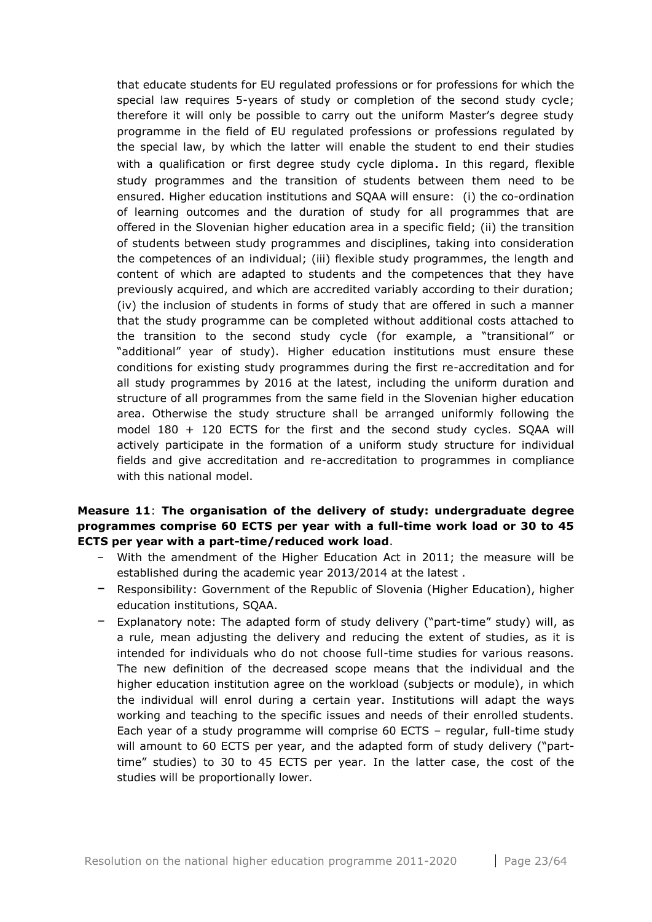that educate students for EU regulated professions or for professions for which the special law requires 5-years of study or completion of the second study cycle; therefore it will only be possible to carry out the uniform Master's degree study programme in the field of EU regulated professions or professions regulated by the special law, by which the latter will enable the student to end their studies with a qualification or first degree study cycle diploma. In this regard, flexible study programmes and the transition of students between them need to be ensured. Higher education institutions and SQAA will ensure: (i) the co-ordination of learning outcomes and the duration of study for all programmes that are offered in the Slovenian higher education area in a specific field; (ii) the transition of students between study programmes and disciplines, taking into consideration the competences of an individual; (iii) flexible study programmes, the length and content of which are adapted to students and the competences that they have previously acquired, and which are accredited variably according to their duration; (iv) the inclusion of students in forms of study that are offered in such a manner that the study programme can be completed without additional costs attached to the transition to the second study cycle (for example, a "transitional" or "additional" year of study). Higher education institutions must ensure these conditions for existing study programmes during the first re-accreditation and for all study programmes by 2016 at the latest, including the uniform duration and structure of all programmes from the same field in the Slovenian higher education area. Otherwise the study structure shall be arranged uniformly following the model 180 + 120 ECTS for the first and the second study cycles. SQAA will actively participate in the formation of a uniform study structure for individual fields and give accreditation and re-accreditation to programmes in compliance with this national model.

## **Measure 11**: **The organisation of the delivery of study: undergraduate degree programmes comprise 60 ECTS per year with a full-time work load or 30 to 45 ECTS per year with a part-time/reduced work load**.

- − With the amendment of the Higher Education Act in 2011; the measure will be established during the academic year 2013/2014 at the latest .
- − Responsibility: Government of the Republic of Slovenia (Higher Education), higher education institutions, SQAA.
- − Explanatory note: The adapted form of study delivery ("part-time" study) will, as a rule, mean adjusting the delivery and reducing the extent of studies, as it is intended for individuals who do not choose full-time studies for various reasons. The new definition of the decreased scope means that the individual and the higher education institution agree on the workload (subjects or module), in which the individual will enrol during a certain year. Institutions will adapt the ways working and teaching to the specific issues and needs of their enrolled students. Each year of a study programme will comprise 60 ECTS – regular, full-time study will amount to 60 ECTS per year, and the adapted form of study delivery ("parttime" studies) to 30 to 45 ECTS per year. In the latter case, the cost of the studies will be proportionally lower.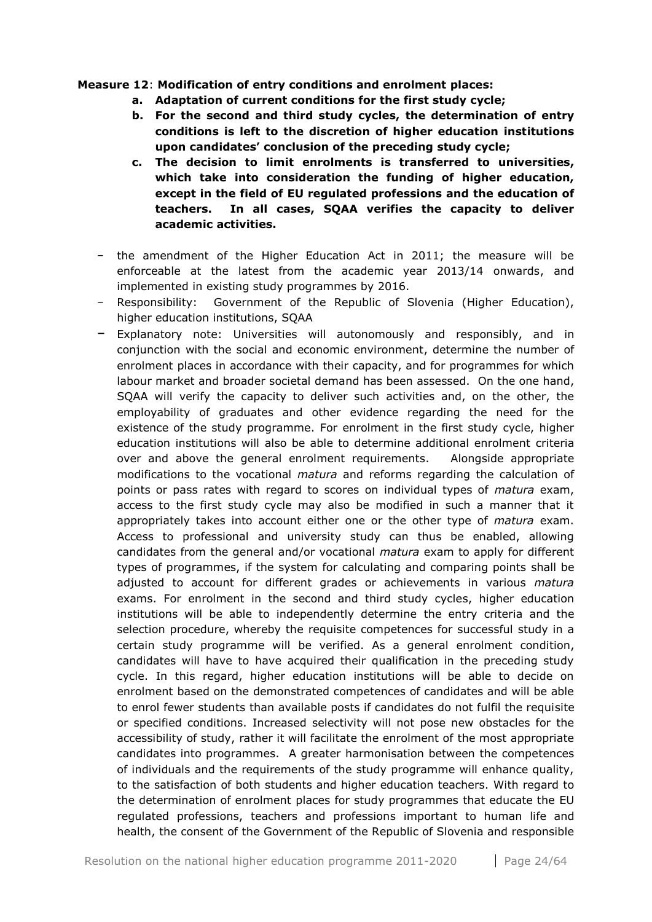#### **Measure 12**: **Modification of entry conditions and enrolment places:**

- **a. Adaptation of current conditions for the first study cycle;**
- **b. For the second and third study cycles, the determination of entry conditions is left to the discretion of higher education institutions upon candidates' conclusion of the preceding study cycle;**
- **c. The decision to limit enrolments is transferred to universities, which take into consideration the funding of higher education, except in the field of EU regulated professions and the education of teachers. In all cases, SQAA verifies the capacity to deliver academic activities.**
- − the amendment of the Higher Education Act in 2011; the measure will be enforceable at the latest from the academic year 2013/14 onwards, and implemented in existing study programmes by 2016.
- − Responsibility: Government of the Republic of Slovenia (Higher Education), higher education institutions, SQAA
- − Explanatory note: Universities will autonomously and responsibly, and in conjunction with the social and economic environment, determine the number of enrolment places in accordance with their capacity, and for programmes for which labour market and broader societal demand has been assessed. On the one hand, SQAA will verify the capacity to deliver such activities and, on the other, the employability of graduates and other evidence regarding the need for the existence of the study programme. For enrolment in the first study cycle, higher education institutions will also be able to determine additional enrolment criteria over and above the general enrolment requirements. Alongside appropriate modifications to the vocational *matura* and reforms regarding the calculation of points or pass rates with regard to scores on individual types of *matura* exam, access to the first study cycle may also be modified in such a manner that it appropriately takes into account either one or the other type of *matura* exam. Access to professional and university study can thus be enabled, allowing candidates from the general and/or vocational *matura* exam to apply for different types of programmes, if the system for calculating and comparing points shall be adjusted to account for different grades or achievements in various *matura* exams. For enrolment in the second and third study cycles, higher education institutions will be able to independently determine the entry criteria and the selection procedure, whereby the requisite competences for successful study in a certain study programme will be verified. As a general enrolment condition, candidates will have to have acquired their qualification in the preceding study cycle. In this regard, higher education institutions will be able to decide on enrolment based on the demonstrated competences of candidates and will be able to enrol fewer students than available posts if candidates do not fulfil the requisite or specified conditions. Increased selectivity will not pose new obstacles for the accessibility of study, rather it will facilitate the enrolment of the most appropriate candidates into programmes. A greater harmonisation between the competences of individuals and the requirements of the study programme will enhance quality, to the satisfaction of both students and higher education teachers. With regard to the determination of enrolment places for study programmes that educate the EU regulated professions, teachers and professions important to human life and health, the consent of the Government of the Republic of Slovenia and responsible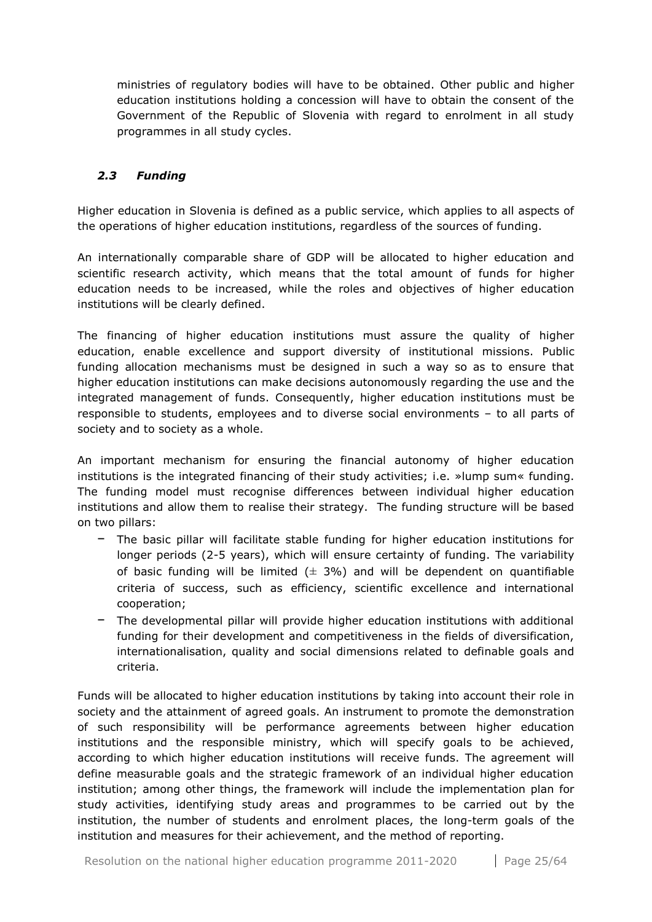ministries of regulatory bodies will have to be obtained. Other public and higher education institutions holding a concession will have to obtain the consent of the Government of the Republic of Slovenia with regard to enrolment in all study programmes in all study cycles.

## <span id="page-24-0"></span>*2.3 Funding*

Higher education in Slovenia is defined as a public service, which applies to all aspects of the operations of higher education institutions, regardless of the sources of funding.

An internationally comparable share of GDP will be allocated to higher education and scientific research activity, which means that the total amount of funds for higher education needs to be increased, while the roles and objectives of higher education institutions will be clearly defined.

The financing of higher education institutions must assure the quality of higher education, enable excellence and support diversity of institutional missions. Public funding allocation mechanisms must be designed in such a way so as to ensure that higher education institutions can make decisions autonomously regarding the use and the integrated management of funds. Consequently, higher education institutions must be responsible to students, employees and to diverse social environments – to all parts of society and to society as a whole.

An important mechanism for ensuring the financial autonomy of higher education institutions is the integrated financing of their study activities; i.e. »lump sum« funding. The funding model must recognise differences between individual higher education institutions and allow them to realise their strategy. The funding structure will be based on two pillars:

- − The basic pillar will facilitate stable funding for higher education institutions for longer periods (2-5 years), which will ensure certainty of funding. The variability of basic funding will be limited  $(\pm 3\%)$  and will be dependent on quantifiable criteria of success, such as efficiency, scientific excellence and international cooperation;
- − The developmental pillar will provide higher education institutions with additional funding for their development and competitiveness in the fields of diversification, internationalisation, quality and social dimensions related to definable goals and criteria.

Funds will be allocated to higher education institutions by taking into account their role in society and the attainment of agreed goals. An instrument to promote the demonstration of such responsibility will be performance agreements between higher education institutions and the responsible ministry, which will specify goals to be achieved, according to which higher education institutions will receive funds. The agreement will define measurable goals and the strategic framework of an individual higher education institution; among other things, the framework will include the implementation plan for study activities, identifying study areas and programmes to be carried out by the institution, the number of students and enrolment places, the long-term goals of the institution and measures for their achievement, and the method of reporting.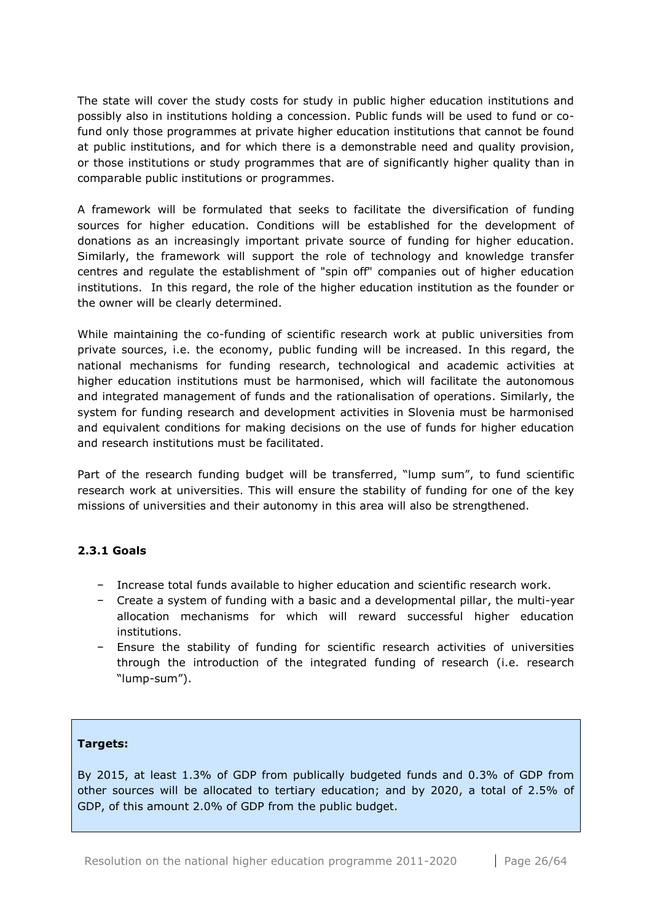The state will cover the study costs for study in public higher education institutions and possibly also in institutions holding a concession. Public funds will be used to fund or cofund only those programmes at private higher education institutions that cannot be found at public institutions, and for which there is a demonstrable need and quality provision, or those institutions or study programmes that are of significantly higher quality than in comparable public institutions or programmes.

A framework will be formulated that seeks to facilitate the diversification of funding sources for higher education. Conditions will be established for the development of donations as an increasingly important private source of funding for higher education. Similarly, the framework will support the role of technology and knowledge transfer centres and regulate the establishment of "spin off" companies out of higher education institutions. In this regard, the role of the higher education institution as the founder or the owner will be clearly determined.

While maintaining the co-funding of scientific research work at public universities from private sources, i.e. the economy, public funding will be increased. In this regard, the national mechanisms for funding research, technological and academic activities at higher education institutions must be harmonised, which will facilitate the autonomous and integrated management of funds and the rationalisation of operations. Similarly, the system for funding research and development activities in Slovenia must be harmonised and equivalent conditions for making decisions on the use of funds for higher education and research institutions must be facilitated.

Part of the research funding budget will be transferred, "lump sum", to fund scientific research work at universities. This will ensure the stability of funding for one of the key missions of universities and their autonomy in this area will also be strengthened.

## <span id="page-25-0"></span>**2.3.1 Goals**

- − Increase total funds available to higher education and scientific research work.
- − Create a system of funding with a basic and a developmental pillar, the multi-year allocation mechanisms for which will reward successful higher education institutions.
- − Ensure the stability of funding for scientific research activities of universities through the introduction of the integrated funding of research (i.e. research "lump-sum").

## **Targets:**

By 2015, at least 1.3% of GDP from publically budgeted funds and 0.3% of GDP from other sources will be allocated to tertiary education; and by 2020, a total of 2.5% of GDP, of this amount 2.0% of GDP from the public budget.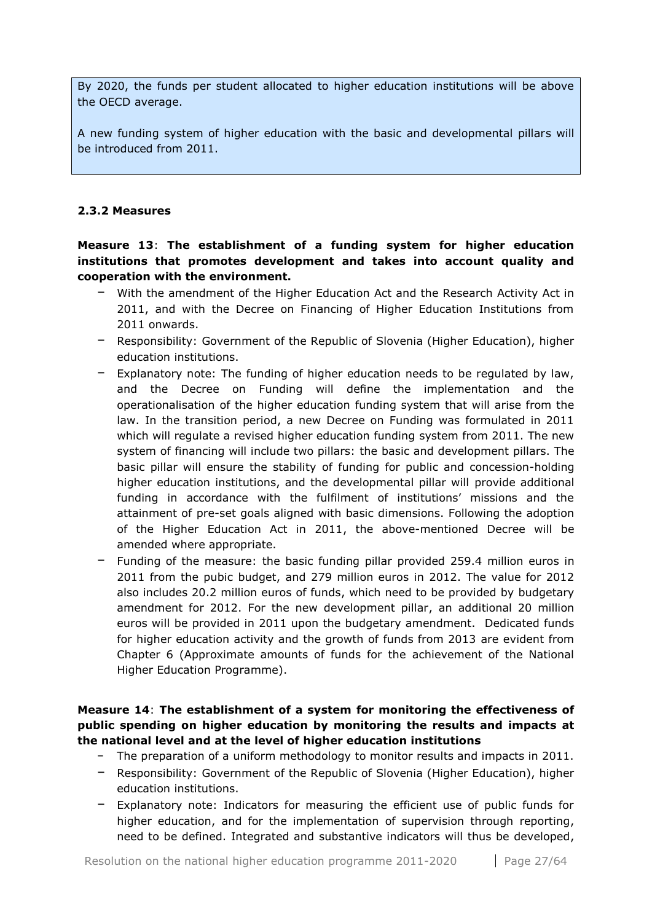By 2020, the funds per student allocated to higher education institutions will be above the OECD average.

A new funding system of higher education with the basic and developmental pillars will be introduced from 2011.

#### <span id="page-26-0"></span>**2.3.2 Measures**

## **Measure 13**: **The establishment of a funding system for higher education institutions that promotes development and takes into account quality and cooperation with the environment.**

- − With the amendment of the Higher Education Act and the Research Activity Act in 2011, and with the Decree on Financing of Higher Education Institutions from 2011 onwards.
- − Responsibility: Government of the Republic of Slovenia (Higher Education), higher education institutions.
- − Explanatory note: The funding of higher education needs to be regulated by law, and the Decree on Funding will define the implementation and the operationalisation of the higher education funding system that will arise from the law. In the transition period, a new Decree on Funding was formulated in 2011 which will regulate a revised higher education funding system from 2011. The new system of financing will include two pillars: the basic and development pillars. The basic pillar will ensure the stability of funding for public and concession-holding higher education institutions, and the developmental pillar will provide additional funding in accordance with the fulfilment of institutions' missions and the attainment of pre-set goals aligned with basic dimensions. Following the adoption of the Higher Education Act in 2011, the above-mentioned Decree will be amended where appropriate.
- − Funding of the measure: the basic funding pillar provided 259.4 million euros in 2011 from the pubic budget, and 279 million euros in 2012. The value for 2012 also includes 20.2 million euros of funds, which need to be provided by budgetary amendment for 2012. For the new development pillar, an additional 20 million euros will be provided in 2011 upon the budgetary amendment. Dedicated funds for higher education activity and the growth of funds from 2013 are evident from Chapter 6 (Approximate amounts of funds for the achievement of the National Higher Education Programme).

## **Measure 14**: **The establishment of a system for monitoring the effectiveness of public spending on higher education by monitoring the results and impacts at the national level and at the level of higher education institutions**

- − The preparation of a uniform methodology to monitor results and impacts in 2011.
- − Responsibility: Government of the Republic of Slovenia (Higher Education), higher education institutions.
- − Explanatory note: Indicators for measuring the efficient use of public funds for higher education, and for the implementation of supervision through reporting, need to be defined. Integrated and substantive indicators will thus be developed,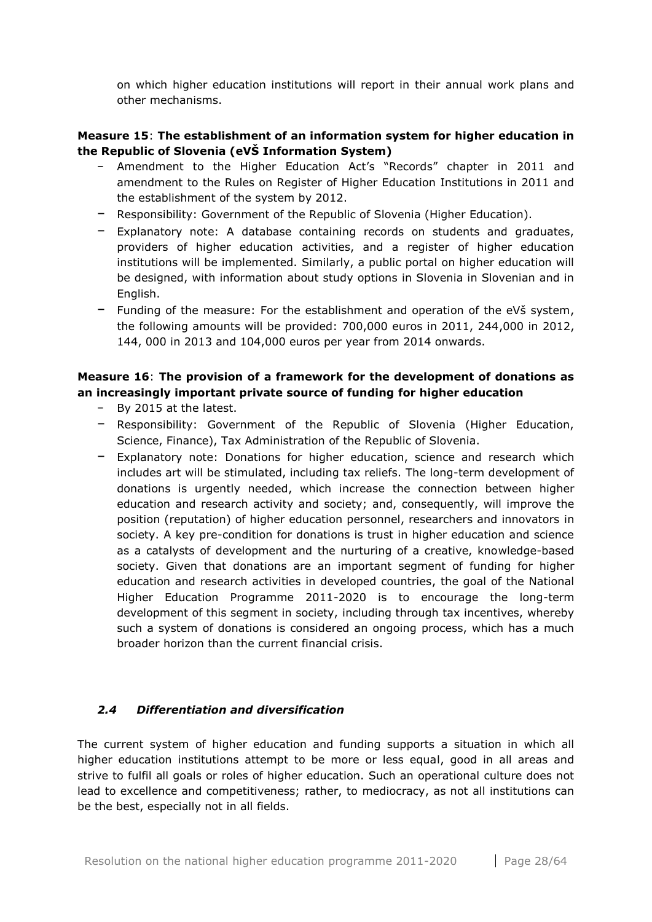on which higher education institutions will report in their annual work plans and other mechanisms.

## **Measure 15**: **The establishment of an information system for higher education in the Republic of Slovenia (eVŠ Information System)**

- − Amendment to the Higher Education Act's "Records" chapter in 2011 and amendment to the Rules on Register of Higher Education Institutions in 2011 and the establishment of the system by 2012.
- − Responsibility: Government of the Republic of Slovenia (Higher Education).
- − Explanatory note: A database containing records on students and graduates, providers of higher education activities, and a register of higher education institutions will be implemented. Similarly, a public portal on higher education will be designed, with information about study options in Slovenia in Slovenian and in English.
- − Funding of the measure: For the establishment and operation of the eVš system, the following amounts will be provided: 700,000 euros in 2011, 244,000 in 2012, 144, 000 in 2013 and 104,000 euros per year from 2014 onwards.

## **Measure 16**: **The provision of a framework for the development of donations as an increasingly important private source of funding for higher education**

- − By 2015 at the latest.
- − Responsibility: Government of the Republic of Slovenia (Higher Education, Science, Finance), Tax Administration of the Republic of Slovenia.
- − Explanatory note: Donations for higher education, science and research which includes art will be stimulated, including tax reliefs. The long-term development of donations is urgently needed, which increase the connection between higher education and research activity and society; and, consequently, will improve the position (reputation) of higher education personnel, researchers and innovators in society. A key pre-condition for donations is trust in higher education and science as a catalysts of development and the nurturing of a creative, knowledge-based society. Given that donations are an important segment of funding for higher education and research activities in developed countries, the goal of the National Higher Education Programme 2011-2020 is to encourage the long-term development of this segment in society, including through tax incentives, whereby such a system of donations is considered an ongoing process, which has a much broader horizon than the current financial crisis.

## <span id="page-27-0"></span>*2.4 Differentiation and diversification*

The current system of higher education and funding supports a situation in which all higher education institutions attempt to be more or less equal, good in all areas and strive to fulfil all goals or roles of higher education. Such an operational culture does not lead to excellence and competitiveness; rather, to mediocracy, as not all institutions can be the best, especially not in all fields.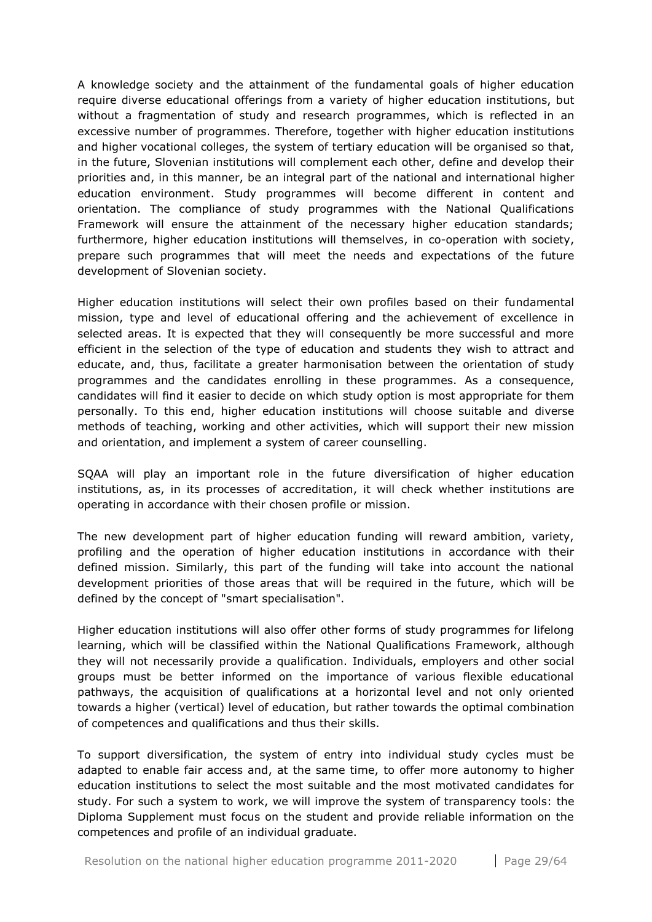A knowledge society and the attainment of the fundamental goals of higher education require diverse educational offerings from a variety of higher education institutions, but without a fragmentation of study and research programmes, which is reflected in an excessive number of programmes. Therefore, together with higher education institutions and higher vocational colleges, the system of tertiary education will be organised so that, in the future, Slovenian institutions will complement each other, define and develop their priorities and, in this manner, be an integral part of the national and international higher education environment. Study programmes will become different in content and orientation. The compliance of study programmes with the National Qualifications Framework will ensure the attainment of the necessary higher education standards; furthermore, higher education institutions will themselves, in co-operation with society, prepare such programmes that will meet the needs and expectations of the future development of Slovenian society.

Higher education institutions will select their own profiles based on their fundamental mission, type and level of educational offering and the achievement of excellence in selected areas. It is expected that they will consequently be more successful and more efficient in the selection of the type of education and students they wish to attract and educate, and, thus, facilitate a greater harmonisation between the orientation of study programmes and the candidates enrolling in these programmes. As a consequence, candidates will find it easier to decide on which study option is most appropriate for them personally. To this end, higher education institutions will choose suitable and diverse methods of teaching, working and other activities, which will support their new mission and orientation, and implement a system of career counselling.

SQAA will play an important role in the future diversification of higher education institutions, as, in its processes of accreditation, it will check whether institutions are operating in accordance with their chosen profile or mission.

The new development part of higher education funding will reward ambition, variety, profiling and the operation of higher education institutions in accordance with their defined mission. Similarly, this part of the funding will take into account the national development priorities of those areas that will be required in the future, which will be defined by the concept of "smart specialisation".

Higher education institutions will also offer other forms of study programmes for lifelong learning, which will be classified within the National Qualifications Framework, although they will not necessarily provide a qualification. Individuals, employers and other social groups must be better informed on the importance of various flexible educational pathways, the acquisition of qualifications at a horizontal level and not only oriented towards a higher (vertical) level of education, but rather towards the optimal combination of competences and qualifications and thus their skills.

To support diversification, the system of entry into individual study cycles must be adapted to enable fair access and, at the same time, to offer more autonomy to higher education institutions to select the most suitable and the most motivated candidates for study. For such a system to work, we will improve the system of transparency tools: the Diploma Supplement must focus on the student and provide reliable information on the competences and profile of an individual graduate.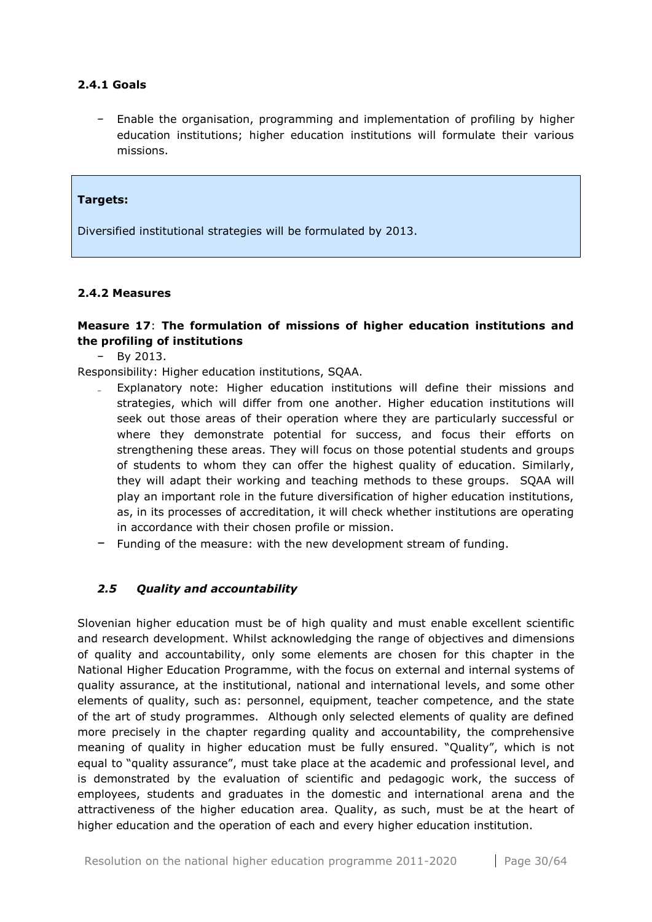## <span id="page-29-0"></span>**2.4.1 Goals**

− Enable the organisation, programming and implementation of profiling by higher education institutions; higher education institutions will formulate their various missions.

#### **Targets:**

Diversified institutional strategies will be formulated by 2013.

#### <span id="page-29-1"></span>**2.4.2 Measures**

## **Measure 17**: **The formulation of missions of higher education institutions and the profiling of institutions**

− By 2013.

Responsibility: Higher education institutions, SQAA.

- Explanatory note: Higher education institutions will define their missions and strategies, which will differ from one another. Higher education institutions will seek out those areas of their operation where they are particularly successful or where they demonstrate potential for success, and focus their efforts on strengthening these areas. They will focus on those potential students and groups of students to whom they can offer the highest quality of education. Similarly, they will adapt their working and teaching methods to these groups. SQAA will play an important role in the future diversification of higher education institutions, as, in its processes of accreditation, it will check whether institutions are operating in accordance with their chosen profile or mission.
- − Funding of the measure: with the new development stream of funding.

## <span id="page-29-2"></span>*2.5 Quality and accountability*

Slovenian higher education must be of high quality and must enable excellent scientific and research development. Whilst acknowledging the range of objectives and dimensions of quality and accountability, only some elements are chosen for this chapter in the National Higher Education Programme, with the focus on external and internal systems of quality assurance, at the institutional, national and international levels, and some other elements of quality, such as: personnel, equipment, teacher competence, and the state of the art of study programmes. Although only selected elements of quality are defined more precisely in the chapter regarding quality and accountability, the comprehensive meaning of quality in higher education must be fully ensured. "Quality", which is not equal to "quality assurance", must take place at the academic and professional level, and is demonstrated by the evaluation of scientific and pedagogic work, the success of employees, students and graduates in the domestic and international arena and the attractiveness of the higher education area. Quality, as such, must be at the heart of higher education and the operation of each and every higher education institution.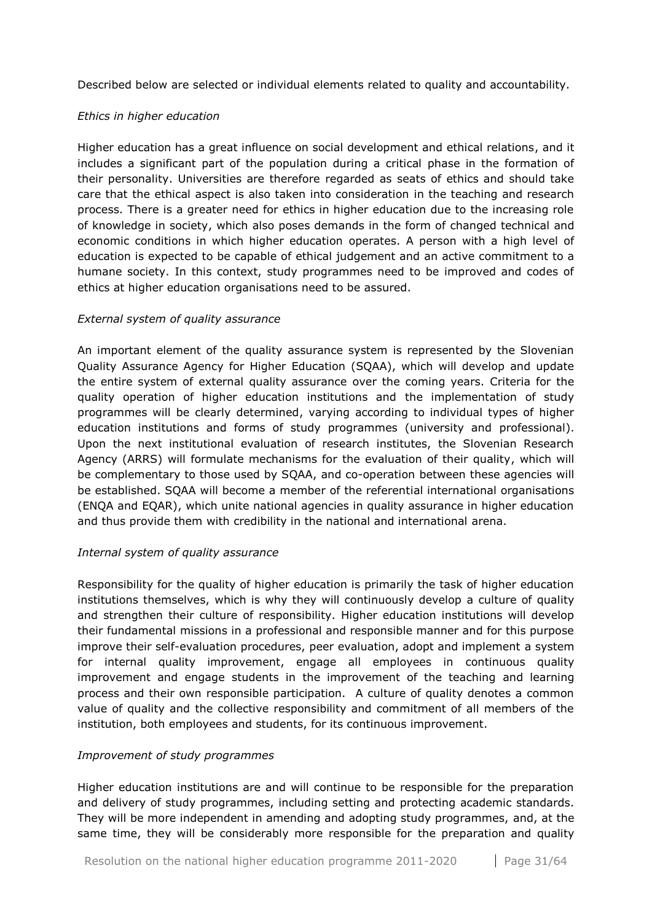Described below are selected or individual elements related to quality and accountability.

## *Ethics in higher education*

Higher education has a great influence on social development and ethical relations, and it includes a significant part of the population during a critical phase in the formation of their personality. Universities are therefore regarded as seats of ethics and should take care that the ethical aspect is also taken into consideration in the teaching and research process. There is a greater need for ethics in higher education due to the increasing role of knowledge in society, which also poses demands in the form of changed technical and economic conditions in which higher education operates. A person with a high level of education is expected to be capable of ethical judgement and an active commitment to a humane society. In this context, study programmes need to be improved and codes of ethics at higher education organisations need to be assured.

## *External system of quality assurance*

An important element of the quality assurance system is represented by the Slovenian Quality Assurance Agency for Higher Education (SQAA), which will develop and update the entire system of external quality assurance over the coming years. Criteria for the quality operation of higher education institutions and the implementation of study programmes will be clearly determined, varying according to individual types of higher education institutions and forms of study programmes (university and professional). Upon the next institutional evaluation of research institutes, the Slovenian Research Agency (ARRS) will formulate mechanisms for the evaluation of their quality, which will be complementary to those used by SQAA, and co-operation between these agencies will be established. SQAA will become a member of the referential international organisations (ENQA and EQAR), which unite national agencies in quality assurance in higher education and thus provide them with credibility in the national and international arena.

## *Internal system of quality assurance*

Responsibility for the quality of higher education is primarily the task of higher education institutions themselves, which is why they will continuously develop a culture of quality and strengthen their culture of responsibility. Higher education institutions will develop their fundamental missions in a professional and responsible manner and for this purpose improve their self-evaluation procedures, peer evaluation, adopt and implement a system for internal quality improvement, engage all employees in continuous quality improvement and engage students in the improvement of the teaching and learning process and their own responsible participation. A culture of quality denotes a common value of quality and the collective responsibility and commitment of all members of the institution, both employees and students, for its continuous improvement.

## *Improvement of study programmes*

Higher education institutions are and will continue to be responsible for the preparation and delivery of study programmes, including setting and protecting academic standards. They will be more independent in amending and adopting study programmes, and, at the same time, they will be considerably more responsible for the preparation and quality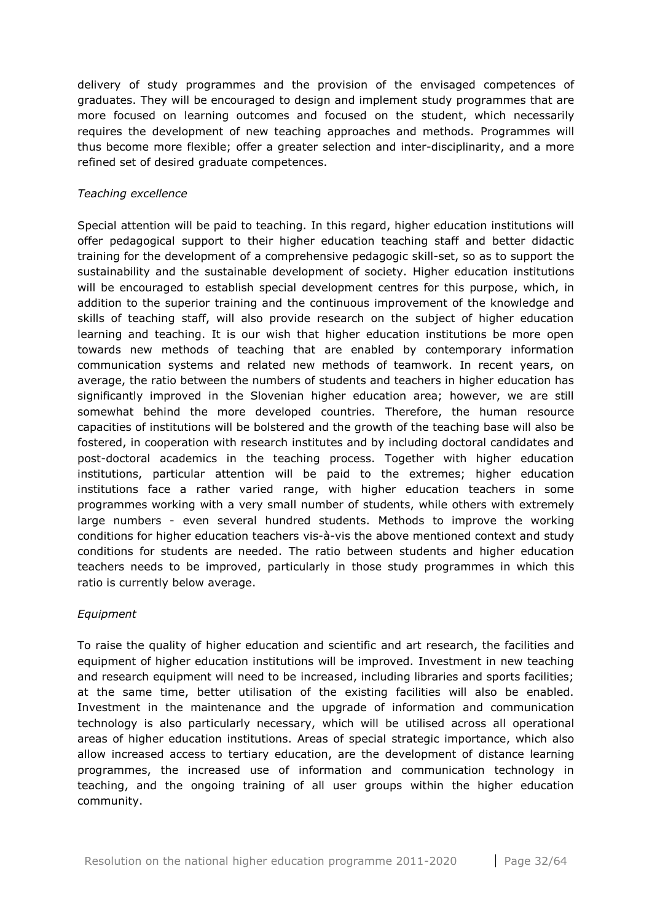delivery of study programmes and the provision of the envisaged competences of graduates. They will be encouraged to design and implement study programmes that are more focused on learning outcomes and focused on the student, which necessarily requires the development of new teaching approaches and methods. Programmes will thus become more flexible; offer a greater selection and inter-disciplinarity, and a more refined set of desired graduate competences.

#### *Teaching excellence*

Special attention will be paid to teaching. In this regard, higher education institutions will offer pedagogical support to their higher education teaching staff and better didactic training for the development of a comprehensive pedagogic skill-set, so as to support the sustainability and the sustainable development of society. Higher education institutions will be encouraged to establish special development centres for this purpose, which, in addition to the superior training and the continuous improvement of the knowledge and skills of teaching staff, will also provide research on the subject of higher education learning and teaching. It is our wish that higher education institutions be more open towards new methods of teaching that are enabled by contemporary information communication systems and related new methods of teamwork. In recent years, on average, the ratio between the numbers of students and teachers in higher education has significantly improved in the Slovenian higher education area; however, we are still somewhat behind the more developed countries. Therefore, the human resource capacities of institutions will be bolstered and the growth of the teaching base will also be fostered, in cooperation with research institutes and by including doctoral candidates and post-doctoral academics in the teaching process. Together with higher education institutions, particular attention will be paid to the extremes; higher education institutions face a rather varied range, with higher education teachers in some programmes working with a very small number of students, while others with extremely large numbers - even several hundred students. Methods to improve the working conditions for higher education teachers vis-à-vis the above mentioned context and study conditions for students are needed. The ratio between students and higher education teachers needs to be improved, particularly in those study programmes in which this ratio is currently below average.

#### *Equipment*

To raise the quality of higher education and scientific and art research, the facilities and equipment of higher education institutions will be improved. Investment in new teaching and research equipment will need to be increased, including libraries and sports facilities; at the same time, better utilisation of the existing facilities will also be enabled. Investment in the maintenance and the upgrade of information and communication technology is also particularly necessary, which will be utilised across all operational areas of higher education institutions. Areas of special strategic importance, which also allow increased access to tertiary education, are the development of distance learning programmes, the increased use of information and communication technology in teaching, and the ongoing training of all user groups within the higher education community.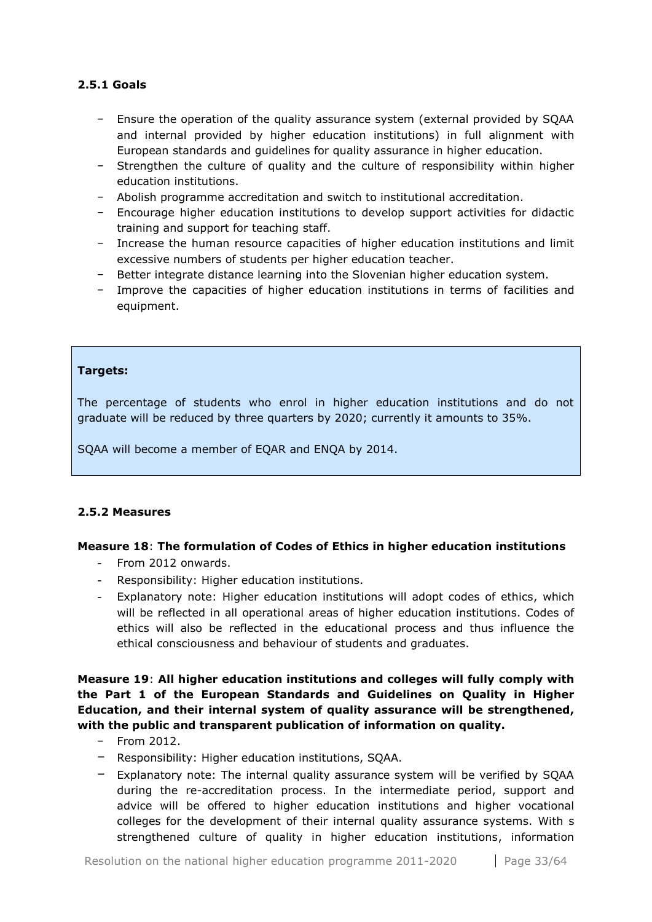## <span id="page-32-0"></span>**2.5.1 Goals**

- − Ensure the operation of the quality assurance system (external provided by SQAA and internal provided by higher education institutions) in full alignment with European standards and guidelines for quality assurance in higher education.
- − Strengthen the culture of quality and the culture of responsibility within higher education institutions.
- − Abolish programme accreditation and switch to institutional accreditation.
- − Encourage higher education institutions to develop support activities for didactic training and support for teaching staff.
- − Increase the human resource capacities of higher education institutions and limit excessive numbers of students per higher education teacher.
- − Better integrate distance learning into the Slovenian higher education system.
- − Improve the capacities of higher education institutions in terms of facilities and equipment.

## **Targets:**

The percentage of students who enrol in higher education institutions and do not graduate will be reduced by three quarters by 2020; currently it amounts to 35%.

SQAA will become a member of EQAR and ENQA by 2014.

## <span id="page-32-1"></span>**2.5.2 Measures**

## **Measure 18**: **The formulation of Codes of Ethics in higher education institutions**

- From 2012 onwards.
- Responsibility: Higher education institutions.
- Explanatory note: Higher education institutions will adopt codes of ethics, which will be reflected in all operational areas of higher education institutions. Codes of ethics will also be reflected in the educational process and thus influence the ethical consciousness and behaviour of students and graduates.

**Measure 19**: **All higher education institutions and colleges will fully comply with the Part 1 of the European Standards and Guidelines on Quality in Higher Education, and their internal system of quality assurance will be strengthened, with the public and transparent publication of information on quality.**

- − From 2012.
- − Responsibility: Higher education institutions, SQAA.
- − Explanatory note: The internal quality assurance system will be verified by SQAA during the re-accreditation process. In the intermediate period, support and advice will be offered to higher education institutions and higher vocational colleges for the development of their internal quality assurance systems. With s strengthened culture of quality in higher education institutions, information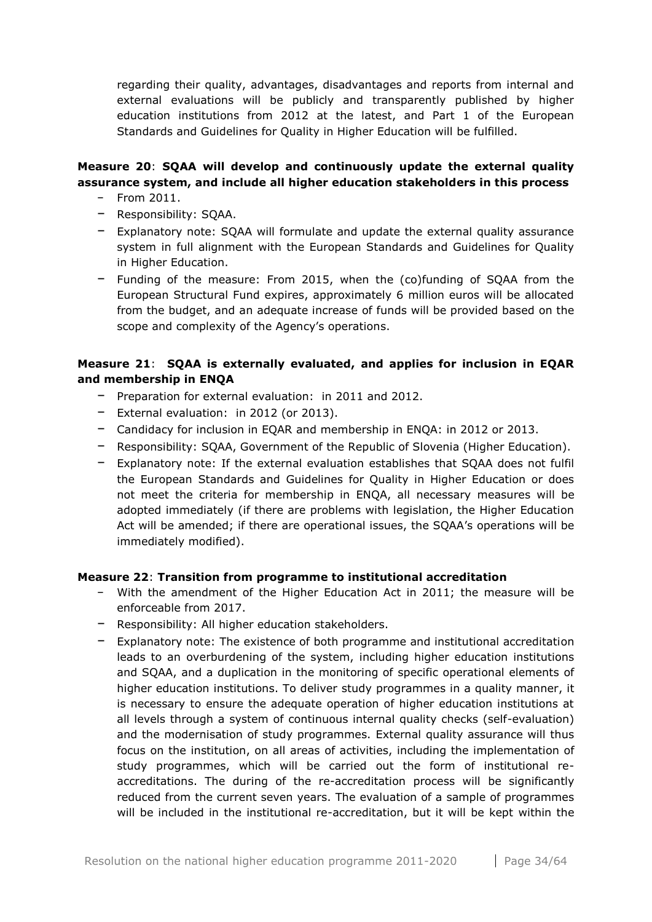regarding their quality, advantages, disadvantages and reports from internal and external evaluations will be publicly and transparently published by higher education institutions from 2012 at the latest, and Part 1 of the European Standards and Guidelines for Quality in Higher Education will be fulfilled.

## **Measure 20**: **SQAA will develop and continuously update the external quality assurance system, and include all higher education stakeholders in this process**

- − From 2011.
- − Responsibility: SQAA.
- − Explanatory note: SQAA will formulate and update the external quality assurance system in full alignment with the European Standards and Guidelines for Quality in Higher Education.
- − Funding of the measure: From 2015, when the (co)funding of SQAA from the European Structural Fund expires, approximately 6 million euros will be allocated from the budget, and an adequate increase of funds will be provided based on the scope and complexity of the Agency's operations.

## **Measure 21**: **SQAA is externally evaluated, and applies for inclusion in EQAR and membership in ENQA**

- − Preparation for external evaluation: in 2011 and 2012.
- − External evaluation: in 2012 (or 2013).
- − Candidacy for inclusion in EQAR and membership in ENQA: in 2012 or 2013.
- − Responsibility: SQAA, Government of the Republic of Slovenia (Higher Education).
- − Explanatory note: If the external evaluation establishes that SQAA does not fulfil the European Standards and Guidelines for Quality in Higher Education or does not meet the criteria for membership in ENQA, all necessary measures will be adopted immediately (if there are problems with legislation, the Higher Education Act will be amended; if there are operational issues, the SQAA's operations will be immediately modified).

## **Measure 22**: **Transition from programme to institutional accreditation**

- − With the amendment of the Higher Education Act in 2011; the measure will be enforceable from 2017.
- − Responsibility: All higher education stakeholders.
- − Explanatory note: The existence of both programme and institutional accreditation leads to an overburdening of the system, including higher education institutions and SQAA, and a duplication in the monitoring of specific operational elements of higher education institutions. To deliver study programmes in a quality manner, it is necessary to ensure the adequate operation of higher education institutions at all levels through a system of continuous internal quality checks (self-evaluation) and the modernisation of study programmes. External quality assurance will thus focus on the institution, on all areas of activities, including the implementation of study programmes, which will be carried out the form of institutional reaccreditations. The during of the re-accreditation process will be significantly reduced from the current seven years. The evaluation of a sample of programmes will be included in the institutional re-accreditation, but it will be kept within the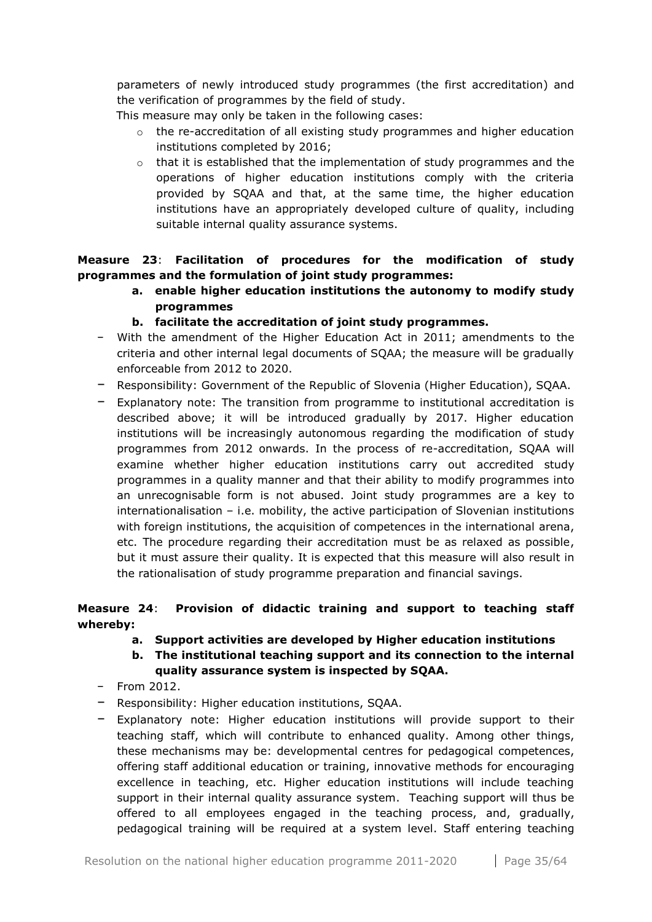parameters of newly introduced study programmes (the first accreditation) and the verification of programmes by the field of study.

This measure may only be taken in the following cases:

- $\circ$  the re-accreditation of all existing study programmes and higher education institutions completed by 2016;
- $\circ$  that it is established that the implementation of study programmes and the operations of higher education institutions comply with the criteria provided by SQAA and that, at the same time, the higher education institutions have an appropriately developed culture of quality, including suitable internal quality assurance systems.

**Measure 23**: **Facilitation of procedures for the modification of study programmes and the formulation of joint study programmes:**

- **a. enable higher education institutions the autonomy to modify study programmes**
- **b. facilitate the accreditation of joint study programmes.**
- − With the amendment of the Higher Education Act in 2011; amendments to the criteria and other internal legal documents of SQAA; the measure will be gradually enforceable from 2012 to 2020.
- − Responsibility: Government of the Republic of Slovenia (Higher Education), SQAA.
- − Explanatory note: The transition from programme to institutional accreditation is described above; it will be introduced gradually by 2017. Higher education institutions will be increasingly autonomous regarding the modification of study programmes from 2012 onwards. In the process of re-accreditation, SQAA will examine whether higher education institutions carry out accredited study programmes in a quality manner and that their ability to modify programmes into an unrecognisable form is not abused. Joint study programmes are a key to internationalisation – i.e. mobility, the active participation of Slovenian institutions with foreign institutions, the acquisition of competences in the international arena, etc. The procedure regarding their accreditation must be as relaxed as possible, but it must assure their quality. It is expected that this measure will also result in the rationalisation of study programme preparation and financial savings.

## **Measure 24**: **Provision of didactic training and support to teaching staff whereby:**

- **a. Support activities are developed by Higher education institutions**
- **b. The institutional teaching support and its connection to the internal quality assurance system is inspected by SQAA.**
- − From 2012.
- − Responsibility: Higher education institutions, SQAA.
- − Explanatory note: Higher education institutions will provide support to their teaching staff, which will contribute to enhanced quality. Among other things, these mechanisms may be: developmental centres for pedagogical competences, offering staff additional education or training, innovative methods for encouraging excellence in teaching, etc. Higher education institutions will include teaching support in their internal quality assurance system. Teaching support will thus be offered to all employees engaged in the teaching process, and, gradually, pedagogical training will be required at a system level. Staff entering teaching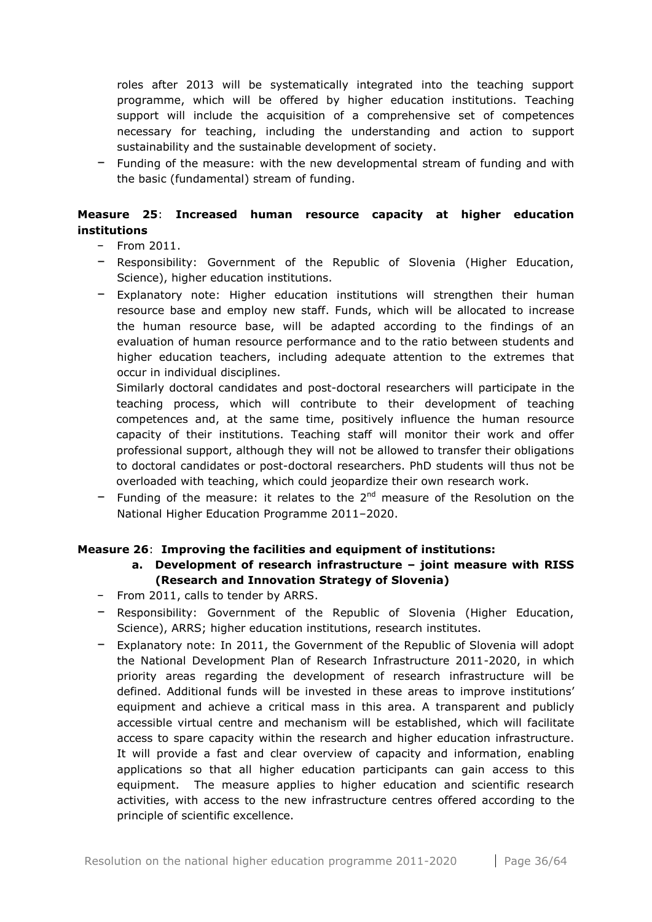roles after 2013 will be systematically integrated into the teaching support programme, which will be offered by higher education institutions. Teaching support will include the acquisition of a comprehensive set of competences necessary for teaching, including the understanding and action to support sustainability and the sustainable development of society.

− Funding of the measure: with the new developmental stream of funding and with the basic (fundamental) stream of funding.

## **Measure 25**: **Increased human resource capacity at higher education institutions**

- − From 2011.
- − Responsibility: Government of the Republic of Slovenia (Higher Education, Science), higher education institutions.
- − Explanatory note: Higher education institutions will strengthen their human resource base and employ new staff. Funds, which will be allocated to increase the human resource base, will be adapted according to the findings of an evaluation of human resource performance and to the ratio between students and higher education teachers, including adequate attention to the extremes that occur in individual disciplines.

Similarly doctoral candidates and post-doctoral researchers will participate in the teaching process, which will contribute to their development of teaching competences and, at the same time, positively influence the human resource capacity of their institutions. Teaching staff will monitor their work and offer professional support, although they will not be allowed to transfer their obligations to doctoral candidates or post-doctoral researchers. PhD students will thus not be overloaded with teaching, which could jeopardize their own research work.

− Funding of the measure: it relates to the 2nd measure of the Resolution on the National Higher Education Programme 2011–2020.

## **Measure 26**: **Improving the facilities and equipment of institutions:**

## **a. Development of research infrastructure – joint measure with RISS (Research and Innovation Strategy of Slovenia)**

- − From 2011, calls to tender by ARRS.
- − Responsibility: Government of the Republic of Slovenia (Higher Education, Science), ARRS; higher education institutions, research institutes.
- − Explanatory note: In 2011, the Government of the Republic of Slovenia will adopt the National Development Plan of Research Infrastructure 2011-2020, in which priority areas regarding the development of research infrastructure will be defined. Additional funds will be invested in these areas to improve institutions' equipment and achieve a critical mass in this area. A transparent and publicly accessible virtual centre and mechanism will be established, which will facilitate access to spare capacity within the research and higher education infrastructure. It will provide a fast and clear overview of capacity and information, enabling applications so that all higher education participants can gain access to this equipment. The measure applies to higher education and scientific research activities, with access to the new infrastructure centres offered according to the principle of scientific excellence.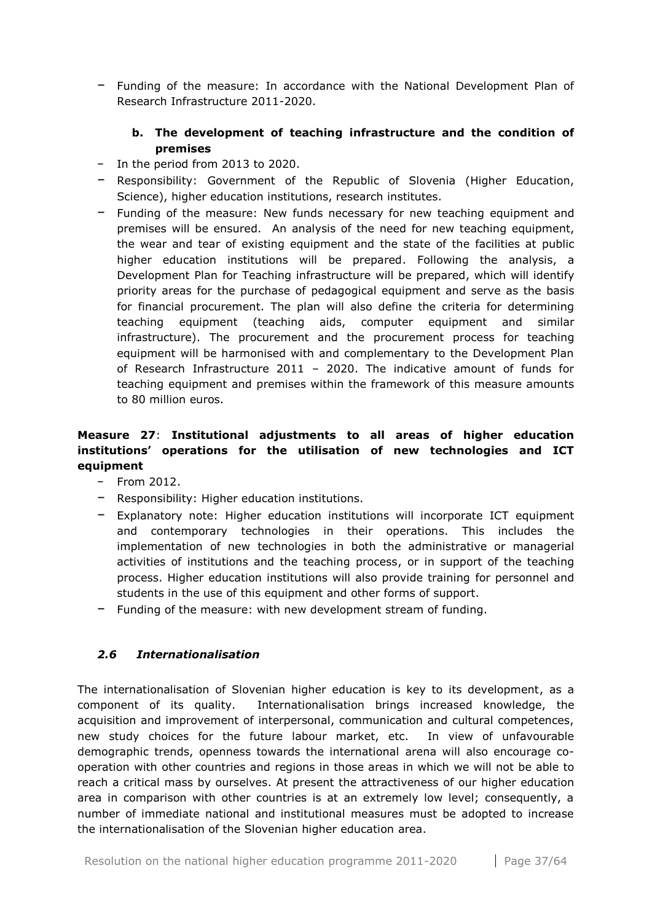− Funding of the measure: In accordance with the National Development Plan of Research Infrastructure 2011-2020.

## **b. The development of teaching infrastructure and the condition of premises**

- − In the period from 2013 to 2020.
- − Responsibility: Government of the Republic of Slovenia (Higher Education, Science), higher education institutions, research institutes.
- − Funding of the measure: New funds necessary for new teaching equipment and premises will be ensured. An analysis of the need for new teaching equipment, the wear and tear of existing equipment and the state of the facilities at public higher education institutions will be prepared. Following the analysis, a Development Plan for Teaching infrastructure will be prepared, which will identify priority areas for the purchase of pedagogical equipment and serve as the basis for financial procurement. The plan will also define the criteria for determining teaching equipment (teaching aids, computer equipment and similar infrastructure). The procurement and the procurement process for teaching equipment will be harmonised with and complementary to the Development Plan of Research Infrastructure 2011 – 2020. The indicative amount of funds for teaching equipment and premises within the framework of this measure amounts to 80 million euros.

## **Measure 27**: **Institutional adjustments to all areas of higher education institutions' operations for the utilisation of new technologies and ICT equipment**

- − From 2012.
- − Responsibility: Higher education institutions.
- − Explanatory note: Higher education institutions will incorporate ICT equipment and contemporary technologies in their operations. This includes the implementation of new technologies in both the administrative or managerial activities of institutions and the teaching process, or in support of the teaching process. Higher education institutions will also provide training for personnel and students in the use of this equipment and other forms of support.
- − Funding of the measure: with new development stream of funding.

## <span id="page-36-0"></span>*2.6 Internationalisation*

The internationalisation of Slovenian higher education is key to its development, as a component of its quality. Internationalisation brings increased knowledge, the acquisition and improvement of interpersonal, communication and cultural competences, new study choices for the future labour market, etc. In view of unfavourable demographic trends, openness towards the international arena will also encourage cooperation with other countries and regions in those areas in which we will not be able to reach a critical mass by ourselves. At present the attractiveness of our higher education area in comparison with other countries is at an extremely low level; consequently, a number of immediate national and institutional measures must be adopted to increase the internationalisation of the Slovenian higher education area.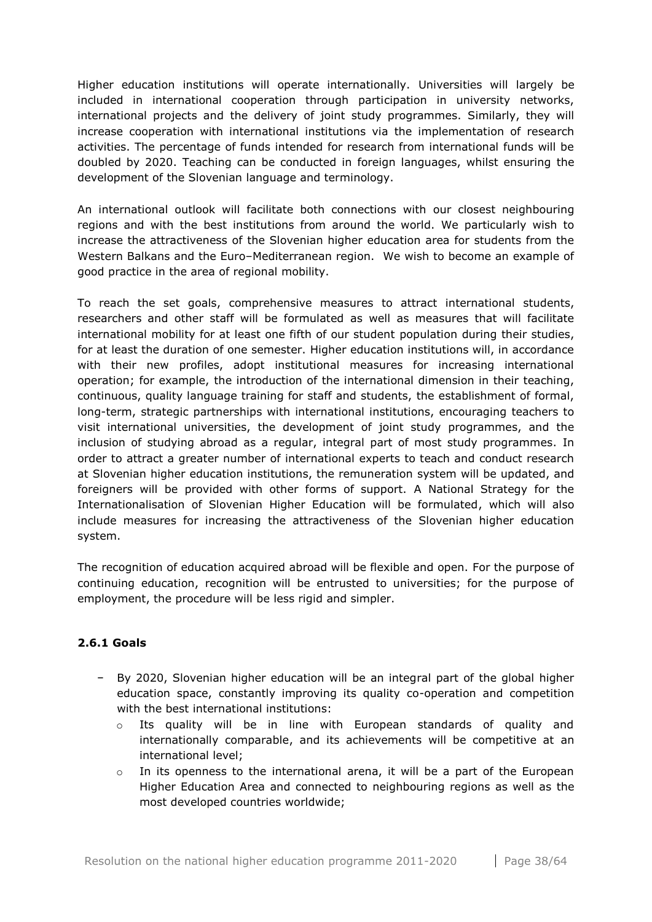Higher education institutions will operate internationally. Universities will largely be included in international cooperation through participation in university networks, international projects and the delivery of joint study programmes. Similarly, they will increase cooperation with international institutions via the implementation of research activities. The percentage of funds intended for research from international funds will be doubled by 2020. Teaching can be conducted in foreign languages, whilst ensuring the development of the Slovenian language and terminology.

An international outlook will facilitate both connections with our closest neighbouring regions and with the best institutions from around the world. We particularly wish to increase the attractiveness of the Slovenian higher education area for students from the Western Balkans and the Euro–Mediterranean region. We wish to become an example of good practice in the area of regional mobility.

To reach the set goals, comprehensive measures to attract international students, researchers and other staff will be formulated as well as measures that will facilitate international mobility for at least one fifth of our student population during their studies, for at least the duration of one semester. Higher education institutions will, in accordance with their new profiles, adopt institutional measures for increasing international operation; for example, the introduction of the international dimension in their teaching, continuous, quality language training for staff and students, the establishment of formal, long-term, strategic partnerships with international institutions, encouraging teachers to visit international universities, the development of joint study programmes, and the inclusion of studying abroad as a regular, integral part of most study programmes. In order to attract a greater number of international experts to teach and conduct research at Slovenian higher education institutions, the remuneration system will be updated, and foreigners will be provided with other forms of support. A National Strategy for the Internationalisation of Slovenian Higher Education will be formulated, which will also include measures for increasing the attractiveness of the Slovenian higher education system.

The recognition of education acquired abroad will be flexible and open. For the purpose of continuing education, recognition will be entrusted to universities; for the purpose of employment, the procedure will be less rigid and simpler.

## <span id="page-37-0"></span>**2.6.1 Goals**

- − By 2020, Slovenian higher education will be an integral part of the global higher education space, constantly improving its quality co-operation and competition with the best international institutions:
	- o Its quality will be in line with European standards of quality and internationally comparable, and its achievements will be competitive at an international level;
	- $\circ$  In its openness to the international arena, it will be a part of the European Higher Education Area and connected to neighbouring regions as well as the most developed countries worldwide;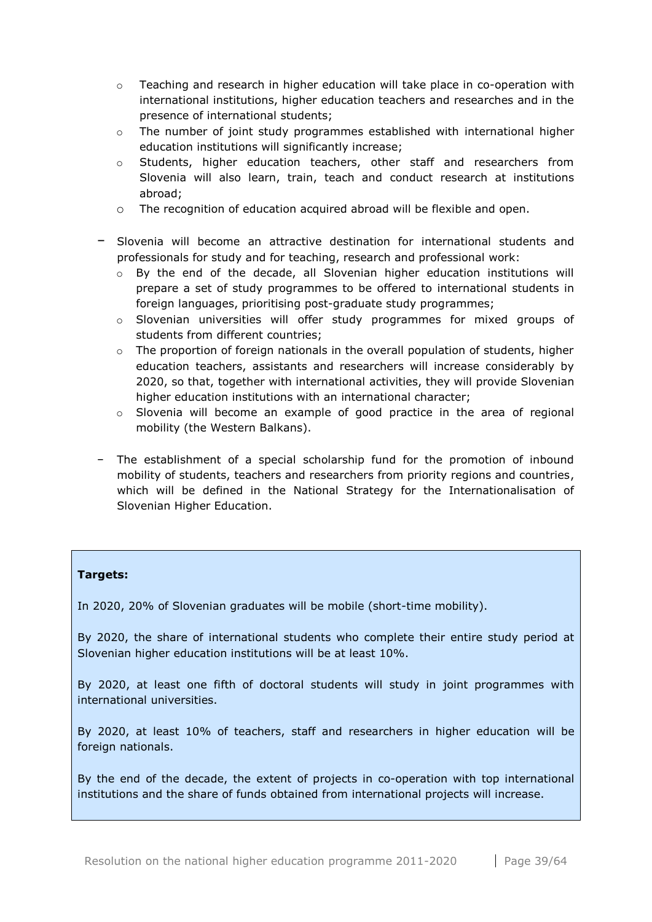- $\circ$  Teaching and research in higher education will take place in co-operation with international institutions, higher education teachers and researches and in the presence of international students;
- $\circ$  The number of joint study programmes established with international higher education institutions will significantly increase;
- o Students, higher education teachers, other staff and researchers from Slovenia will also learn, train, teach and conduct research at institutions abroad;
- o The recognition of education acquired abroad will be flexible and open.
- − Slovenia will become an attractive destination for international students and professionals for study and for teaching, research and professional work:
	- $\circ$  By the end of the decade, all Slovenian higher education institutions will prepare a set of study programmes to be offered to international students in foreign languages, prioritising post-graduate study programmes;
	- $\circ$  Slovenian universities will offer study programmes for mixed groups of students from different countries;
	- $\circ$  The proportion of foreign nationals in the overall population of students, higher education teachers, assistants and researchers will increase considerably by 2020, so that, together with international activities, they will provide Slovenian higher education institutions with an international character;
	- o Slovenia will become an example of good practice in the area of regional mobility (the Western Balkans).
- − The establishment of a special scholarship fund for the promotion of inbound mobility of students, teachers and researchers from priority regions and countries, which will be defined in the National Strategy for the Internationalisation of Slovenian Higher Education.

## **Targets:**

In 2020, 20% of Slovenian graduates will be mobile (short-time mobility).

By 2020, the share of international students who complete their entire study period at Slovenian higher education institutions will be at least 10%.

By 2020, at least one fifth of doctoral students will study in joint programmes with international universities.

By 2020, at least 10% of teachers, staff and researchers in higher education will be foreign nationals.

By the end of the decade, the extent of projects in co-operation with top international institutions and the share of funds obtained from international projects will increase.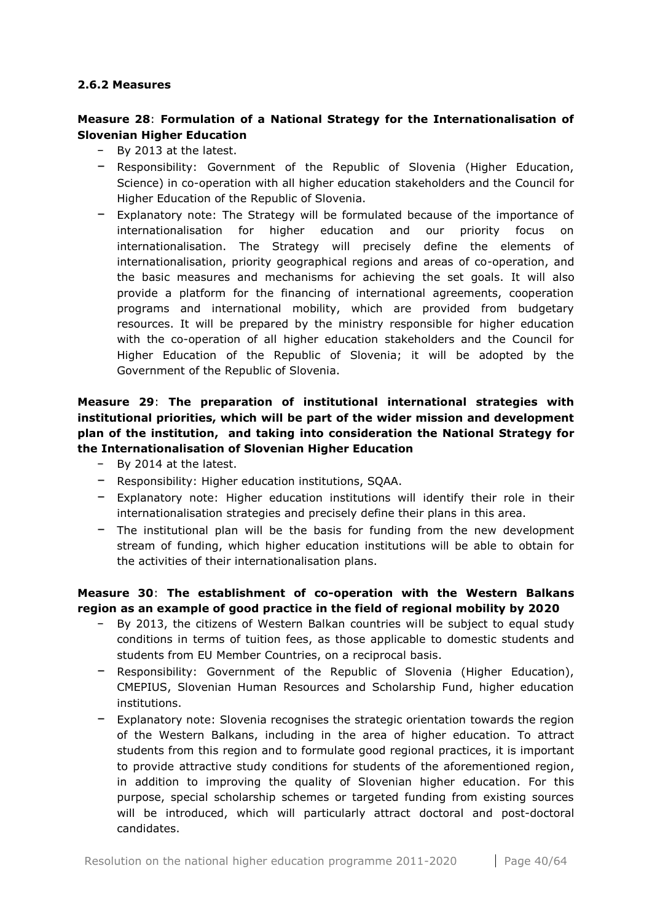#### <span id="page-39-0"></span>**2.6.2 Measures**

## **Measure 28**: **Formulation of a National Strategy for the Internationalisation of Slovenian Higher Education**

- − By 2013 at the latest.
- − Responsibility: Government of the Republic of Slovenia (Higher Education, Science) in co-operation with all higher education stakeholders and the Council for Higher Education of the Republic of Slovenia.
- − Explanatory note: The Strategy will be formulated because of the importance of internationalisation for higher education and our priority focus on internationalisation. The Strategy will precisely define the elements of internationalisation, priority geographical regions and areas of co-operation, and the basic measures and mechanisms for achieving the set goals. It will also provide a platform for the financing of international agreements, cooperation programs and international mobility, which are provided from budgetary resources. It will be prepared by the ministry responsible for higher education with the co-operation of all higher education stakeholders and the Council for Higher Education of the Republic of Slovenia; it will be adopted by the Government of the Republic of Slovenia.

## **Measure 29**: **The preparation of institutional international strategies with institutional priorities, which will be part of the wider mission and development plan of the institution, and taking into consideration the National Strategy for the Internationalisation of Slovenian Higher Education**

- − By 2014 at the latest.
- − Responsibility: Higher education institutions, SQAA.
- − Explanatory note: Higher education institutions will identify their role in their internationalisation strategies and precisely define their plans in this area.
- − The institutional plan will be the basis for funding from the new development stream of funding, which higher education institutions will be able to obtain for the activities of their internationalisation plans.

## **Measure 30**: **The establishment of co-operation with the Western Balkans region as an example of good practice in the field of regional mobility by 2020**

- − By 2013, the citizens of Western Balkan countries will be subject to equal study conditions in terms of tuition fees, as those applicable to domestic students and students from EU Member Countries, on a reciprocal basis.
- − Responsibility: Government of the Republic of Slovenia (Higher Education), CMEPIUS, Slovenian Human Resources and Scholarship Fund, higher education institutions.
- − Explanatory note: Slovenia recognises the strategic orientation towards the region of the Western Balkans, including in the area of higher education. To attract students from this region and to formulate good regional practices, it is important to provide attractive study conditions for students of the aforementioned region, in addition to improving the quality of Slovenian higher education. For this purpose, special scholarship schemes or targeted funding from existing sources will be introduced, which will particularly attract doctoral and post-doctoral candidates.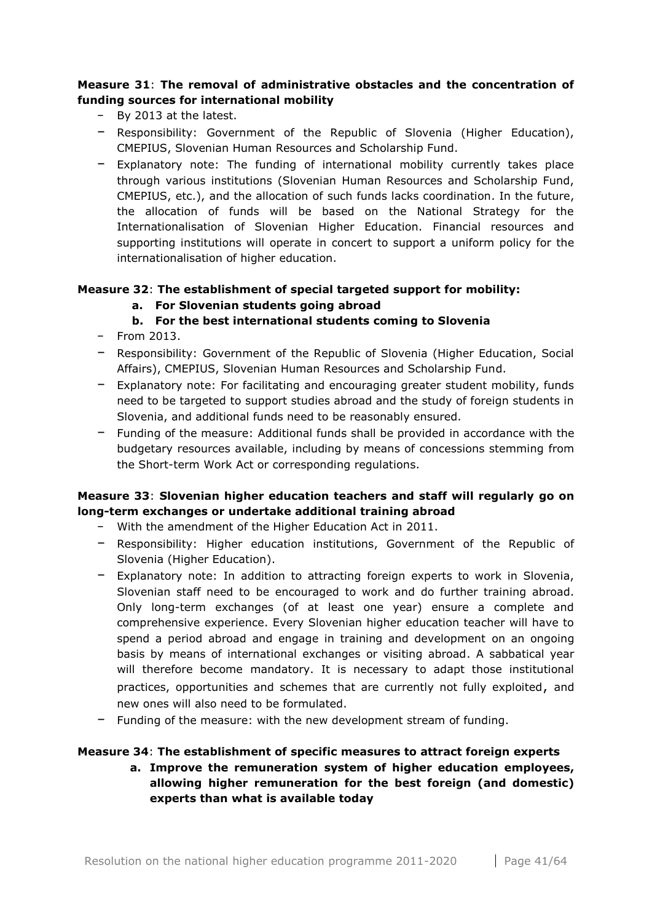## **Measure 31**: **The removal of administrative obstacles and the concentration of funding sources for international mobility**

- − By 2013 at the latest.
- − Responsibility: Government of the Republic of Slovenia (Higher Education), CMEPIUS, Slovenian Human Resources and Scholarship Fund.
- − Explanatory note: The funding of international mobility currently takes place through various institutions (Slovenian Human Resources and Scholarship Fund, CMEPIUS, etc.), and the allocation of such funds lacks coordination. In the future, the allocation of funds will be based on the National Strategy for the Internationalisation of Slovenian Higher Education. Financial resources and supporting institutions will operate in concert to support a uniform policy for the internationalisation of higher education.

## **Measure 32**: **The establishment of special targeted support for mobility:**

**a. For Slovenian students going abroad**

## **b. For the best international students coming to Slovenia**

- − From 2013.
- − Responsibility: Government of the Republic of Slovenia (Higher Education, Social Affairs), CMEPIUS, Slovenian Human Resources and Scholarship Fund.
- − Explanatory note: For facilitating and encouraging greater student mobility, funds need to be targeted to support studies abroad and the study of foreign students in Slovenia, and additional funds need to be reasonably ensured.
- − Funding of the measure: Additional funds shall be provided in accordance with the budgetary resources available, including by means of concessions stemming from the Short-term Work Act or corresponding regulations.

## **Measure 33**: **Slovenian higher education teachers and staff will regularly go on long-term exchanges or undertake additional training abroad**

- − With the amendment of the Higher Education Act in 2011.
- − Responsibility: Higher education institutions, Government of the Republic of Slovenia (Higher Education).
- − Explanatory note: In addition to attracting foreign experts to work in Slovenia, Slovenian staff need to be encouraged to work and do further training abroad. Only long-term exchanges (of at least one year) ensure a complete and comprehensive experience. Every Slovenian higher education teacher will have to spend a period abroad and engage in training and development on an ongoing basis by means of international exchanges or visiting abroad. A sabbatical year will therefore become mandatory. It is necessary to adapt those institutional practices, opportunities and schemes that are currently not fully exploited, and new ones will also need to be formulated.
- − Funding of the measure: with the new development stream of funding.

## **Measure 34**: **The establishment of specific measures to attract foreign experts**

**a. Improve the remuneration system of higher education employees, allowing higher remuneration for the best foreign (and domestic) experts than what is available today**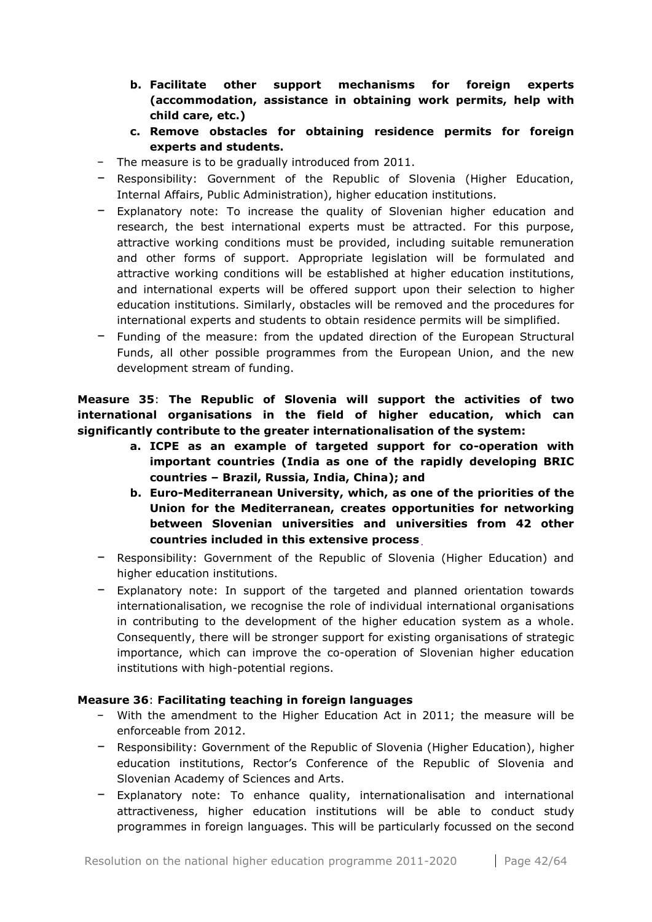- **b. Facilitate other support mechanisms for foreign experts (accommodation, assistance in obtaining work permits, help with child care, etc.)**
- **c. Remove obstacles for obtaining residence permits for foreign experts and students.**
- − The measure is to be gradually introduced from 2011.
- − Responsibility: Government of the Republic of Slovenia (Higher Education, Internal Affairs, Public Administration), higher education institutions.
- − Explanatory note: To increase the quality of Slovenian higher education and research, the best international experts must be attracted. For this purpose, attractive working conditions must be provided, including suitable remuneration and other forms of support. Appropriate legislation will be formulated and attractive working conditions will be established at higher education institutions, and international experts will be offered support upon their selection to higher education institutions. Similarly, obstacles will be removed and the procedures for international experts and students to obtain residence permits will be simplified.
- − Funding of the measure: from the updated direction of the European Structural Funds, all other possible programmes from the European Union, and the new development stream of funding.

**Measure 35**: **The Republic of Slovenia will support the activities of two international organisations in the field of higher education, which can significantly contribute to the greater internationalisation of the system:**

- **a. ICPE as an example of targeted support for co-operation with important countries (India as one of the rapidly developing BRIC countries – Brazil, Russia, India, China); and**
- **b. Euro-Mediterranean University, which, as one of the priorities of the Union for the Mediterranean, creates opportunities for networking between Slovenian universities and universities from 42 other countries included in this extensive process**.
- − Responsibility: Government of the Republic of Slovenia (Higher Education) and higher education institutions.
- − Explanatory note: In support of the targeted and planned orientation towards internationalisation, we recognise the role of individual international organisations in contributing to the development of the higher education system as a whole. Consequently, there will be stronger support for existing organisations of strategic importance, which can improve the co-operation of Slovenian higher education institutions with high-potential regions.

## **Measure 36**: **Facilitating teaching in foreign languages**

- − With the amendment to the Higher Education Act in 2011; the measure will be enforceable from 2012.
- − Responsibility: Government of the Republic of Slovenia (Higher Education), higher education institutions, Rector's Conference of the Republic of Slovenia and Slovenian Academy of Sciences and Arts.
- − Explanatory note: To enhance quality, internationalisation and international attractiveness, higher education institutions will be able to conduct study programmes in foreign languages. This will be particularly focussed on the second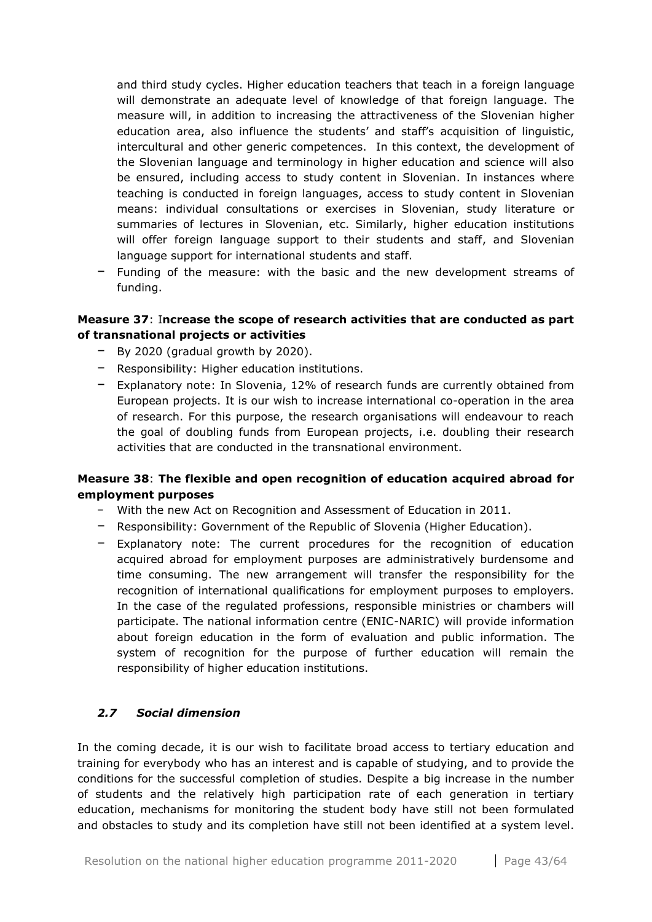and third study cycles. Higher education teachers that teach in a foreign language will demonstrate an adequate level of knowledge of that foreign language. The measure will, in addition to increasing the attractiveness of the Slovenian higher education area, also influence the students' and staff's acquisition of linguistic, intercultural and other generic competences. In this context, the development of the Slovenian language and terminology in higher education and science will also be ensured, including access to study content in Slovenian. In instances where teaching is conducted in foreign languages, access to study content in Slovenian means: individual consultations or exercises in Slovenian, study literature or summaries of lectures in Slovenian, etc. Similarly, higher education institutions will offer foreign language support to their students and staff, and Slovenian language support for international students and staff.

− Funding of the measure: with the basic and the new development streams of funding.

## **Measure 37**: I**ncrease the scope of research activities that are conducted as part of transnational projects or activities**

- − By 2020 (gradual growth by 2020).
- − Responsibility: Higher education institutions.
- − Explanatory note: In Slovenia, 12% of research funds are currently obtained from European projects. It is our wish to increase international co-operation in the area of research. For this purpose, the research organisations will endeavour to reach the goal of doubling funds from European projects, i.e. doubling their research activities that are conducted in the transnational environment.

## **Measure 38**: **The flexible and open recognition of education acquired abroad for employment purposes**

- − With the new Act on Recognition and Assessment of Education in 2011.
- − Responsibility: Government of the Republic of Slovenia (Higher Education).
- − Explanatory note: The current procedures for the recognition of education acquired abroad for employment purposes are administratively burdensome and time consuming. The new arrangement will transfer the responsibility for the recognition of international qualifications for employment purposes to employers. In the case of the regulated professions, responsible ministries or chambers will participate. The national information centre (ENIC-NARIC) will provide information about foreign education in the form of evaluation and public information. The system of recognition for the purpose of further education will remain the responsibility of higher education institutions.

## <span id="page-42-0"></span>*2.7 Social dimension*

In the coming decade, it is our wish to facilitate broad access to tertiary education and training for everybody who has an interest and is capable of studying, and to provide the conditions for the successful completion of studies. Despite a big increase in the number of students and the relatively high participation rate of each generation in tertiary education, mechanisms for monitoring the student body have still not been formulated and obstacles to study and its completion have still not been identified at a system level.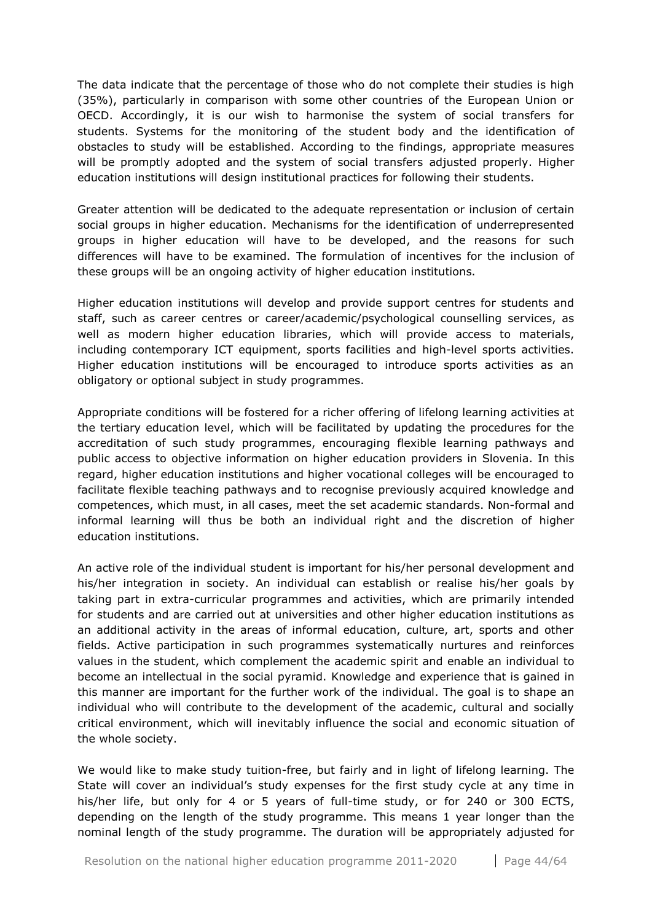The data indicate that the percentage of those who do not complete their studies is high (35%), particularly in comparison with some other countries of the European Union or OECD. Accordingly, it is our wish to harmonise the system of social transfers for students. Systems for the monitoring of the student body and the identification of obstacles to study will be established. According to the findings, appropriate measures will be promptly adopted and the system of social transfers adjusted properly. Higher education institutions will design institutional practices for following their students.

Greater attention will be dedicated to the adequate representation or inclusion of certain social groups in higher education. Mechanisms for the identification of underrepresented groups in higher education will have to be developed, and the reasons for such differences will have to be examined. The formulation of incentives for the inclusion of these groups will be an ongoing activity of higher education institutions.

Higher education institutions will develop and provide support centres for students and staff, such as career centres or career/academic/psychological counselling services, as well as modern higher education libraries, which will provide access to materials, including contemporary ICT equipment, sports facilities and high-level sports activities. Higher education institutions will be encouraged to introduce sports activities as an obligatory or optional subject in study programmes.

Appropriate conditions will be fostered for a richer offering of lifelong learning activities at the tertiary education level, which will be facilitated by updating the procedures for the accreditation of such study programmes, encouraging flexible learning pathways and public access to objective information on higher education providers in Slovenia. In this regard, higher education institutions and higher vocational colleges will be encouraged to facilitate flexible teaching pathways and to recognise previously acquired knowledge and competences, which must, in all cases, meet the set academic standards. Non-formal and informal learning will thus be both an individual right and the discretion of higher education institutions.

An active role of the individual student is important for his/her personal development and his/her integration in society. An individual can establish or realise his/her goals by taking part in extra-curricular programmes and activities, which are primarily intended for students and are carried out at universities and other higher education institutions as an additional activity in the areas of informal education, culture, art, sports and other fields. Active participation in such programmes systematically nurtures and reinforces values in the student, which complement the academic spirit and enable an individual to become an intellectual in the social pyramid. Knowledge and experience that is gained in this manner are important for the further work of the individual. The goal is to shape an individual who will contribute to the development of the academic, cultural and socially critical environment, which will inevitably influence the social and economic situation of the whole society.

We would like to make study tuition-free, but fairly and in light of lifelong learning. The State will cover an individual's study expenses for the first study cycle at any time in his/her life, but only for 4 or 5 years of full-time study, or for 240 or 300 ECTS, depending on the length of the study programme. This means 1 year longer than the nominal length of the study programme. The duration will be appropriately adjusted for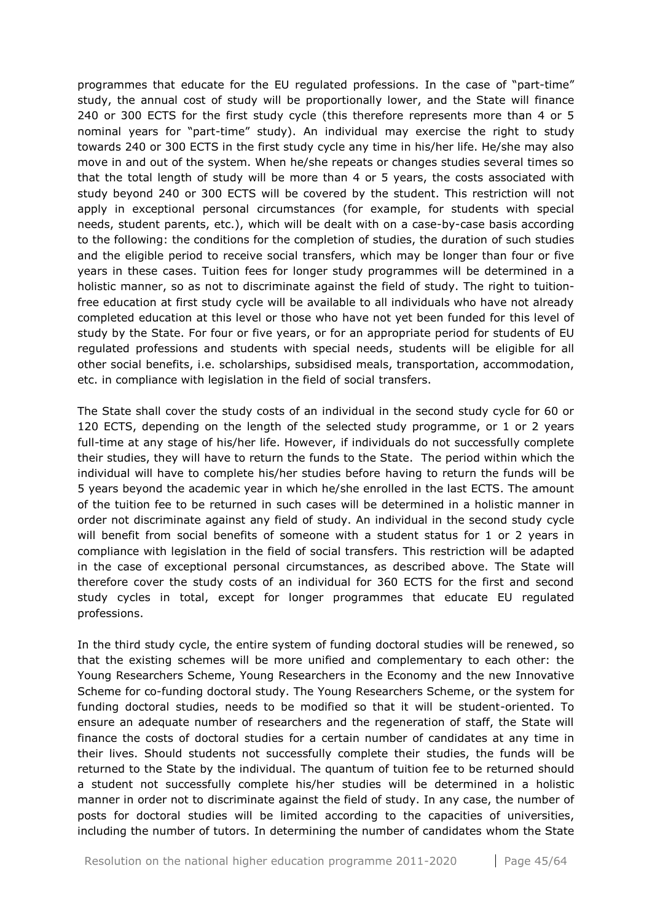programmes that educate for the EU regulated professions. In the case of "part-time" study, the annual cost of study will be proportionally lower, and the State will finance 240 or 300 ECTS for the first study cycle (this therefore represents more than 4 or 5 nominal years for "part-time" study). An individual may exercise the right to study towards 240 or 300 ECTS in the first study cycle any time in his/her life. He/she may also move in and out of the system. When he/she repeats or changes studies several times so that the total length of study will be more than 4 or 5 years, the costs associated with study beyond 240 or 300 ECTS will be covered by the student. This restriction will not apply in exceptional personal circumstances (for example, for students with special needs, student parents, etc.), which will be dealt with on a case-by-case basis according to the following: the conditions for the completion of studies, the duration of such studies and the eligible period to receive social transfers, which may be longer than four or five years in these cases. Tuition fees for longer study programmes will be determined in a holistic manner, so as not to discriminate against the field of study. The right to tuitionfree education at first study cycle will be available to all individuals who have not already completed education at this level or those who have not yet been funded for this level of study by the State. For four or five years, or for an appropriate period for students of EU regulated professions and students with special needs, students will be eligible for all other social benefits, i.e. scholarships, subsidised meals, transportation, accommodation, etc. in compliance with legislation in the field of social transfers.

The State shall cover the study costs of an individual in the second study cycle for 60 or 120 ECTS, depending on the length of the selected study programme, or 1 or 2 years full-time at any stage of his/her life. However, if individuals do not successfully complete their studies, they will have to return the funds to the State. The period within which the individual will have to complete his/her studies before having to return the funds will be 5 years beyond the academic year in which he/she enrolled in the last ECTS. The amount of the tuition fee to be returned in such cases will be determined in a holistic manner in order not discriminate against any field of study. An individual in the second study cycle will benefit from social benefits of someone with a student status for 1 or 2 years in compliance with legislation in the field of social transfers. This restriction will be adapted in the case of exceptional personal circumstances, as described above. The State will therefore cover the study costs of an individual for 360 ECTS for the first and second study cycles in total, except for longer programmes that educate EU regulated professions.

In the third study cycle, the entire system of funding doctoral studies will be renewed, so that the existing schemes will be more unified and complementary to each other: the Young Researchers Scheme, Young Researchers in the Economy and the new Innovative Scheme for co-funding doctoral study. The Young Researchers Scheme, or the system for funding doctoral studies, needs to be modified so that it will be student-oriented. To ensure an adequate number of researchers and the regeneration of staff, the State will finance the costs of doctoral studies for a certain number of candidates at any time in their lives. Should students not successfully complete their studies, the funds will be returned to the State by the individual. The quantum of tuition fee to be returned should a student not successfully complete his/her studies will be determined in a holistic manner in order not to discriminate against the field of study. In any case, the number of posts for doctoral studies will be limited according to the capacities of universities, including the number of tutors. In determining the number of candidates whom the State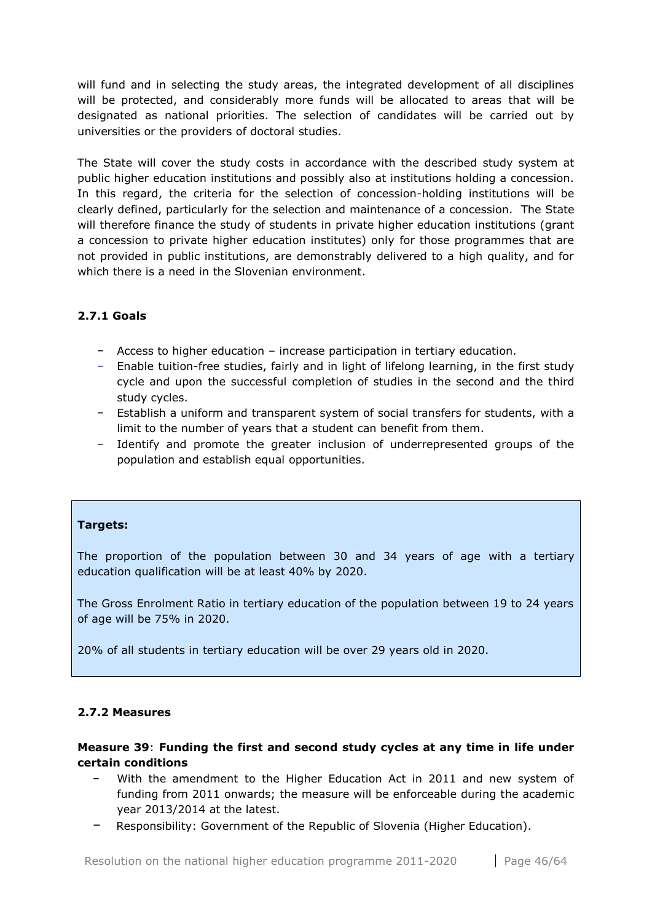will fund and in selecting the study areas, the integrated development of all disciplines will be protected, and considerably more funds will be allocated to areas that will be designated as national priorities. The selection of candidates will be carried out by universities or the providers of doctoral studies.

The State will cover the study costs in accordance with the described study system at public higher education institutions and possibly also at institutions holding a concession. In this regard, the criteria for the selection of concession-holding institutions will be clearly defined, particularly for the selection and maintenance of a concession. The State will therefore finance the study of students in private higher education institutions (grant a concession to private higher education institutes) only for those programmes that are not provided in public institutions, are demonstrably delivered to a high quality, and for which there is a need in the Slovenian environment.

## <span id="page-45-0"></span>**2.7.1 Goals**

- − Access to higher education increase participation in tertiary education.
- − Enable tuition-free studies, fairly and in light of lifelong learning, in the first study cycle and upon the successful completion of studies in the second and the third study cycles.
- − Establish a uniform and transparent system of social transfers for students, with a limit to the number of years that a student can benefit from them.
- − Identify and promote the greater inclusion of underrepresented groups of the population and establish equal opportunities.

## **Targets:**

The proportion of the population between 30 and 34 years of age with a tertiary education qualification will be at least 40% by 2020.

The Gross Enrolment Ratio in tertiary education of the population between 19 to 24 years of age will be 75% in 2020.

20% of all students in tertiary education will be over 29 years old in 2020.

## <span id="page-45-1"></span>**2.7.2 Measures**

## **Measure 39**: **Funding the first and second study cycles at any time in life under certain conditions**

- With the amendment to the Higher Education Act in 2011 and new system of funding from 2011 onwards; the measure will be enforceable during the academic year 2013/2014 at the latest.
- − Responsibility: Government of the Republic of Slovenia (Higher Education).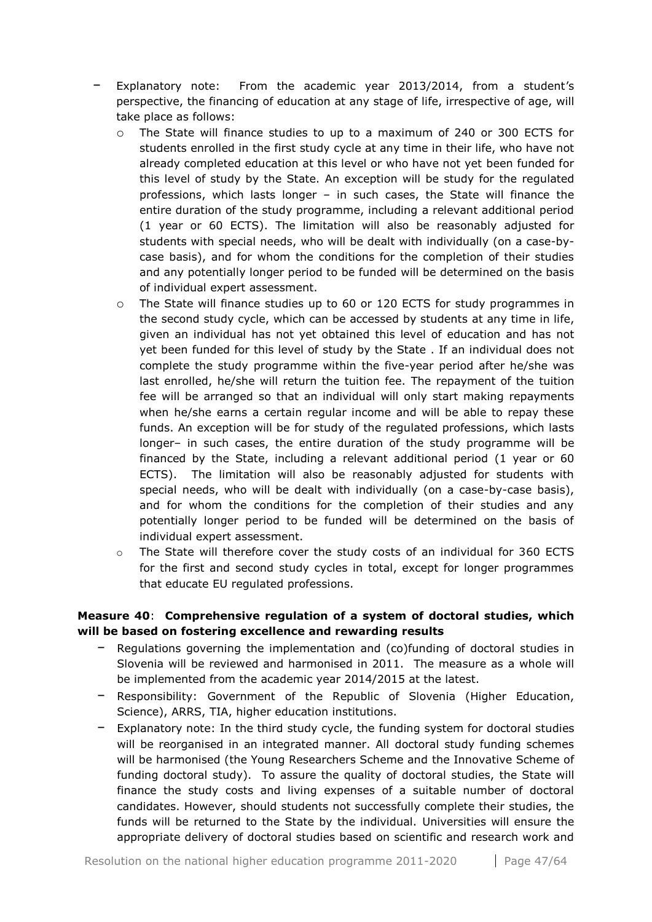- Explanatory note: From the academic year 2013/2014, from a student's perspective, the financing of education at any stage of life, irrespective of age, will take place as follows:
	- o The State will finance studies to up to a maximum of 240 or 300 ECTS for students enrolled in the first study cycle at any time in their life, who have not already completed education at this level or who have not yet been funded for this level of study by the State. An exception will be study for the regulated professions, which lasts longer – in such cases, the State will finance the entire duration of the study programme, including a relevant additional period (1 year or 60 ECTS). The limitation will also be reasonably adjusted for students with special needs, who will be dealt with individually (on a case-bycase basis), and for whom the conditions for the completion of their studies and any potentially longer period to be funded will be determined on the basis of individual expert assessment.
	- o The State will finance studies up to 60 or 120 ECTS for study programmes in the second study cycle, which can be accessed by students at any time in life, given an individual has not yet obtained this level of education and has not yet been funded for this level of study by the State . If an individual does not complete the study programme within the five-year period after he/she was last enrolled, he/she will return the tuition fee. The repayment of the tuition fee will be arranged so that an individual will only start making repayments when he/she earns a certain regular income and will be able to repay these funds. An exception will be for study of the regulated professions, which lasts longer– in such cases, the entire duration of the study programme will be financed by the State, including a relevant additional period (1 year or 60 ECTS). The limitation will also be reasonably adjusted for students with special needs, who will be dealt with individually (on a case-by-case basis), and for whom the conditions for the completion of their studies and any potentially longer period to be funded will be determined on the basis of individual expert assessment.
	- $\circ$  The State will therefore cover the study costs of an individual for 360 ECTS for the first and second study cycles in total, except for longer programmes that educate EU regulated professions.

## **Measure 40**: **Comprehensive regulation of a system of doctoral studies, which will be based on fostering excellence and rewarding results**

- − Regulations governing the implementation and (co)funding of doctoral studies in Slovenia will be reviewed and harmonised in 2011. The measure as a whole will be implemented from the academic year 2014/2015 at the latest.
- − Responsibility: Government of the Republic of Slovenia (Higher Education, Science), ARRS, TIA, higher education institutions.
- − Explanatory note: In the third study cycle, the funding system for doctoral studies will be reorganised in an integrated manner. All doctoral study funding schemes will be harmonised (the Young Researchers Scheme and the Innovative Scheme of funding doctoral study). To assure the quality of doctoral studies, the State will finance the study costs and living expenses of a suitable number of doctoral candidates. However, should students not successfully complete their studies, the funds will be returned to the State by the individual. Universities will ensure the appropriate delivery of doctoral studies based on scientific and research work and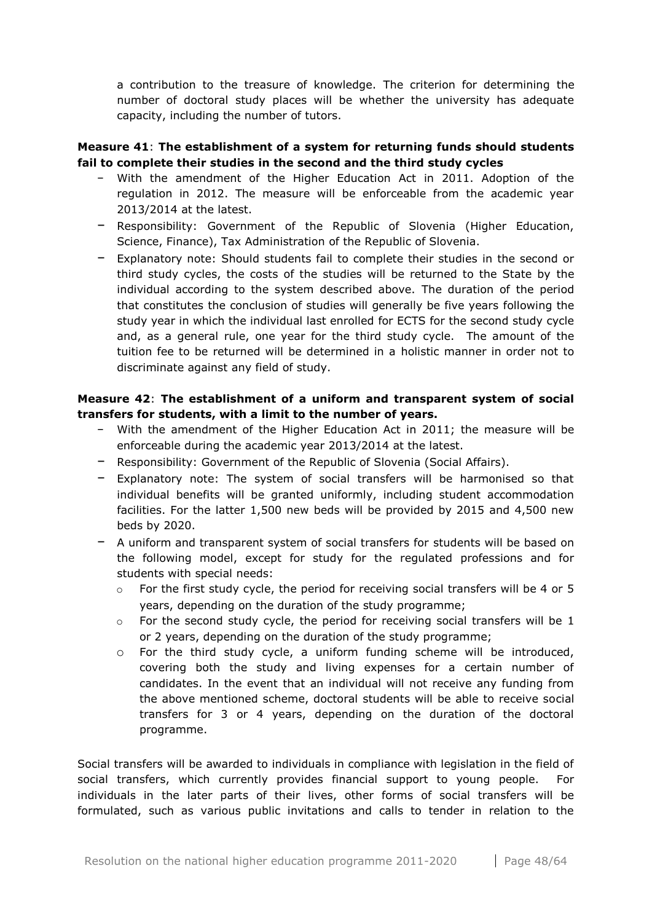a contribution to the treasure of knowledge. The criterion for determining the number of doctoral study places will be whether the university has adequate capacity, including the number of tutors.

## **Measure 41**: **The establishment of a system for returning funds should students fail to complete their studies in the second and the third study cycles**

- − With the amendment of the Higher Education Act in 2011. Adoption of the regulation in 2012. The measure will be enforceable from the academic year 2013/2014 at the latest.
- − Responsibility: Government of the Republic of Slovenia (Higher Education, Science, Finance), Tax Administration of the Republic of Slovenia.
- − Explanatory note: Should students fail to complete their studies in the second or third study cycles, the costs of the studies will be returned to the State by the individual according to the system described above. The duration of the period that constitutes the conclusion of studies will generally be five years following the study year in which the individual last enrolled for ECTS for the second study cycle and, as a general rule, one year for the third study cycle. The amount of the tuition fee to be returned will be determined in a holistic manner in order not to discriminate against any field of study.

## **Measure 42**: **The establishment of a uniform and transparent system of social transfers for students, with a limit to the number of years.**

- − With the amendment of the Higher Education Act in 2011; the measure will be enforceable during the academic year 2013/2014 at the latest.
- − Responsibility: Government of the Republic of Slovenia (Social Affairs).
- − Explanatory note: The system of social transfers will be harmonised so that individual benefits will be granted uniformly, including student accommodation facilities. For the latter 1,500 new beds will be provided by 2015 and 4,500 new beds by 2020.
- − A uniform and transparent system of social transfers for students will be based on the following model, except for study for the regulated professions and for students with special needs:
	- $\circ$  For the first study cycle, the period for receiving social transfers will be 4 or 5 years, depending on the duration of the study programme;
	- $\circ$  For the second study cycle, the period for receiving social transfers will be 1 or 2 years, depending on the duration of the study programme;
	- o For the third study cycle, a uniform funding scheme will be introduced, covering both the study and living expenses for a certain number of candidates. In the event that an individual will not receive any funding from the above mentioned scheme, doctoral students will be able to receive social transfers for 3 or 4 years, depending on the duration of the doctoral programme.

Social transfers will be awarded to individuals in compliance with legislation in the field of social transfers, which currently provides financial support to young people. For individuals in the later parts of their lives, other forms of social transfers will be formulated, such as various public invitations and calls to tender in relation to the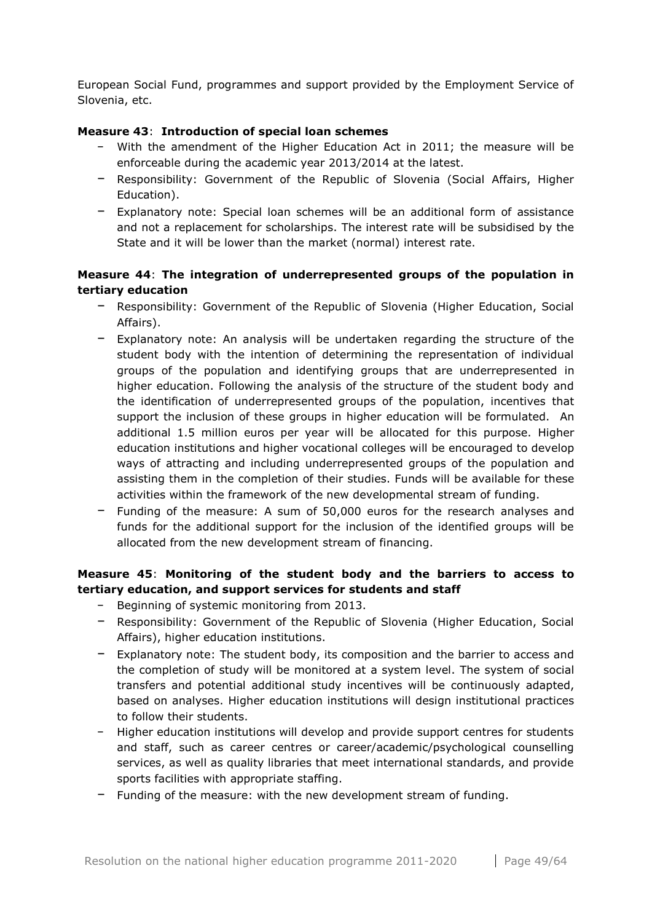European Social Fund, programmes and support provided by the Employment Service of Slovenia, etc.

## **Measure 43**: **Introduction of special loan schemes**

- With the amendment of the Higher Education Act in 2011; the measure will be enforceable during the academic year 2013/2014 at the latest.
- − Responsibility: Government of the Republic of Slovenia (Social Affairs, Higher Education).
- − Explanatory note: Special loan schemes will be an additional form of assistance and not a replacement for scholarships. The interest rate will be subsidised by the State and it will be lower than the market (normal) interest rate.

## **Measure 44**: **The integration of underrepresented groups of the population in tertiary education**

- − Responsibility: Government of the Republic of Slovenia (Higher Education, Social Affairs).
- − Explanatory note: An analysis will be undertaken regarding the structure of the student body with the intention of determining the representation of individual groups of the population and identifying groups that are underrepresented in higher education. Following the analysis of the structure of the student body and the identification of underrepresented groups of the population, incentives that support the inclusion of these groups in higher education will be formulated. An additional 1.5 million euros per year will be allocated for this purpose. Higher education institutions and higher vocational colleges will be encouraged to develop ways of attracting and including underrepresented groups of the population and assisting them in the completion of their studies. Funds will be available for these activities within the framework of the new developmental stream of funding.
- − Funding of the measure: A sum of 50,000 euros for the research analyses and funds for the additional support for the inclusion of the identified groups will be allocated from the new development stream of financing.

## **Measure 45**: **Monitoring of the student body and the barriers to access to tertiary education, and support services for students and staff**

- − Beginning of systemic monitoring from 2013.
- − Responsibility: Government of the Republic of Slovenia (Higher Education, Social Affairs), higher education institutions.
- − Explanatory note: The student body, its composition and the barrier to access and the completion of study will be monitored at a system level. The system of social transfers and potential additional study incentives will be continuously adapted, based on analyses. Higher education institutions will design institutional practices to follow their students.
- − Higher education institutions will develop and provide support centres for students and staff, such as career centres or career/academic/psychological counselling services, as well as quality libraries that meet international standards, and provide sports facilities with appropriate staffing.
- − Funding of the measure: with the new development stream of funding.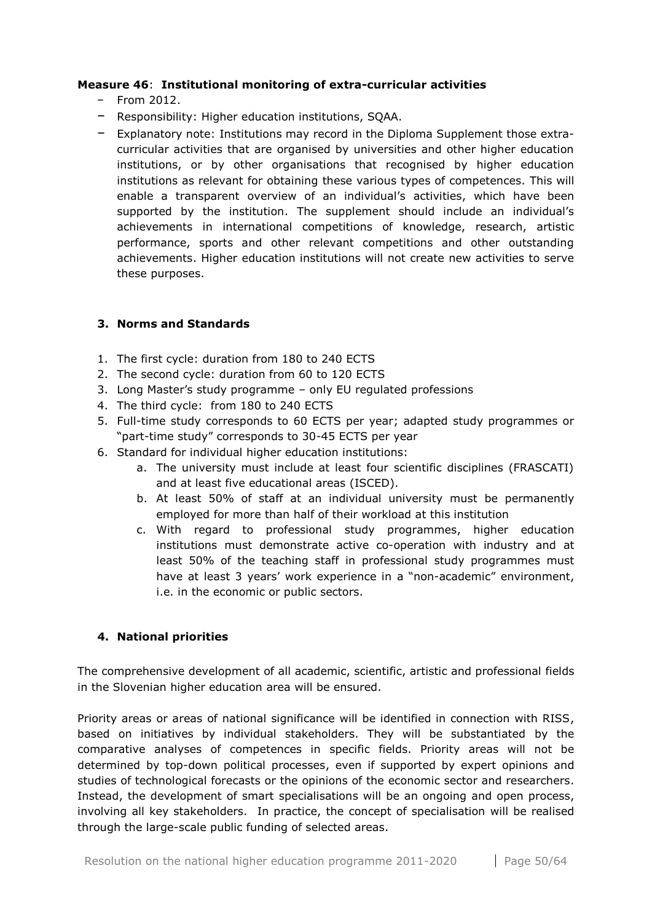#### **Measure 46**: **Institutional monitoring of extra-curricular activities**

- − From 2012.
- − Responsibility: Higher education institutions, SQAA.
- − Explanatory note: Institutions may record in the Diploma Supplement those extracurricular activities that are organised by universities and other higher education institutions, or by other organisations that recognised by higher education institutions as relevant for obtaining these various types of competences. This will enable a transparent overview of an individual's activities, which have been supported by the institution. The supplement should include an individual's achievements in international competitions of knowledge, research, artistic performance, sports and other relevant competitions and other outstanding achievements. Higher education institutions will not create new activities to serve these purposes.

## <span id="page-49-0"></span>**3. Norms and Standards**

- 1. The first cycle: duration from 180 to 240 ECTS
- 2. The second cycle: duration from 60 to 120 ECTS
- 3. Long Master's study programme only EU regulated professions
- 4. The third cycle: from 180 to 240 ECTS
- 5. Full-time study corresponds to 60 ECTS per year; adapted study programmes or "part-time study" corresponds to 30-45 ECTS per year
- 6. Standard for individual higher education institutions:
	- a. The university must include at least four scientific disciplines (FRASCATI) and at least five educational areas (ISCED).
	- b. At least 50% of staff at an individual university must be permanently employed for more than half of their workload at this institution
	- c. With regard to professional study programmes, higher education institutions must demonstrate active co-operation with industry and at least 50% of the teaching staff in professional study programmes must have at least 3 years' work experience in a "non-academic" environment, i.e. in the economic or public sectors.

## <span id="page-49-1"></span>**4. National priorities**

The comprehensive development of all academic, scientific, artistic and professional fields in the Slovenian higher education area will be ensured.

Priority areas or areas of national significance will be identified in connection with RISS, based on initiatives by individual stakeholders. They will be substantiated by the comparative analyses of competences in specific fields. Priority areas will not be determined by top-down political processes, even if supported by expert opinions and studies of technological forecasts or the opinions of the economic sector and researchers. Instead, the development of smart specialisations will be an ongoing and open process, involving all key stakeholders. In practice, the concept of specialisation will be realised through the large-scale public funding of selected areas.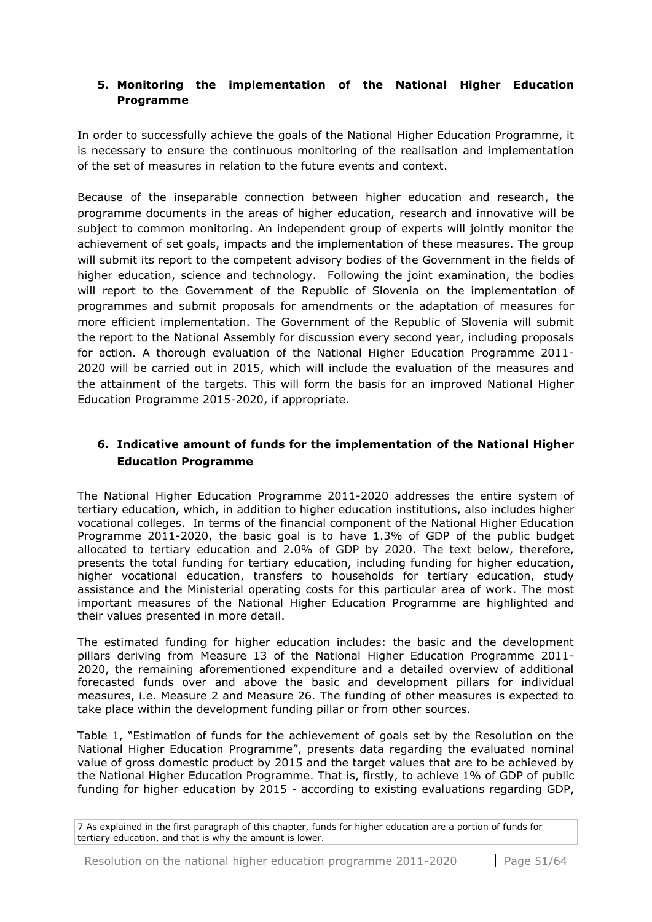## <span id="page-50-0"></span>**5. Monitoring the implementation of the National Higher Education Programme**

In order to successfully achieve the goals of the National Higher Education Programme, it is necessary to ensure the continuous monitoring of the realisation and implementation of the set of measures in relation to the future events and context.

Because of the inseparable connection between higher education and research, the programme documents in the areas of higher education, research and innovative will be subject to common monitoring. An independent group of experts will jointly monitor the achievement of set goals, impacts and the implementation of these measures. The group will submit its report to the competent advisory bodies of the Government in the fields of higher education, science and technology. Following the joint examination, the bodies will report to the Government of the Republic of Slovenia on the implementation of programmes and submit proposals for amendments or the adaptation of measures for more efficient implementation. The Government of the Republic of Slovenia will submit the report to the National Assembly for discussion every second year, including proposals for action. A thorough evaluation of the National Higher Education Programme 2011- 2020 will be carried out in 2015, which will include the evaluation of the measures and the attainment of the targets. This will form the basis for an improved National Higher Education Programme 2015-2020, if appropriate.

## <span id="page-50-1"></span>**6. Indicative amount of funds for the implementation of the National Higher Education Programme**

The National Higher Education Programme 2011-2020 addresses the entire system of tertiary education, which, in addition to higher education institutions, also includes higher vocational colleges. In terms of the financial component of the National Higher Education Programme 2011-2020, the basic goal is to have 1.3% of GDP of the public budget allocated to tertiary education and 2.0% of GDP by 2020. The text below, therefore, presents the total funding for tertiary education, including funding for higher education, higher vocational education, transfers to households for tertiary education, study assistance and the Ministerial operating costs for this particular area of work. The most important measures of the National Higher Education Programme are highlighted and their values presented in more detail.

The estimated funding for higher education includes: the basic and the development pillars deriving from Measure 13 of the National Higher Education Programme 2011- 2020, the remaining aforementioned expenditure and a detailed overview of additional forecasted funds over and above the basic and development pillars for individual measures, i.e. Measure 2 and Measure 26. The funding of other measures is expected to take place within the development funding pillar or from other sources.

Table 1, "Estimation of funds for the achievement of goals set by the Resolution on the National Higher Education Programme", presents data regarding the evaluated nominal value of gross domestic product by 2015 and the target values that are to be achieved by the National Higher Education Programme. That is, firstly, to achieve 1% of GDP of public funding for higher education by 2015 - according to existing evaluations regarding GDP,

1

<sup>7</sup> As explained in the first paragraph of this chapter, funds for higher education are a portion of funds for tertiary education, and that is why the amount is lower.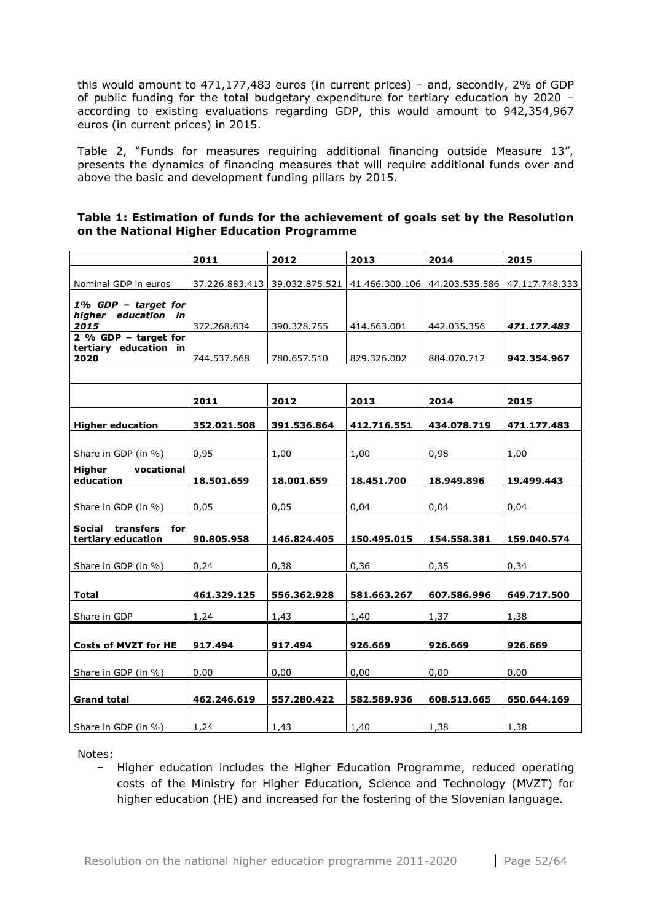this would amount to 471,177,483 euros (in current prices) – and, secondly, 2% of GDP of public funding for the total budgetary expenditure for tertiary education by 2020 – according to existing evaluations regarding GDP, this would amount to 942,354,967 euros (in current prices) in 2015.

Table 2, "Funds for measures requiring additional financing outside Measure 13", presents the dynamics of financing measures that will require additional funds over and above the basic and development funding pillars by 2015.

| Table 1: Estimation of funds for the achievement of goals set by the Resolution |  |
|---------------------------------------------------------------------------------|--|
| on the National Higher Education Programme                                      |  |

|                                                         | 2011        | 2012        | 2013                                                                       | 2014        | 2015        |
|---------------------------------------------------------|-------------|-------------|----------------------------------------------------------------------------|-------------|-------------|
|                                                         |             |             |                                                                            |             |             |
| Nominal GDP in euros                                    |             |             | 37.226.883.413 39.032.875.521 41.466.300.106 44.203.535.586 47.117.748.333 |             |             |
| 1% GDP - target for<br>higher education in<br>2015      | 372.268.834 | 390.328.755 | 414.663.001                                                                | 442.035.356 | 471.177.483 |
| 2 % GDP $-$ target for                                  |             |             |                                                                            |             |             |
| tertiary education in<br>2020                           | 744.537.668 | 780.657.510 | 829.326.002                                                                | 884.070.712 | 942.354.967 |
|                                                         |             |             |                                                                            |             |             |
|                                                         | 2011        | 2012        | 2013                                                                       | 2014        | 2015        |
| <b>Higher education</b>                                 | 352.021.508 | 391.536.864 | 412.716.551                                                                | 434.078.719 | 471.177.483 |
| Share in GDP (in %)                                     | 0,95        | 1,00        | 1,00                                                                       | 0,98        | 1,00        |
| Higher<br>vocational<br>education                       | 18.501.659  | 18.001.659  | 18.451.700                                                                 | 18.949.896  | 19.499.443  |
|                                                         |             |             |                                                                            |             |             |
| Share in GDP (in %)                                     | 0,05        | 0,05        | 0,04                                                                       | 0,04        | 0,04        |
| transfers<br><b>Social</b><br>for<br>tertiary education | 90.805.958  | 146.824.405 | 150.495.015                                                                | 154.558.381 | 159.040.574 |
| Share in GDP (in %)                                     | 0,24        | 0,38        | 0,36                                                                       | 0,35        | 0,34        |
| Total                                                   | 461.329.125 | 556.362.928 | 581.663.267                                                                | 607.586.996 | 649.717.500 |
| Share in GDP                                            | 1,24        | 1,43        | 1,40                                                                       | 1,37        | 1,38        |
| <b>Costs of MVZT for HE</b>                             | 917.494     | 917.494     | 926.669                                                                    | 926.669     | 926.669     |
| Share in GDP (in %)                                     | 0,00        | 0,00        | 0,00                                                                       | 0,00        | 0,00        |
| <b>Grand total</b>                                      | 462.246.619 | 557.280.422 | 582.589.936                                                                | 608.513.665 | 650.644.169 |
| Share in GDP (in %)                                     | 1,24        | 1,43        | 1,40                                                                       | 1,38        | 1,38        |

Notes:

− Higher education includes the Higher Education Programme, reduced operating costs of the Ministry for Higher Education, Science and Technology (MVZT) for higher education (HE) and increased for the fostering of the Slovenian language.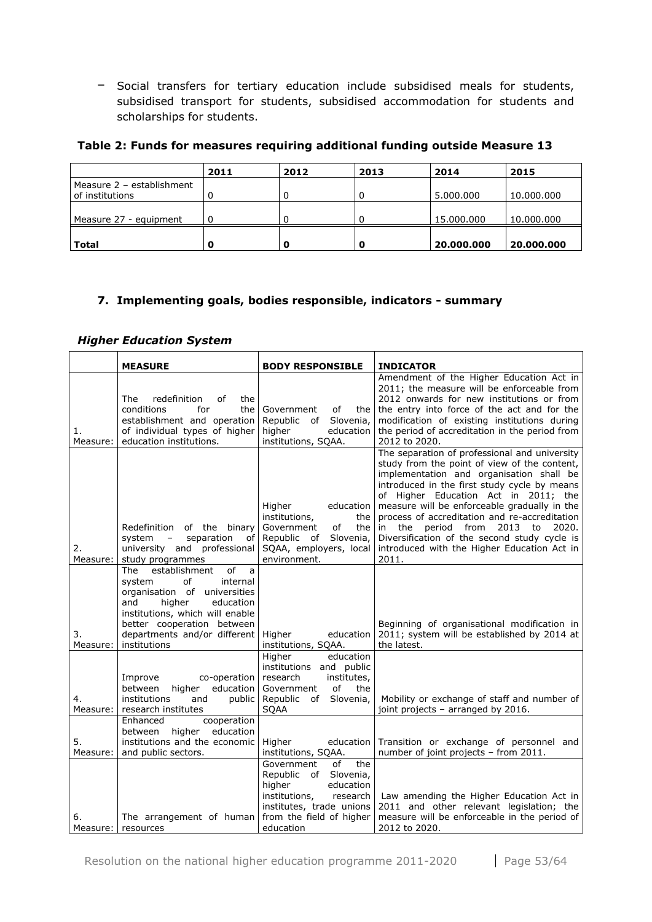− Social transfers for tertiary education include subsidised meals for students, subsidised transport for students, subsidised accommodation for students and scholarships for students.

#### **Table 2: Funds for measures requiring additional funding outside Measure 13**

|                           | 2011 | 2012 | 2013 | 2014       | 2015       |
|---------------------------|------|------|------|------------|------------|
| Measure 2 - establishment |      |      |      |            |            |
| of institutions           |      |      | 0    | 5.000.000  | 10.000.000 |
|                           |      |      |      |            |            |
| Measure 27 - equipment    | 0    |      | 0    | 15,000,000 | 10.000.000 |
|                           |      |      |      |            |            |
| Total                     | o    |      | O    | 20.000.000 | 20.000.000 |

## <span id="page-52-0"></span>**7. Implementing goals, bodies responsible, indicators - summary**

#### *Higher Education System*

|                | <b>MEASURE</b>                                                                                                                                                                                                                                | <b>BODY RESPONSIBLE</b>                                                                                                                                                   | <b>INDICATOR</b>                                                                                                                                                                                                                                                                                                                                                                                                                                                                           |
|----------------|-----------------------------------------------------------------------------------------------------------------------------------------------------------------------------------------------------------------------------------------------|---------------------------------------------------------------------------------------------------------------------------------------------------------------------------|--------------------------------------------------------------------------------------------------------------------------------------------------------------------------------------------------------------------------------------------------------------------------------------------------------------------------------------------------------------------------------------------------------------------------------------------------------------------------------------------|
| 1.<br>Measure: | redefinition<br>The<br>оf<br>the<br>conditions<br>for<br>the<br>establishment and operation<br>of individual types of higher<br>education institutions.                                                                                       | Government<br>of<br>the<br>Slovenia,<br>Republic of<br>higher<br>education<br>institutions, SQAA.                                                                         | Amendment of the Higher Education Act in<br>2011; the measure will be enforceable from<br>2012 onwards for new institutions or from<br>the entry into force of the act and for the<br>modification of existing institutions during<br>the period of accreditation in the period from<br>2012 to 2020.                                                                                                                                                                                      |
| 2.<br>Measure: | Redefinition<br>of the binary<br>system<br>separation<br>оf<br>$\overline{\phantom{a}}$<br>university and professional<br>study programmes                                                                                                    | Higher<br>education<br>institutions,<br>the<br>Government<br>the<br>of<br>Republic of<br>Slovenia,<br>SQAA, employers, local<br>environment.                              | The separation of professional and university<br>study from the point of view of the content,<br>implementation and organisation shall be<br>introduced in the first study cycle by means<br>of Higher Education Act in 2011; the<br>measure will be enforceable gradually in the<br>process of accreditation and re-accreditation<br>in<br>the<br>period from<br>2013 to<br>2020.<br>Diversification of the second study cycle is<br>introduced with the Higher Education Act in<br>2011. |
| 3.<br>Measure: | establishment<br>of<br>The<br>a<br>οf<br>system<br>internal<br>organisation of<br>universities<br>and<br>higher<br>education<br>institutions, which will enable<br>better cooperation between<br>departments and/or different<br>institutions | Higher<br>education<br>institutions, SQAA.                                                                                                                                | Beginning of organisational modification in<br>2011; system will be established by 2014 at<br>the latest.                                                                                                                                                                                                                                                                                                                                                                                  |
| 4.<br>Measure: | Improve<br>co-operation<br>education<br>between<br>higher<br>institutions<br>and<br>public<br>research institutes                                                                                                                             | Higher<br>education<br>institutions and public<br>research<br>institutes,<br>Government<br>of<br>the<br>of Slovenia,<br>Republic<br><b>SQAA</b>                           | Mobility or exchange of staff and number of<br>joint projects - arranged by 2016.                                                                                                                                                                                                                                                                                                                                                                                                          |
| 5.<br>Measure: | Enhanced<br>cooperation<br>between<br>higher<br>education<br>institutions and the economic<br>and public sectors.                                                                                                                             | Higher<br>education<br>institutions, SQAA.                                                                                                                                | Transition or exchange of personnel and<br>number of joint projects - from 2011.                                                                                                                                                                                                                                                                                                                                                                                                           |
| 6.<br>Measure: | The arrangement of human<br>resources                                                                                                                                                                                                         | the<br>Government<br>of<br>Republic of Slovenia,<br>higher<br>education<br>institutions,<br>research<br>institutes, trade unions<br>from the field of higher<br>education | Law amending the Higher Education Act in<br>2011 and other relevant legislation; the<br>measure will be enforceable in the period of<br>2012 to 2020.                                                                                                                                                                                                                                                                                                                                      |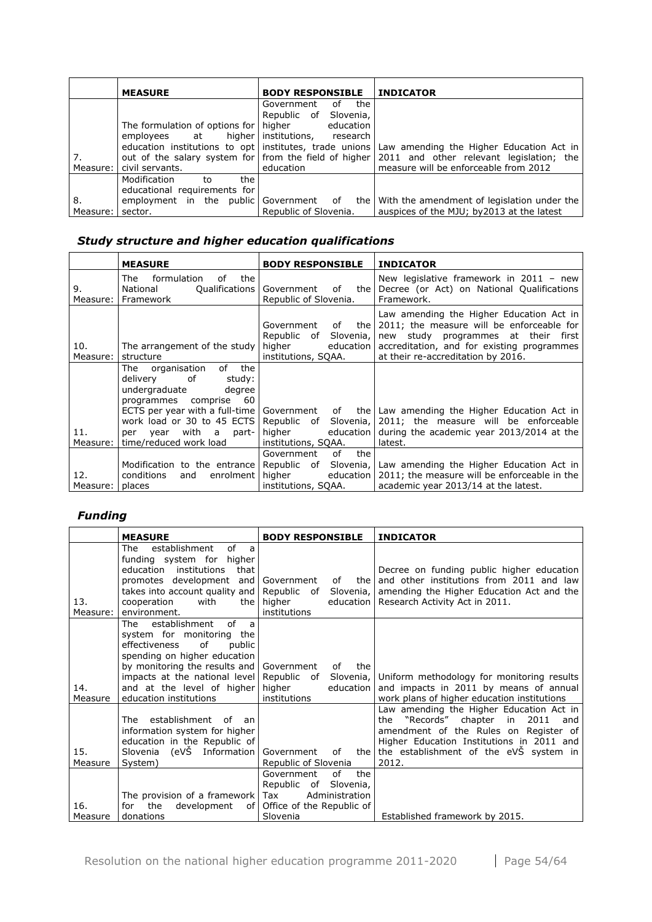|            | <b>MEASURE</b>                                    | <b>BODY RESPONSIBLE INDICATOR</b> |                                                                                                     |
|------------|---------------------------------------------------|-----------------------------------|-----------------------------------------------------------------------------------------------------|
|            |                                                   | of the<br>Government              |                                                                                                     |
|            |                                                   | Republic of Slovenia,             |                                                                                                     |
|            | The formulation of options for   higher education |                                   |                                                                                                     |
|            | employees at higher institutions, research        |                                   |                                                                                                     |
|            |                                                   |                                   | education institutions to opt   institutes, trade unions   Law amending the Higher Education Act in |
| 7.         |                                                   |                                   | out of the salary system for from the field of higher 2011 and other relevant legislation; the      |
| Measure: I | civil servants.                                   | education                         | measure will be enforceable from 2012                                                               |
|            | Modification<br>the<br>to                         |                                   |                                                                                                     |
|            | educational requirements for                      |                                   |                                                                                                     |
| 8.         | employment in the public Government of            |                                   | the   With the amendment of legislation under the                                                   |
| Measure:   | sector.                                           | Republic of Slovenia.             | auspices of the MJU; by 2013 at the latest                                                          |

# *Study structure and higher education qualifications*

|                  | <b>MEASURE</b>                                                                                                                                                                               | <b>BODY RESPONSIBLE</b>                                               | <b>INDICATOR</b>                                                                                                                                                                                                                         |
|------------------|----------------------------------------------------------------------------------------------------------------------------------------------------------------------------------------------|-----------------------------------------------------------------------|------------------------------------------------------------------------------------------------------------------------------------------------------------------------------------------------------------------------------------------|
| 9.<br>Measure: I | formulation<br>The<br>of<br>the<br>Qualifications  <br>National<br>Framework                                                                                                                 | Government<br>the l<br>of<br>Republic of Slovenia.                    | New legislative framework in $2011 - new$<br>Decree (or Act) on National Qualifications<br>Framework.                                                                                                                                    |
| 10.<br>Measure:  | The arrangement of the study<br>structure                                                                                                                                                    | Government<br>of<br>Republic of<br>higher<br>institutions, SQAA.      | Law amending the Higher Education Act in<br>the 2011; the measure will be enforceable for<br>Slovenia, new study programmes at their first<br>education accreditation, and for existing programmes<br>at their re-accreditation by 2016. |
| 11.<br>Measure:  | of the<br>The organisation<br>delivery of<br>study:<br>undergraduate<br>degree<br>60<br>programmes comprise<br>work load or 30 to 45 ECTS<br>per year with a part-<br>time/reduced work load | higher<br>education  <br>institutions, SOAA.                          | ECTS per year with a full-time Government of the Law amending the Higher Education Act in<br>Republic of Slovenia, 2011; the measure will be enforceable<br>during the academic year 2013/2014 at the<br>latest.                         |
| 12.<br>Measure:  | conditions<br>enrolment<br>and<br>places                                                                                                                                                     | Government<br>the<br>of<br>higher<br>education<br>institutions, SQAA. | Modification to the entrance Republic of Slovenia, Law amending the Higher Education Act in<br>2011; the measure will be enforceable in the<br>academic year 2013/14 at the latest.                                                      |

## *Funding*

|                 | <b>MEASURE</b>                                                                                                                                                                                                                                                                                             | <b>BODY RESPONSIBLE</b>                                                                                        | <b>INDICATOR</b>                                                                                                                                                                                                                    |
|-----------------|------------------------------------------------------------------------------------------------------------------------------------------------------------------------------------------------------------------------------------------------------------------------------------------------------------|----------------------------------------------------------------------------------------------------------------|-------------------------------------------------------------------------------------------------------------------------------------------------------------------------------------------------------------------------------------|
| 13.<br>Measure: | of<br>establishment<br>The<br>a<br>funding system for higher<br>education institutions<br>that<br>promotes development and Government<br>takes into account quality and Republic of<br>cooperation<br>with<br>environment.                                                                                 | of<br>the l<br>the higher<br>institutions                                                                      | Decree on funding public higher education<br>and other institutions from 2011 and law<br>Slovenia, amending the Higher Education Act and the<br>education   Research Activity Act in 2011.                                          |
| 14.<br>Measure  | $\alpha$ f<br>establishment<br>$\overline{a}$<br>The<br>system for monitoring the<br>of<br>effectiveness<br>public<br>spending on higher education<br>by monitoring the results and Government<br>impacts at the national level Republic of<br>and at the level of higher higher<br>education institutions | the<br>of<br>education<br>institutions                                                                         | Slovenia, Uniform methodology for monitoring results<br>and impacts in 2011 by means of annual<br>work plans of higher education institutions                                                                                       |
| 15.<br>Measure  | The establishment of<br>an<br>information system for higher<br>education in the Republic of<br>Slovenia (eVS Information<br>System)                                                                                                                                                                        | Government<br>of<br>Republic of Slovenia                                                                       | Law amending the Higher Education Act in<br>the "Records" chapter<br>2011<br>in<br>and<br>amendment of the Rules on Register of<br>Higher Education Institutions in 2011 and<br>the the establishment of the eVS system in<br>2012. |
| 16.<br>Measure  | The provision of a framework Tax<br>development<br>the<br>for<br>of l<br>donations                                                                                                                                                                                                                         | οf<br>the<br>Government<br>Republic of<br>Slovenia,<br>Administration<br>Office of the Republic of<br>Slovenia | Established framework by 2015.                                                                                                                                                                                                      |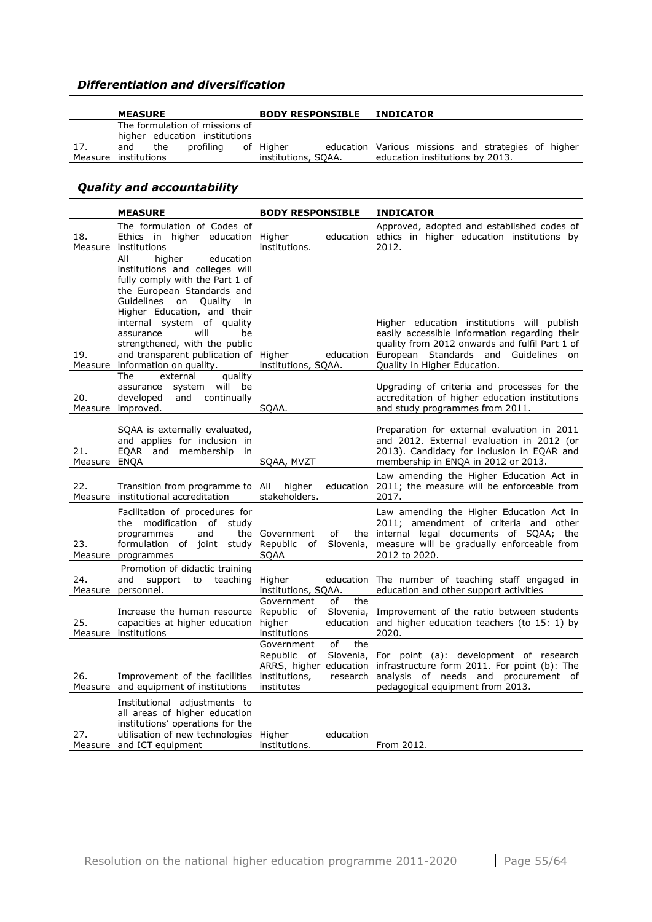# *Differentiation and diversification*

|     | <b>MEASURE</b>                                                  | <b>BODY RESPONSIBLE</b>          | <b>INDICATOR</b>                                                                       |
|-----|-----------------------------------------------------------------|----------------------------------|----------------------------------------------------------------------------------------|
|     | The formulation of missions of<br>higher education institutions |                                  |                                                                                        |
| 17. | profiling<br>the<br>and<br>Measure Linstitutions                | of Higher<br>institutions, SOAA. | education Various missions and strategies of higher<br>education institutions by 2013. |

# *Quality and accountability*

|                | <b>MEASURE</b>                                                                                                                                                                                                                                                                                                                                                  | <b>BODY RESPONSIBLE</b>                                                                     |                               | <b>INDICATOR</b>                                                                                                                                                                                                            |
|----------------|-----------------------------------------------------------------------------------------------------------------------------------------------------------------------------------------------------------------------------------------------------------------------------------------------------------------------------------------------------------------|---------------------------------------------------------------------------------------------|-------------------------------|-----------------------------------------------------------------------------------------------------------------------------------------------------------------------------------------------------------------------------|
| 18.<br>Measure | The formulation of Codes of<br>Ethics in higher education<br>institutions                                                                                                                                                                                                                                                                                       | Higher<br>institutions.                                                                     | education                     | Approved, adopted and established codes of<br>ethics in higher education institutions by<br>2012.                                                                                                                           |
| 19.            | higher<br>All<br>education<br>institutions and colleges will<br>fully comply with the Part 1 of<br>the European Standards and<br>Guidelines<br>on Quality<br>in<br>Higher Education, and their<br>internal system of quality<br>will<br>assurance<br>be<br>strengthened, with the public<br>and transparent publication of<br>Measure   information on quality. | Higher<br>institutions, SOAA.                                                               | education                     | Higher education institutions will publish<br>easily accessible information regarding their<br>quality from 2012 onwards and fulfil Part 1 of<br>European Standards and<br>Guidelines<br>on<br>Quality in Higher Education. |
| 20.<br>Measure | <b>The</b><br>external<br>quality<br>will<br>system<br>be<br>assurance<br>continually<br>developed<br>and<br>improved.                                                                                                                                                                                                                                          | SQAA.                                                                                       |                               | Upgrading of criteria and processes for the<br>accreditation of higher education institutions<br>and study programmes from 2011.                                                                                            |
| 21.<br>Measure | SQAA is externally evaluated,<br>and applies for inclusion in<br>EQAR and membership<br>in<br><b>ENQA</b>                                                                                                                                                                                                                                                       | SQAA, MVZT                                                                                  |                               | Preparation for external evaluation in 2011<br>and 2012. External evaluation in 2012 (or<br>2013). Candidacy for inclusion in EQAR and<br>membership in ENQA in 2012 or 2013.                                               |
| 22.<br>Measure | Transition from programme to<br>institutional accreditation                                                                                                                                                                                                                                                                                                     | All<br>higher<br>stakeholders.                                                              | education                     | Law amending the Higher Education Act in<br>2011; the measure will be enforceable from<br>2017.                                                                                                                             |
| 23.<br>Measure | Facilitation of procedures for<br>the modification of<br>study<br>programmes<br>and<br>the<br>formulation of<br>joint<br>study<br>programmes                                                                                                                                                                                                                    | Government<br>of<br>Republic of<br><b>SOAA</b>                                              | the<br>Slovenia,              | Law amending the Higher Education Act in<br>2011; amendment of criteria and other<br>internal legal documents of SQAA; the<br>measure will be gradually enforceable from<br>2012 to 2020.                                   |
| 24.<br>Measure | Promotion of didactic training<br>and<br>support<br>to<br>teaching<br>personnel.                                                                                                                                                                                                                                                                                | Higher<br>institutions, SQAA.                                                               | education                     | The number of teaching staff engaged in<br>education and other support activities                                                                                                                                           |
| 25.<br>Measure | Increase the human resource<br>capacities at higher education<br>institutions                                                                                                                                                                                                                                                                                   | Government<br>of<br>Republic of<br>higher<br>institutions                                   | the<br>Slovenia,<br>education | Improvement of the ratio between students<br>and higher education teachers (to 15: 1) by<br>2020.                                                                                                                           |
| 26.<br>Measure | Improvement of the facilities<br>and equipment of institutions                                                                                                                                                                                                                                                                                                  | Government<br>of<br>Republic<br>of<br>ARRS, higher education<br>institutions,<br>institutes | the<br>Slovenia,<br>research  | For point (a): development of research<br>infrastructure form 2011. For point (b): The<br>analysis of needs and procurement of<br>pedagogical equipment from 2013.                                                          |
| 27.            | Institutional adjustments to<br>all areas of higher education<br>institutions' operations for the<br>utilisation of new technologies<br>Measure and ICT equipment                                                                                                                                                                                               | Higher<br>institutions.                                                                     | education                     | From 2012.                                                                                                                                                                                                                  |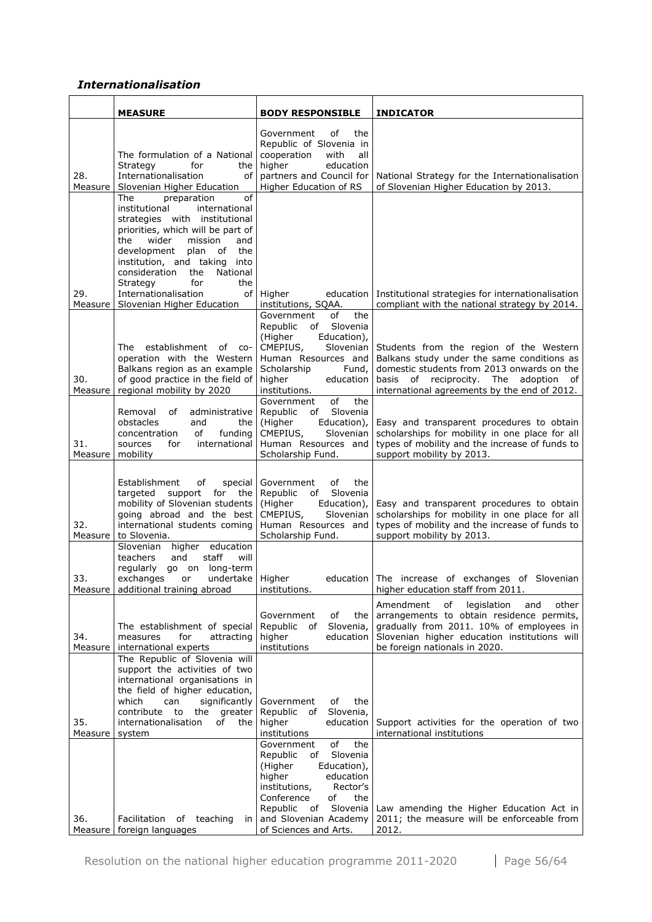## *Internationalisation*

|                | <b>MEASURE</b>                                                                                                                                                                                                                                                                                                                                                   | <b>BODY RESPONSIBLE</b>                                                                                                                                                                                                                     | <b>INDICATOR</b>                                                                                                                                                                                                                   |
|----------------|------------------------------------------------------------------------------------------------------------------------------------------------------------------------------------------------------------------------------------------------------------------------------------------------------------------------------------------------------------------|---------------------------------------------------------------------------------------------------------------------------------------------------------------------------------------------------------------------------------------------|------------------------------------------------------------------------------------------------------------------------------------------------------------------------------------------------------------------------------------|
| 28.<br>Measure | The formulation of a National<br>Strategy<br>for<br>the<br>Internationalisation<br>οf<br>Slovenian Higher Education                                                                                                                                                                                                                                              | of<br>Government<br>the<br>Republic of Slovenia in<br>cooperation<br>with<br>all<br>higher<br>education<br>partners and Council for<br>Higher Education of RS                                                                               | National Strategy for the Internationalisation<br>of Slovenian Higher Education by 2013.                                                                                                                                           |
| 29.<br>Measure | of<br>The<br>preparation<br>international<br>institutional<br>strategies with institutional<br>priorities, which will be part of<br>wider<br>the<br>mission<br>and<br>development<br>plan of<br>the<br>institution, and taking<br>into<br>consideration<br>National<br>the<br>for<br>the<br>Strategy<br>Internationalisation<br>οf<br>Slovenian Higher Education | Higher<br>education<br>institutions, SQAA.                                                                                                                                                                                                  | Institutional strategies for internationalisation<br>compliant with the national strategy by 2014.                                                                                                                                 |
| 30.<br>Measure | establishment<br>of<br>The<br>$CO-$<br>operation with the Western<br>Balkans region as an example<br>of good practice in the field of<br>regional mobility by 2020                                                                                                                                                                                               | of<br>the<br>Government<br>Slovenia<br>Republic<br>of<br>(Higher<br>Education),<br>CMEPIUS,<br>Slovenian<br>Human Resources and<br>Scholarship<br>Fund,<br>higher<br>education<br>institutions.<br>of<br>the<br>Government                  | Students from the region of the Western<br>Balkans study under the same conditions as<br>domestic students from 2013 onwards on the<br>basis of reciprocity.<br>The adoption<br>of<br>international agreements by the end of 2012. |
| 31.<br>Measure | Removal<br>οf<br>administrative<br>obstacles<br>the<br>and<br>concentration<br>οf<br>funding<br>international<br>for<br>sources<br>mobility                                                                                                                                                                                                                      | Republic<br>Slovenia<br>of<br>(Higher<br>Education),<br>CMEPIUS,<br><b>Slovenian</b><br>Human Resources and<br>Scholarship Fund.                                                                                                            | Easy and transparent procedures to obtain<br>scholarships for mobility in one place for all<br>types of mobility and the increase of funds to<br>support mobility by 2013.                                                         |
| 32.<br>Measure | Establishment<br>оf<br>special<br>targeted<br>support<br>for<br>the<br>mobility of Slovenian students<br>going abroad and the best<br>international students coming<br>to Slovenia.<br>higher education<br>Slovenian<br>teachers<br>and<br>staff<br>will                                                                                                         | Government<br>of<br>the<br>Slovenia<br>Republic<br>of<br>(Higher<br>Education),<br>CMEPIUS,<br>Slovenian<br>Human Resources and<br>Scholarship Fund.                                                                                        | Easy and transparent procedures to obtain<br>scholarships for mobility in one place for all<br>types of mobility and the increase of funds to<br>support mobility by 2013.                                                         |
| 33.<br>Measure | regularly<br>go on long-term<br>exchanges<br>undertake Higher<br>or<br>additional training abroad                                                                                                                                                                                                                                                                | institutions.                                                                                                                                                                                                                               | education The increase of exchanges of Slovenian<br>higher education staff from 2011.                                                                                                                                              |
| 34.<br>Measure | The establishment of special<br>for<br>measures<br>attracting<br>international experts                                                                                                                                                                                                                                                                           | Government<br>оf<br>the<br>Republic<br>Slovenia,<br>of<br>higher<br>education<br>institutions                                                                                                                                               | Amendment<br>of<br>legislation<br>other<br>and<br>arrangements to obtain residence permits,<br>gradually from 2011. 10% of employees in<br>Slovenian higher education institutions will<br>be foreign nationals in 2020.           |
| 35.<br>Measure | The Republic of Slovenia will<br>support the activities of two<br>international organisations in<br>the field of higher education,<br>which<br>significantly<br>can<br>contribute<br>the<br>to<br>greater<br>internationalisation<br>of<br>the<br>system                                                                                                         | Government<br>the<br>of<br>Slovenia,<br>Republic of<br>higher<br>education<br>institutions                                                                                                                                                  | Support activities for the operation of two<br>international institutions                                                                                                                                                          |
| 36.            | Facilitation of teaching<br>in<br>Measure   foreign languages                                                                                                                                                                                                                                                                                                    | of<br>the<br>Government<br>Slovenia<br>Republic<br>of<br>(Higher<br>Education),<br>higher<br>education<br>Rector's<br>institutions,<br>Conference<br>the<br>оf<br>Slovenia<br>Republic of<br>and Slovenian Academy<br>of Sciences and Arts. | Law amending the Higher Education Act in<br>2011; the measure will be enforceable from<br>2012.                                                                                                                                    |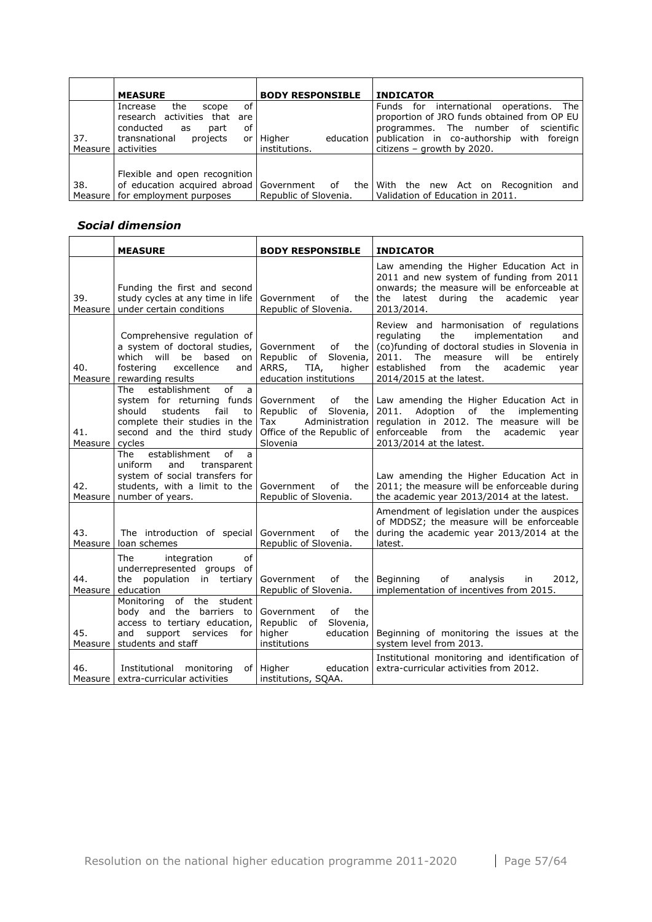|           | <b>MEASURE</b>                                                    | <b>BODY RESPONSIBLE</b> | <b>INDICATOR</b>                                                                       |
|-----------|-------------------------------------------------------------------|-------------------------|----------------------------------------------------------------------------------------|
|           | of<br>the<br>Increase<br>scope<br>research activities that<br>are |                         | Funds for international operations. The<br>proportion of JRO funds obtained from OP EU |
|           | οf<br>conducted<br>part<br>as                                     |                         | programmes. The number of scientific                                                   |
| 37.       | transnational<br>projects<br>or                                   | Higher<br>education     | publication in co-authorship<br>with foreian                                           |
| Measure I | l activities                                                      | institutions.           | citizens - growth by $2020$ .                                                          |
|           | Flexible and open recognition                                     |                         |                                                                                        |
| 38.       | of education acquired abroad Government of the                    |                         | With the new Act on Recognition<br>and                                                 |
|           | Measure   for employment purposes                                 | Republic of Slovenia.   | Validation of Education in 2011.                                                       |

## *Social dimension*

|                | <b>MEASURE</b>                                                                                                                                                             | <b>BODY RESPONSIBLE</b>                                                                                                  | <b>INDICATOR</b>                                                                                                                                                                                                                                                           |
|----------------|----------------------------------------------------------------------------------------------------------------------------------------------------------------------------|--------------------------------------------------------------------------------------------------------------------------|----------------------------------------------------------------------------------------------------------------------------------------------------------------------------------------------------------------------------------------------------------------------------|
| 39.<br>Measure | Funding the first and second<br>study cycles at any time in life<br>under certain conditions                                                                               | of<br>Government<br>the<br>Republic of Slovenia.                                                                         | Law amending the Higher Education Act in<br>2011 and new system of funding from 2011<br>onwards; the measure will be enforceable at<br>academic<br>the<br>latest<br>during<br>the<br>year<br>2013/2014.                                                                    |
| 40.<br>Measure | Comprehensive regulation of<br>a system of doctoral studies,<br>will be<br>based<br>which<br>on<br>fostering<br>excellence<br>and<br>rewarding results                     | Government<br>of<br>the<br>$\mathsf{of}$<br>Slovenia,<br>Republic<br>ARRS,<br>TIA,<br>higher<br>education institutions   | Review and harmonisation of regulations<br>implementation<br>regulating<br>the<br>and<br>(co)funding of doctoral studies in Slovenia in<br>The<br>will<br>2011.<br>measure<br>be<br>entirely<br>established<br>the<br>academic<br>from<br>year<br>2014/2015 at the latest. |
| 41.<br>Measure | establishment<br>of<br>The<br>a<br>system for returning funds<br>should<br>students<br>fail<br>to<br>complete their studies in the<br>second and the third study<br>cycles | Government<br>of<br>the<br>Slovenia,<br>Republic<br>of<br>Administration<br>Tax<br>Office of the Republic of<br>Slovenia | Law amending the Higher Education Act in<br>of the<br>2011.<br>Adoption<br>implementing<br>regulation in 2012. The measure will be<br>enforceable<br>from<br>the<br>academic<br>year<br>2013/2014 at the latest.                                                           |
| 42.<br>Measure | establishment<br>of<br>The<br>a<br>and<br>uniform<br>transparent<br>system of social transfers for<br>students, with a limit to the<br>number of years.                    | Government<br>оf<br>the l<br>Republic of Slovenia.                                                                       | Law amending the Higher Education Act in<br>2011; the measure will be enforceable during<br>the academic year 2013/2014 at the latest.                                                                                                                                     |
| 43.<br>Measure | The introduction of special<br>loan schemes                                                                                                                                | Government<br>of<br>the<br>Republic of Slovenia.                                                                         | Amendment of legislation under the auspices<br>of MDDSZ; the measure will be enforceable<br>during the academic year 2013/2014 at the<br>latest.                                                                                                                           |
| 44.<br>Measure | of<br>integration<br>The<br>underrepresented groups of<br>tertiary<br>the population in<br>education                                                                       | Government<br>of<br>the<br>Republic of Slovenia.                                                                         | Beginning<br>of<br>analysis<br>2012,<br>in<br>implementation of incentives from 2015.                                                                                                                                                                                      |
| 45.<br>Measure | of the<br>student<br>Monitoring<br>body and the barriers to<br>access to tertiary education,<br>support<br>and<br>services<br>for<br>students and staff                    | of<br>the<br>Government<br>Slovenia,<br>Republic<br>of<br>higher<br>education<br>institutions                            | Beginning of monitoring the issues at the<br>system level from 2013.                                                                                                                                                                                                       |
| 46.            | Institutional monitoring<br>Measure extra-curricular activities                                                                                                            | of Higher<br>education<br>institutions, SOAA.                                                                            | Institutional monitoring and identification of<br>extra-curricular activities from 2012.                                                                                                                                                                                   |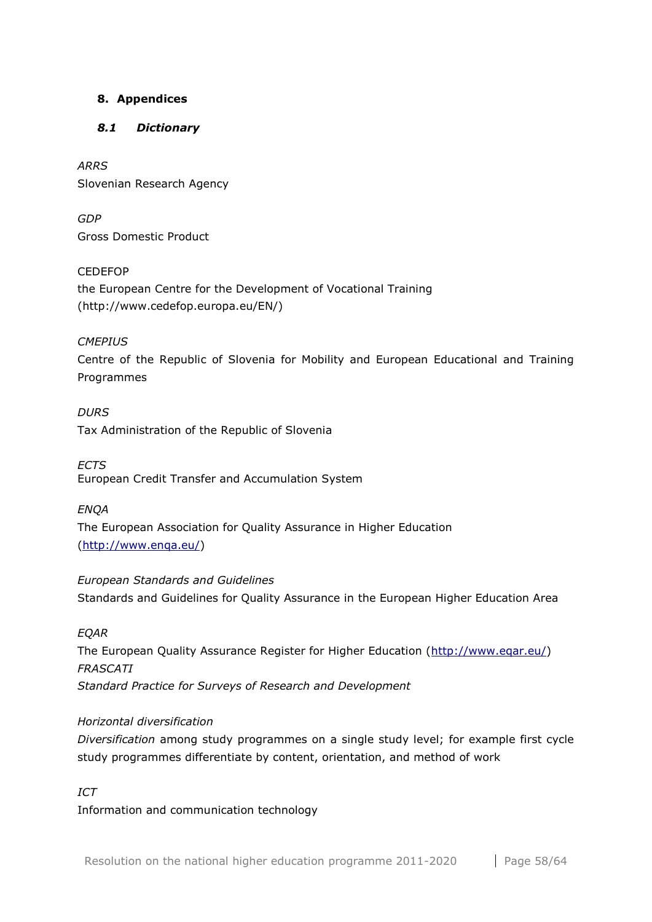## <span id="page-57-0"></span>**8. Appendices**

## <span id="page-57-1"></span>*8.1 Dictionary*

*ARRS* Slovenian Research Agency

*GDP* Gross Domestic Product

CEDEFOP the European Centre for the Development of Vocational Training (http://www.cedefop.europa.eu/EN/)

## *CMEPIUS*

Centre of the Republic of Slovenia for Mobility and European Educational and Training Programmes

*DURS* Tax Administration of the Republic of Slovenia

*ECTS*  European Credit Transfer and Accumulation System

*ENQA* The European Association for Quality Assurance in Higher Education [\(http://www.enqa.eu/\)](http://www.enqa.eu/)

*European Standards and Guidelines* Standards and Guidelines for Quality Assurance in the European Higher Education Area

## *EQAR*

The European Quality Assurance Register for Higher Education [\(http://www.eqar.eu/\)](http://www.eqar.eu/) *FRASCATI Standard Practice for Surveys of Research and Development*

## *Horizontal diversification*

*Diversification* among study programmes on a single study level; for example first cycle study programmes differentiate by content, orientation, and method of work

## *ICT*

Information and communication technology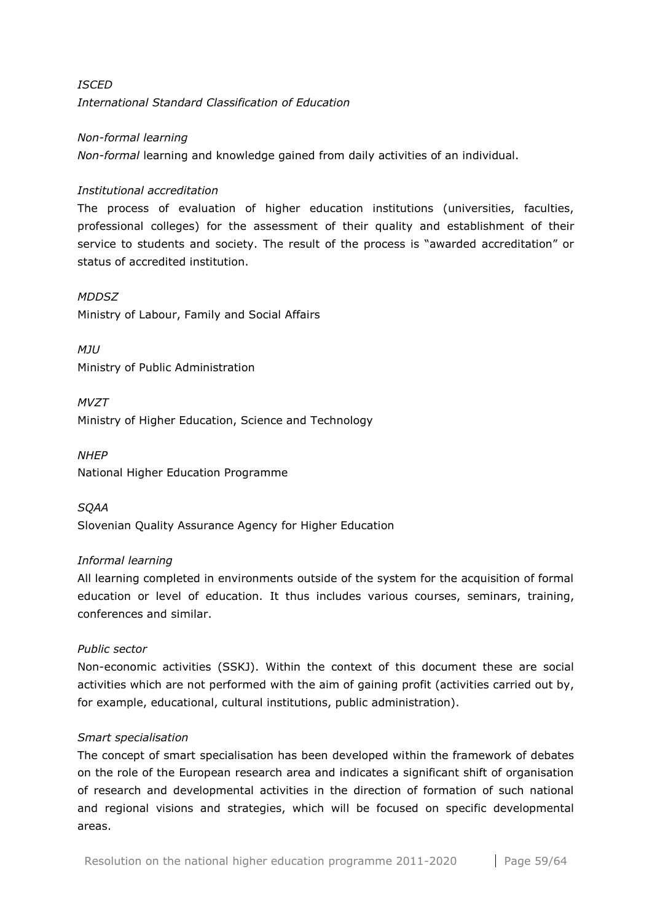# *ISCED International Standard Classification of Education*

## *Non-formal learning*

*Non-formal* learning and knowledge gained from daily activities of an individual.

## *Institutional accreditation*

The process of evaluation of higher education institutions (universities, faculties, professional colleges) for the assessment of their quality and establishment of their service to students and society. The result of the process is "awarded accreditation" or status of accredited institution.

#### *MDDSZ*

Ministry of Labour, Family and Social Affairs

*MJU* Ministry of Public Administration

*MVZT* Ministry of Higher Education, Science and Technology

*NHEP* National Higher Education Programme

*SQAA* Slovenian Quality Assurance Agency for Higher Education

## *Informal learning*

All learning completed in environments outside of the system for the acquisition of formal education or level of education. It thus includes various courses, seminars, training, conferences and similar.

## *Public sector*

Non-economic activities (SSKJ). Within the context of this document these are social activities which are not performed with the aim of gaining profit (activities carried out by, for example, educational, cultural institutions, public administration).

## *Smart specialisation*

The concept of smart specialisation has been developed within the framework of debates on the role of the European research area and indicates a significant shift of organisation of research and developmental activities in the direction of formation of such national and regional visions and strategies, which will be focused on specific developmental areas.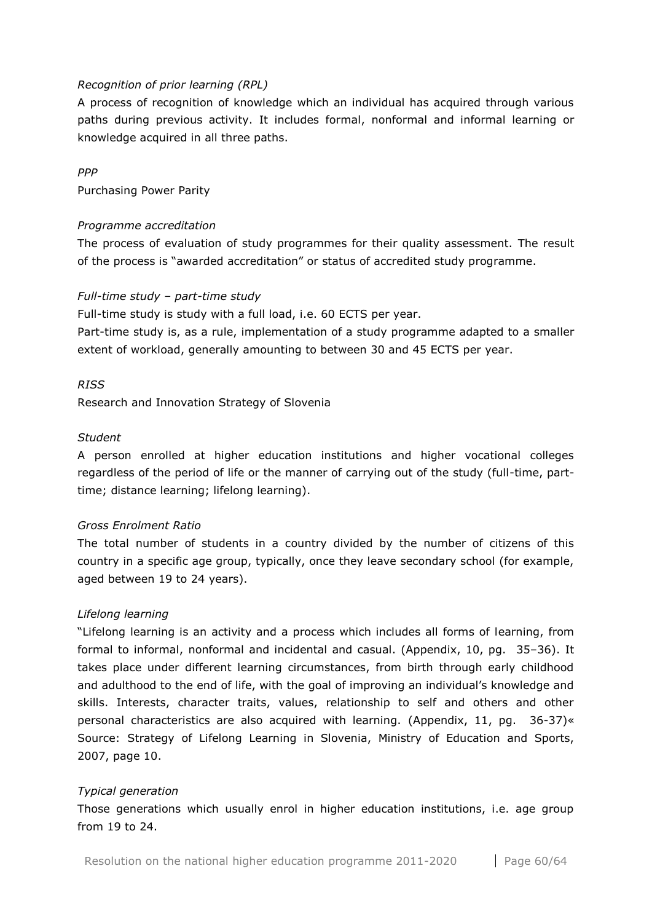#### *Recognition of prior learning (RPL)*

A process of recognition of knowledge which an individual has acquired through various paths during previous activity. It includes formal, nonformal and informal learning or knowledge acquired in all three paths.

#### *PPP*

Purchasing Power Parity

#### *Programme accreditation*

The process of evaluation of study programmes for their quality assessment. The result of the process is "awarded accreditation" or status of accredited study programme.

## *Full-time study – part-time study*

Full-time study is study with a full load, i.e. 60 ECTS per year.

Part-time study is, as a rule, implementation of a study programme adapted to a smaller extent of workload, generally amounting to between 30 and 45 ECTS per year.

#### *RISS*

Research and Innovation Strategy of Slovenia

#### *Student*

A person enrolled at higher education institutions and higher vocational colleges regardless of the period of life or the manner of carrying out of the study (full-time, parttime; distance learning; lifelong learning).

## *Gross Enrolment Ratio*

The total number of students in a country divided by the number of citizens of this country in a specific age group, typically, once they leave secondary school (for example, aged between 19 to 24 years).

#### *Lifelong learning*

"Lifelong learning is an activity and a process which includes all forms of learning, from formal to informal, nonformal and incidental and casual. (Appendix, 10, pg. 35–36). It takes place under different learning circumstances, from birth through early childhood and adulthood to the end of life, with the goal of improving an individual's knowledge and skills. Interests, character traits, values, relationship to self and others and other personal characteristics are also acquired with learning. (Appendix, 11, pg. 36-37)« Source: Strategy of Lifelong Learning in Slovenia, Ministry of Education and Sports, 2007, page 10.

#### *Typical generation*

Those generations which usually enrol in higher education institutions, i.e. age group from 19 to 24.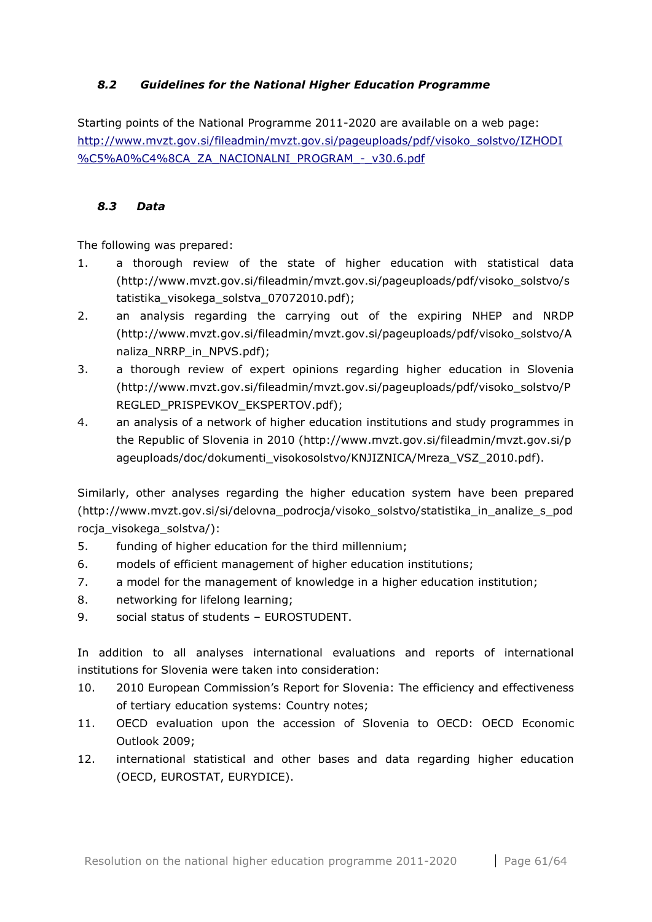## <span id="page-60-0"></span>*8.2 Guidelines for the National Higher Education Programme*

Starting points of the National Programme 2011-2020 are available on a web page: [http://www.mvzt.gov.si/fileadmin/mvzt.gov.si/pageuploads/pdf/visoko\\_solstvo/IZHODI](http://www.mvzt.gov.si/fileadmin/mvzt.gov.si/pageuploads/pdf/visoko_solstvo/IZHODI%C5%A0%C4%8CA_ZA_NACIONALNI_PROGRAM_-_v30.6.pdfhttp:/www.mvzt.gov.si/fileadmin/mvzt.gov.si/pageuploads/pdf/visoko_solstvo/IZHODI%C5%A0%C4%8CA_ZA_NACIONALNI_PROGRAM_-_v30.6.pdf) [%C5%A0%C4%8CA\\_ZA\\_NACIONALNI\\_PROGRAM\\_-\\_v30.6.pdf](http://www.mvzt.gov.si/fileadmin/mvzt.gov.si/pageuploads/pdf/visoko_solstvo/IZHODI%C5%A0%C4%8CA_ZA_NACIONALNI_PROGRAM_-_v30.6.pdfhttp:/www.mvzt.gov.si/fileadmin/mvzt.gov.si/pageuploads/pdf/visoko_solstvo/IZHODI%C5%A0%C4%8CA_ZA_NACIONALNI_PROGRAM_-_v30.6.pdf)

## <span id="page-60-1"></span>*8.3 Data*

The following was prepared:

- 1. a thorough review of the state of higher education with statistical data (http://www.mvzt.gov.si/fileadmin/mvzt.gov.si/pageuploads/pdf/visoko\_solstvo/s tatistika\_visokega\_solstva\_07072010.pdf);
- 2. an analysis regarding the carrying out of the expiring NHEP and NRDP (http://www.mvzt.gov.si/fileadmin/mvzt.gov.si/pageuploads/pdf/visoko\_solstvo/A naliza\_NRRP\_in\_NPVS.pdf);
- 3. a thorough review of expert opinions regarding higher education in Slovenia (http://www.mvzt.gov.si/fileadmin/mvzt.gov.si/pageuploads/pdf/visoko\_solstvo/P REGLED\_PRISPEVKOV\_EKSPERTOV.pdf);
- 4. an analysis of a network of higher education institutions and study programmes in the Republic of Slovenia in 2010 (http://www.mvzt.gov.si/fileadmin/mvzt.gov.si/p ageuploads/doc/dokumenti\_visokosolstvo/KNJIZNICA/Mreza\_VSZ\_2010.pdf).

Similarly, other analyses regarding the higher education system have been prepared (http://www.mvzt.gov.si/si/delovna\_podrocja/visoko\_solstvo/statistika\_in\_analize\_s\_pod rocja\_visokega\_solstva/):

- 5. funding of higher education for the third millennium;
- 6. models of efficient management of higher education institutions;
- 7. a model for the management of knowledge in a higher education institution;
- 8. networking for lifelong learning;
- 9. social status of students EUROSTUDENT.

In addition to all analyses international evaluations and reports of international institutions for Slovenia were taken into consideration:

- 10. 2010 European Commission's Report for Slovenia: The efficiency and effectiveness of tertiary education systems: Country notes;
- 11. OECD evaluation upon the accession of Slovenia to OECD: OECD Economic Outlook 2009;
- 12. international statistical and other bases and data regarding higher education (OECD, EUROSTAT, EURYDICE).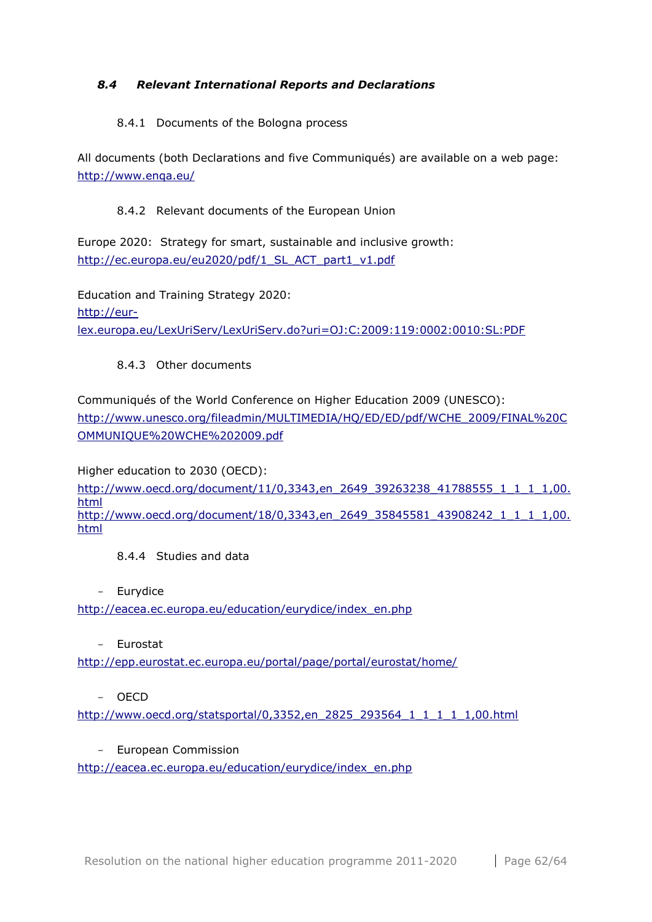## <span id="page-61-0"></span>*8.4 Relevant International Reports and Declarations*

#### 8.4.1 Documents of the Bologna process

All documents (both Declarations and five Communiqués) are available on a web page: <http://www.enqa.eu/>

#### 8.4.2 Relevant documents of the European Union

Europe 2020: Strategy for smart, sustainable and inclusive growth: [http://ec.europa.eu/eu2020/pdf/1\\_SL\\_ACT\\_part1\\_v1.pdf](http://ec.europa.eu/eu2020/pdf/1_SL_ACT_part1_v1.pdf)

Education and Training Strategy 2020: [http://eur](http://eur-lex.europa.eu/LexUriServ/LexUriServ.do?uri=OJ:C:2009:119:0002:0010:SL:PDF)[lex.europa.eu/LexUriServ/LexUriServ.do?uri=OJ:C:2009:119:0002:0010:SL:PDF](http://eur-lex.europa.eu/LexUriServ/LexUriServ.do?uri=OJ:C:2009:119:0002:0010:SL:PDF)

## 8.4.3 Other documents

Communiqués of the World Conference on Higher Education 2009 (UNESCO): [http://www.unesco.org/fileadmin/MULTIMEDIA/HQ/ED/ED/pdf/WCHE\\_2009/FINAL%20C](http://www.unesco.org/fileadmin/MULTIMEDIA/HQ/ED/ED/pdf/WCHE_2009/FINAL%20COMMUNIQUE%20WCHE%202009.pdf) [OMMUNIQUE%20WCHE%202009.pdf](http://www.unesco.org/fileadmin/MULTIMEDIA/HQ/ED/ED/pdf/WCHE_2009/FINAL%20COMMUNIQUE%20WCHE%202009.pdf)

Higher education to 2030 (OECD):

[http://www.oecd.org/document/11/0,3343,en\\_2649\\_39263238\\_41788555\\_1\\_1\\_1\\_1,00.](http://www.oecd.org/document/11/0,3343,en_2649_39263238_41788555_1_1_1_1,00.html) [html](http://www.oecd.org/document/11/0,3343,en_2649_39263238_41788555_1_1_1_1,00.html) [http://www.oecd.org/document/18/0,3343,en\\_2649\\_35845581\\_43908242\\_1\\_1\\_1\\_1,00.](http://www.oecd.org/document/18/0,3343,en_2649_35845581_43908242_1_1_1_1,00.html) [html](http://www.oecd.org/document/18/0,3343,en_2649_35845581_43908242_1_1_1_1,00.html)

8.4.4 Studies and data

- Eurydice

[http://eacea.ec.europa.eu/education/eurydice/index\\_en.php](http://eacea.ec.europa.eu/education/eurydice/index_en.php)

- Eurostat

<http://epp.eurostat.ec.europa.eu/portal/page/portal/eurostat/home/>

- OECD

[http://www.oecd.org/statsportal/0,3352,en\\_2825\\_293564\\_1\\_1\\_1\\_1\\_1,00.html](http://www.oecd.org/statsportal/0,3352,en_2825_293564_1_1_1_1_1,00.html)

- European Commission

[http://eacea.ec.europa.eu/education/eurydice/index\\_en.php](http://eacea.ec.europa.eu/education/eurydice/index_en.php)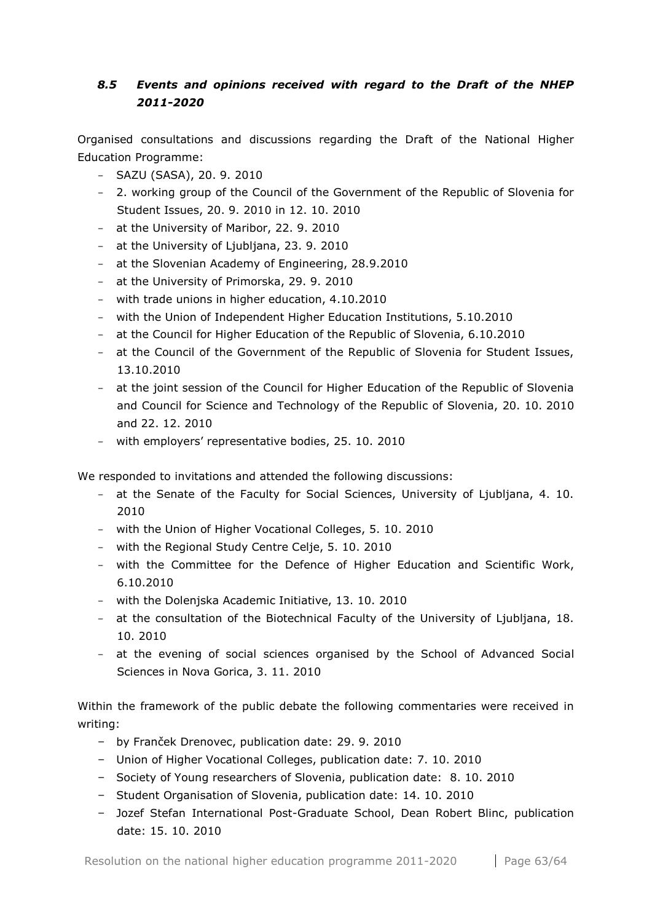# <span id="page-62-0"></span>*8.5 Events and opinions received with regard to the Draft of the NHEP 2011-2020*

Organised consultations and discussions regarding the Draft of the National Higher Education Programme:

- SAZU (SASA), 20. 9. 2010
- 2. working group of the Council of the Government of the Republic of Slovenia for Student Issues, 20. 9. 2010 in 12. 10. 2010
- at the University of Maribor, 22. 9. 2010
- at the University of Ljubljana, 23. 9. 2010
- at the Slovenian Academy of Engineering, 28.9.2010
- at the University of Primorska, 29. 9. 2010
- with trade unions in higher education, 4.10.2010
- with the Union of Independent Higher Education Institutions, 5.10.2010
- at the Council for Higher Education of the Republic of Slovenia, 6.10.2010
- at the Council of the Government of the Republic of Slovenia for Student Issues, 13.10.2010
- at the joint session of the Council for Higher Education of the Republic of Slovenia and Council for Science and Technology of the Republic of Slovenia, 20. 10. 2010 and 22. 12. 2010
- with employers' representative bodies, 25. 10. 2010

We responded to invitations and attended the following discussions:

- at the Senate of the Faculty for Social Sciences, University of Ljubljana, 4. 10. 2010
- with the Union of Higher Vocational Colleges, 5. 10. 2010
- with the Regional Study Centre Celje, 5. 10. 2010
- with the Committee for the Defence of Higher Education and Scientific Work, 6.10.2010
- with the Dolenjska Academic Initiative, 13. 10. 2010
- at the consultation of the Biotechnical Faculty of the University of Ljubljana, 18. 10. 2010
- at the evening of social sciences organised by the School of Advanced Social Sciences in Nova Gorica, 3. 11. 2010

Within the framework of the public debate the following commentaries were received in writing:

- by Franček Drenovec, publication date: 29. 9. 2010
- Union of Higher Vocational Colleges, publication date: 7. 10. 2010
- Society of Young researchers of Slovenia, publication date: 8. 10. 2010
- Student Organisation of Slovenia, publication date: 14. 10. 2010
- Jozef Stefan International Post-Graduate School, Dean Robert Blinc, publication date: 15. 10. 2010